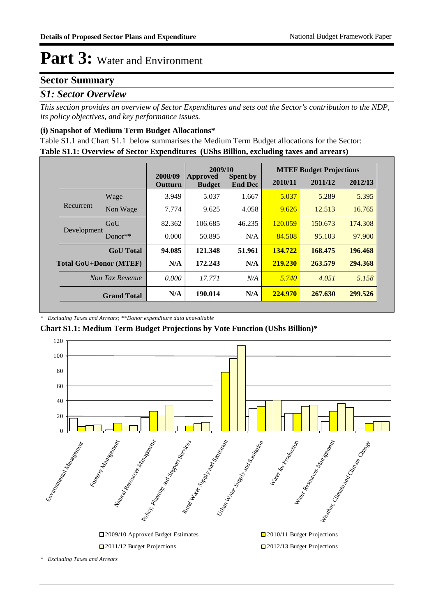#### **Sector Summary**

#### *S1: Sector Overview*

*This section provides an overview of Sector Expenditures and sets out the Sector's contribution to the NDP, its policy objectives, and key performance issues.* 

#### **(i) Snapshot of Medium Term Budget Allocations\***

**Table S1.1: Overview of Sector Expenditures (UShs Billion, excluding taxes and arrears)** Table S1.1 and Chart S1.1 below summarises the Medium Term Budget allocations for the Sector:

|                               |                    |                    | 2009/10                   |                                   |         | <b>MTEF Budget Projections</b> |         |
|-------------------------------|--------------------|--------------------|---------------------------|-----------------------------------|---------|--------------------------------|---------|
|                               |                    | 2008/09<br>Outturn | Approved<br><b>Budget</b> | <b>Spent by</b><br><b>End Dec</b> | 2010/11 | 2011/12                        | 2012/13 |
|                               | Wage               | 3.949              | 5.037                     | 1.667                             | 5.037   | 5.289                          | 5.395   |
| Recurrent                     | Non Wage           | 7.774              | 9.625                     | 4.058                             | 9.626   | 12.513                         | 16.765  |
| Development                   | GoU                | 82.362             | 106.685                   | 46.235                            | 120.059 | 150.673                        | 174,308 |
|                               | Donor $**$         | 0.000              | 50.895                    | N/A                               | 84.508  | 95.103                         | 97.900  |
|                               | <b>GoU</b> Total   | 94.085             | 121.348                   | 51.961                            | 134.722 | 168.475                        | 196.468 |
| <b>Total GoU+Donor (MTEF)</b> |                    | N/A                | 172.243                   | N/A                               | 219.230 | 263.579                        | 294.368 |
| Non Tax Revenue               |                    | 0.000              | 17.771                    | N/A                               | 5.740   | 4.051                          | 5.158   |
|                               | <b>Grand Total</b> | N/A                | 190.014                   | N/A                               | 224,970 | 267.630                        | 299.526 |

*\* Excluding Taxes and Arrears; \*\*Donor expenditure data unavailable*

**Chart S1.1: Medium Term Budget Projections by Vote Function (UShs Billion)\***



*\* Excluding Taxes and Arrears*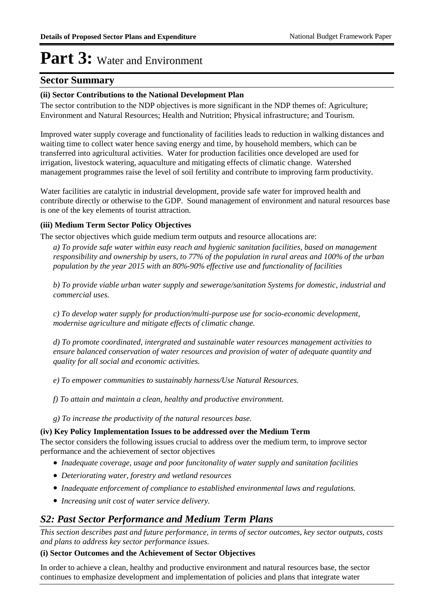#### **Sector Summary**

#### **(ii) Sector Contributions to the National Development Plan**

The sector contribution to the NDP objectives is more significant in the NDP themes of: Agriculture; Environment and Natural Resources; Health and Nutrition; Physical infrastructure; and Tourism.

Improved water supply coverage and functionality of facilities leads to reduction in walking distances and waiting time to collect water hence saving energy and time, by household members, which can be transferred into agricultural activities. Water for production facilities once developed are used for irrigation, livestock watering, aquaculture and mitigating effects of climatic change. Watershed management programmes raise the level of soil fertility and contribute to improving farm productivity.

Water facilities are catalytic in industrial development, provide safe water for improved health and contribute directly or otherwise to the GDP. Sound management of environment and natural resources base is one of the key elements of tourist attraction.

#### **(iii) Medium Term Sector Policy Objectives**

The sector objectives which guide medium term outputs and resource allocations are:

*a) To provide safe water within easy reach and hygienic sanitation facilities, based on management responsibility and ownership by users, to 77% of the population in rural areas and 100% of the urban population by the year 2015 with an 80%-90% effective use and functionality of facilities*

*b) To provide viable urban water supply and sewerage/sanitation Systems for domestic, industrial and commercial uses.*

*c) To develop water supply for production/multi-purpose use for socio-economic development, modernise agriculture and mitigate effects of climatic change.*

*d) To promote coordinated, intergrated and sustainable water resources management activities to ensure balanced conservation of water resources and provision of water of adequate quantity and quality for all social and economic activities.*

*e) To empower communities to sustainably harness/Use Natural Resources.*

*f) To attain and maintain a clean, healthy and productive environment.*

*g) To increase the productivity of the natural resources base.*

#### **(iv) Key Policy Implementation Issues to be addressed over the Medium Term**

The sector considers the following issues crucial to address over the medium term, to improve sector performance and the achievement of sector objectives

- *Inadequate coverage, usage and poor funcitonality of water supply and sanitation facilities*
- *Deteriorating water, forestry and wetland resources*
- *Inadequate enforcement of compliance to established environmental laws and regulations.*
- *Increasing unit cost of water service delivery.*

### *S2: Past Sector Performance and Medium Term Plans*

*This section describes past and future performance, in terms of sector outcomes, key sector outputs, costs and plans to address key sector performance issues.* 

#### **(i) Sector Outcomes and the Achievement of Sector Objectives**

In order to achieve a clean, healthy and productive environment and natural resources base, the sector continues to emphasize development and implementation of policies and plans that integrate water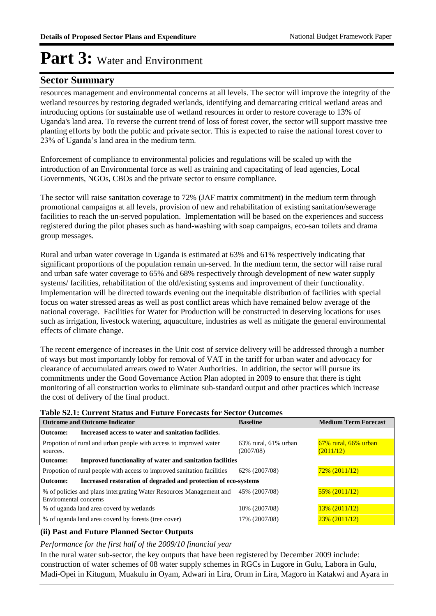#### **Sector Summary**

resources management and environmental concerns at all levels. The sector will improve the integrity of the wetland resources by restoring degraded wetlands, identifying and demarcating critical wetland areas and introducing options for sustainable use of wetland resources in order to restore coverage to 13% of Uganda's land area. To reverse the current trend of loss of forest cover, the sector will support massive tree planting efforts by both the public and private sector. This is expected to raise the national forest cover to 23% of Uganda's land area in the medium term.

Enforcement of compliance to environmental policies and regulations will be scaled up with the introduction of an Environmental force as well as training and capacitating of lead agencies, Local Governments, NGOs, CBOs and the private sector to ensure compliance.

The sector will raise sanitation coverage to 72% (JAF matrix commitment) in the medium term through promotional campaigns at all levels, provision of new and rehabilitation of existing sanitation/sewerage facilities to reach the un-served population. Implementation will be based on the experiences and success registered during the pilot phases such as hand-washing with soap campaigns, eco-san toilets and drama group messages.

Rural and urban water coverage in Uganda is estimated at 63% and 61% respectively indicating that significant proportions of the population remain un-served. In the medium term, the sector will raise rural and urban safe water coverage to 65% and 68% respectively through development of new water supply systems/ facilities, rehabilitation of the old/existing systems and improvement of their functionality. Implementation will be directed towards evening out the inequitable distribution of facilities with special focus on water stressed areas as well as post conflict areas which have remained below average of the national coverage. Facilities for Water for Production will be constructed in deserving locations for uses such as irrigation, livestock watering, aquaculture, industries as well as mitigate the general environmental effects of climate change.

The recent emergence of increases in the Unit cost of service delivery will be addressed through a number of ways but most importantly lobby for removal of VAT in the tariff for urban water and advocacy for clearance of accumulated arrears owed to Water Authorities. In addition, the sector will pursue its commitments under the Good Governance Action Plan adopted in 2009 to ensure that there is tight monitoring of all construction works to eliminate sub-standard output and other practices which increase the cost of delivery of the final product.

#### **Table S2.1: Current Status and Future Forecasts for Sector Outcomes**

| <b>Outcome and Outcome Indicator</b>                                               | <b>Baseline</b>                         | <b>Medium Term Forecast</b>             |
|------------------------------------------------------------------------------------|-----------------------------------------|-----------------------------------------|
| Increased access to water and sanitation facilities.<br>Outcome:                   |                                         |                                         |
| Propotion of rural and urban people with access to improved water<br>sources.      | $63\%$ rural, $61\%$ urban<br>(2007/08) | $67\%$ rural, $66\%$ urban<br>(2011/12) |
| <b>Improved functionality of water and sanitation facilities</b><br>Outcome:       |                                         |                                         |
| Propotion of rural people with access to improved sanitation facilities            | 62\% (2007/08)                          | $72\%$ (2011/12)                        |
| Increased restoration of degraded and protection of eco-systems<br><b>Outcome:</b> |                                         |                                         |
| % of policies and plans intergrating Water Resources Management and                | 45% (2007/08)                           | $55\%$ (2011/12)                        |
| Enviromental concerns                                                              |                                         |                                         |
| % of uganda land area coverd by wetlands                                           | 10% (2007/08)                           | $13\%$ (2011/12)                        |
| % of uganda land area coverd by forests (tree cover)                               | 17% (2007/08)                           | $23\%$ (2011/12)                        |

#### **(ii) Past and Future Planned Sector Outputs**

#### *Performance for the first half of the 2009/10 financial year*

In the rural water sub-sector, the key outputs that have been registered by December 2009 include: construction of water schemes of 08 water supply schemes in RGCs in Lugore in Gulu, Labora in Gulu, Madi-Opei in Kitugum, Muakulu in Oyam, Adwari in Lira, Orum in Lira, Magoro in Katakwi and Ayara in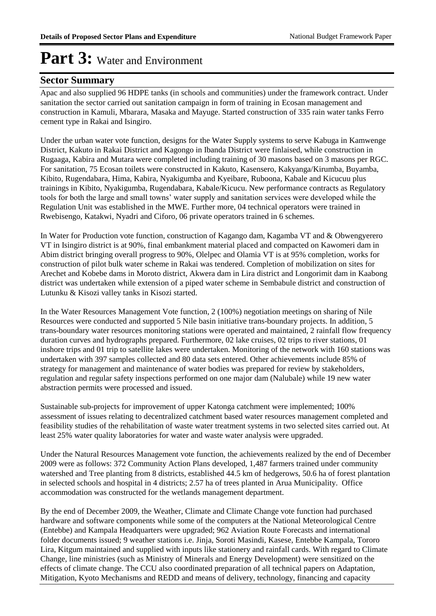#### **Sector Summary**

Apac and also supplied 96 HDPE tanks (in schools and communities) under the framework contract. Under sanitation the sector carried out sanitation campaign in form of training in Ecosan management and construction in Kamuli, Mbarara, Masaka and Mayuge. Started construction of 335 rain water tanks Ferro cement type in Rakai and Isingiro.

Under the urban water vote function, designs for the Water Supply systems to serve Kabuga in Kamwenge District, Kakuto in Rakai District and Kagongo in Ibanda District were finlaised, while construction in Rugaaga, Kabira and Mutara were completed including training of 30 masons based on 3 masons per RGC. For sanitation, 75 Ecosan toilets were constructed in Kakuto, Kasensero, Kakyanga/Kirumba, Buyamba, Kibito, Rugendabara, Hima, Kabira, Nyakigumba and Kyeibare, Ruboona, Kabale and Kicucuu plus trainings in Kibito, Nyakigumba, Rugendabara, Kabale/Kicucu. New performance contracts as Regulatory tools for both the large and small towns' water supply and sanitation services were developed while the Regulation Unit was established in the MWE. Further more, 04 technical operators were trained in Rwebisengo, Katakwi, Nyadri and Ciforo, 06 private operators trained in 6 schemes.

In Water for Production vote function, construction of Kagango dam, Kagamba VT and & Obwengyerero VT in Isingiro district is at 90%, final embankment material placed and compacted on Kawomeri dam in Abim district bringing overall progress to 90%, Olelpec and Olamia VT is at 95% completion, works for construction of pilot bulk water scheme in Rakai was tendered. Completion of mobilization on sites for Arechet and Kobebe dams in Moroto district, Akwera dam in Lira district and Longorimit dam in Kaabong district was undertaken while extension of a piped water scheme in Sembabule district and construction of Lutunku & Kisozi valley tanks in Kisozi started.

In the Water Resources Management Vote function, 2 (100%) negotiation meetings on sharing of Nile Resources were conducted and supported 5 Nile basin initiative trans-boundary projects. In addition, 5 trans-boundary water resources monitoring stations were operated and maintained, 2 rainfall flow frequency duration curves and hydrographs prepared. Furthermore, 02 lake cruises, 02 trips to river stations, 01 inshore trips and 01 trip to satellite lakes were undertaken. Monitoring of the network with 160 stations was undertaken with 397 samples collected and 80 data sets entered. Other achievements include 85% of strategy for management and maintenance of water bodies was prepared for review by stakeholders, regulation and regular safety inspections performed on one major dam (Nalubale) while 19 new water abstraction permits were processed and issued.

Sustainable sub-projects for improvement of upper Katonga catchment were implemented; 100% assessment of issues relating to decentralized catchment based water resources management completed and feasibility studies of the rehabilitation of waste water treatment systems in two selected sites carried out. At least 25% water quality laboratories for water and waste water analysis were upgraded.

Under the Natural Resources Management vote function, the achievements realized by the end of December 2009 were as follows: 372 Community Action Plans developed, 1,487 farmers trained under community watershed and Tree planting from 8 districts, established 44.5 km of hedgerows, 50.6 ha of forest plantation in selected schools and hospital in 4 districts; 2.57 ha of trees planted in Arua Municipality. Office accommodation was constructed for the wetlands management department.

By the end of December 2009, the Weather, Climate and Climate Change vote function had purchased hardware and software components while some of the computers at the National Meteorological Centre (Entebbe) and Kampala Headquarters were upgraded; 962 Aviation Route Forecasts and international folder documents issued; 9 weather stations i.e. Jinja, Soroti Masindi, Kasese, Entebbe Kampala, Tororo Lira, Kitgum maintained and supplied with inputs like stationery and rainfall cards. With regard to Climate Change, line ministries (such as Ministry of Minerals and Energy Development) were sensitized on the effects of climate change. The CCU also coordinated preparation of all technical papers on Adaptation, Mitigation, Kyoto Mechanisms and REDD and means of delivery, technology, financing and capacity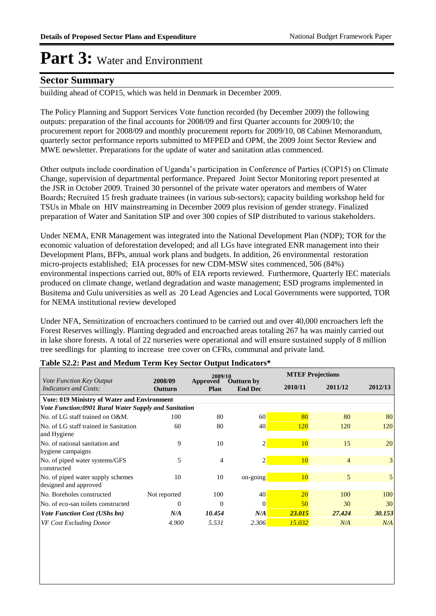#### **Sector Summary**

building ahead of COP15, which was held in Denmark in December 2009.

The Policy Planning and Support Services Vote function recorded (by December 2009) the following outputs: preparation of the final accounts for 2008/09 and first Quarter accounts for 2009/10; the procurement report for 2008/09 and monthly procurement reports for 2009/10, 08 Cabinet Memorandum, quarterly sector performance reports submitted to MFPED and OPM, the 2009 Joint Sector Review and MWE newsletter. Preparations for the update of water and sanitation atlas commenced.

Other outputs include coordination of Uganda's participation in Conference of Parties (COP15) on Climate Change, supervision of departmental performance. Prepared Joint Sector Monitoring report presented at the JSR in October 2009. Trained 30 personnel of the private water operators and members of Water Boards; Recruited 15 fresh graduate trainees (in various sub-sectors); capacity building workshop held for TSUs in Mbale on HIV mainstreaming in December 2009 plus revision of gender strategy. Finalized preparation of Water and Sanitation SIP and over 300 copies of SIP distributed to various stakeholders.

Under NEMA, ENR Management was integrated into the National Development Plan (NDP); TOR for the economic valuation of deforestation developed; and all LGs have integrated ENR management into their Development Plans, BFPs, annual work plans and budgets. In addition, 26 environmental restoration micro-projects established; EIA processes for new CDM-MSW sites commenced, 506 (84%) environmental inspections carried out, 80% of EIA reports reviewed. Furthermore, Quarterly IEC materials produced on climate change, wetland degradation and waste management; ESD programs implemented in Busitema and Gulu universities as well as 20 Lead Agencies and Local Governments were supported, TOR for NEMA institutional review developed

Under NFA, Sensitization of encroachers continued to be carried out and over 40,000 encroachers left the Forest Reserves willingly. Planting degraded and encroached areas totaling 267 ha was mainly carried out in lake shore forests. A total of 22 nurseries were operational and will ensure sustained supply of 8 million tree seedlings for planting to increase tree cover on CFRs, communal and private land.

|                                                      |                    | 2009/10          |                                     | <b>MTEF Projections</b> |                |                |  |
|------------------------------------------------------|--------------------|------------------|-------------------------------------|-------------------------|----------------|----------------|--|
| Vote Function Key Output<br>Indicators and Costs:    | 2008/09<br>Outturn | Approved<br>Plan | <b>Outturn by</b><br><b>End Dec</b> |                         | 2011/12        | 2012/13        |  |
| <b>Vote: 019 Ministry of Water and Environment</b>   |                    |                  |                                     |                         |                |                |  |
| Vote Function:0901 Rural Water Supply and Sanitation |                    |                  |                                     |                         |                |                |  |
| No. of LG staff trained on O&M.                      | 100                | 80               | 60                                  | 80                      | 80             | 80             |  |
| No. of LG staff trained in Sanitation                | 60                 | 80               | 40                                  | <b>120</b>              | 120            | 120            |  |
| and Hygiene                                          |                    |                  |                                     |                         |                |                |  |
| No. of national sanitation and                       | 9                  | 10               | 2                                   | 10                      | 15             | 20             |  |
| hygiene campaigns                                    |                    |                  |                                     |                         |                |                |  |
| No. of piped water systems/GFS                       | 5                  | 4                | っ                                   | 10                      | $\overline{4}$ | $\overline{3}$ |  |
| constructed                                          |                    |                  |                                     |                         |                |                |  |
| No. of piped water supply schemes                    | 10                 | 10               | on-going                            | 10                      | 5              | 5              |  |
| designed and approved                                |                    |                  |                                     |                         |                |                |  |
| No. Boreholes constructed                            | Not reported       | 100              | 40                                  | <b>20</b>               | 100            | 100            |  |
| No. of eco-san toilets constructed                   | 0                  | $\Omega$         | 0                                   | 50                      | 30             | 30             |  |
| <i>Vote Function Cost (UShs bn)</i>                  | N/A                | 10.454           | N/A                                 | 23.015                  | 27,424         | 30.153         |  |
| <b>VF Cost Excluding Donor</b>                       | 4.900              | 5.531            | 2.306                               | 15.032                  | N/A            | N/A            |  |

#### **Table S2.2: Past and Medum Term Key Sector Output Indicators\***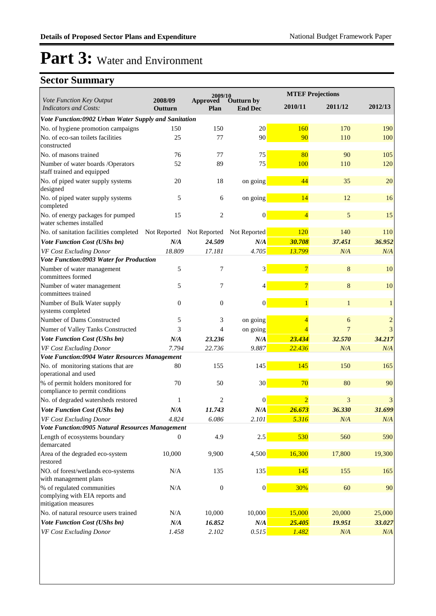|                                                                                     | 2009/10            |                  | <b>MTEF Projections</b>      |                |         |              |
|-------------------------------------------------------------------------------------|--------------------|------------------|------------------------------|----------------|---------|--------------|
| Vote Function Key Output<br><b>Indicators and Costs:</b>                            | 2008/09<br>Outturn | Approved<br>Plan | Outturn by<br><b>End Dec</b> | 2010/11        | 2011/12 | 2012/13      |
| Vote Function:0902 Urban Water Supply and Sanitation                                |                    |                  |                              |                |         |              |
| No. of hygiene promotion campaigns                                                  | 150                | 150              | 20                           | 160            | 170     | 190          |
| No. of eco-san toilets facilities<br>constructed                                    | 25                 | 77               | 90                           | 90             | 110     | 100          |
| No. of masons trained                                                               | 76                 | 77               | 75                           | 80             | 90      | 105          |
| Number of water boards /Operators<br>staff trained and equipped                     | 52                 | 89               | 75                           | 100            | 110     | 120          |
| No. of piped water supply systems<br>designed                                       | 20                 | 18               | on going                     | 44             | 35      | 20           |
| No. of piped water supply systems<br>completed                                      | 5                  | 6                | on going                     | 14             | 12      | 16           |
| No. of energy packages for pumped<br>water schemes installed                        | 15                 | 2                | $\boldsymbol{0}$             | $\overline{4}$ | 5       | 15           |
| No. of sanitation facilities completed Not Reported Not Reported                    |                    |                  | Not Reported                 | 120            | 140     | 110          |
| Vote Function Cost (UShs bn)                                                        | N/A                | 24.509           | N/A                          | 30.708         | 37.451  | 36.952       |
| VF Cost Excluding Donor                                                             | 18.809             | 17.181           | 4.705                        | 13.799         | N/A     | N/A          |
| Vote Function:0903 Water for Production                                             |                    |                  |                              |                |         |              |
| Number of water management<br>committees formed                                     | 5                  | 7                | 3                            | $\overline{7}$ | 8       | 10           |
| Number of water management<br>committees trained                                    | 5                  | 7                |                              | $\overline{7}$ | 8       | 10           |
| Number of Bulk Water supply<br>systems completed                                    | $\overline{0}$     | $\mathbf{0}$     | $\boldsymbol{0}$             |                |         | $\mathbf{1}$ |
| Number of Dams Constructed                                                          | 5                  | 3                | on going                     | 4              | 6       | $\sqrt{2}$   |
| Numer of Valley Tanks Constructed                                                   | 3                  | 4                | on going                     | $\overline{4}$ | 7       | 3            |
| Vote Function Cost (UShs bn)                                                        | N/A                | 23.236           | N/A                          | 23.434         | 32.570  | 34.217       |
| VF Cost Excluding Donor                                                             | 7.794              | 22.736           | 9.887                        | 22.436         | N/A     | N/A          |
| Vote Function:0904 Water Resources Management                                       |                    |                  |                              |                |         |              |
| No. of monitoring stations that are<br>operational and used                         | 80                 | 155              | 145                          | 145            | 150     | 165          |
| % of permit holders monitored for<br>compliance to permit conditions                | 70                 | 50               | 30 <sup>°</sup>              | 70             | 80      | 90           |
| No. of degraded watersheds restored                                                 | 1                  | 2                | $\theta$                     | $\overline{2}$ | 3       | 3            |
| Vote Function Cost (UShs bn)                                                        | N/A                | 11.743           | N/A                          | 26.673         | 36.330  | 31.699       |
| VF Cost Excluding Donor                                                             | 4.824              | 6.086            | 2.101                        | 5.316          | N/A     | N/A          |
| Vote Function:0905 Natural Resources Management                                     |                    |                  |                              |                |         |              |
| Length of ecosystems boundary<br>demarcated                                         | $\overline{0}$     | 4.9              | 2.5                          | 530            | 560     | 590          |
| Area of the degraded eco-system<br>restored                                         | 10,000             | 9,900            | 4,500                        | 16,300         | 17,800  | 19,300       |
| NO. of forest/wetlands eco-systems<br>with management plans                         | N/A                | 135              | 135                          | 145            | 155     | 165          |
| % of regulated communities<br>complying with EIA reports and<br>mitigation measures | N/A                | $\boldsymbol{0}$ | $\vert 0 \vert$              | 30%            | 60      | 90           |
| No. of natural resource users trained                                               | N/A                | 10,000           | 10,000                       | 15,000         | 20,000  | 25,000       |
| Vote Function Cost (UShs bn)                                                        | N/A                | 16.852           | N/A                          | 25.405         | 19.951  | 33.027       |
| VF Cost Excluding Donor                                                             | 1.458              | 2.102            | 0.515                        | 1.482          | N/A     | N/A          |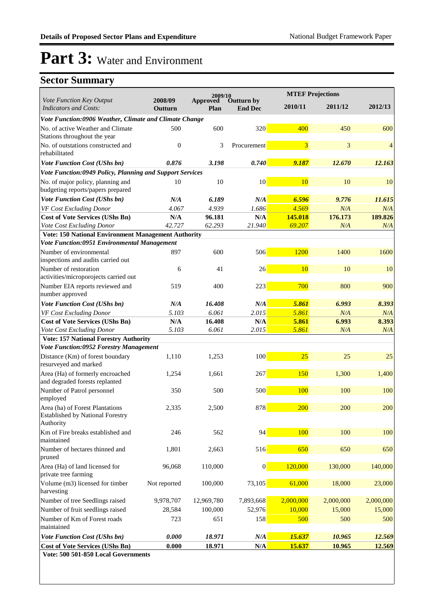|                                                                                         | 2009/10            |                         |                              | <b>MTEF Projections</b> |           |           |
|-----------------------------------------------------------------------------------------|--------------------|-------------------------|------------------------------|-------------------------|-----------|-----------|
| Vote Function Key Output<br><b>Indicators and Costs:</b>                                | 2008/09<br>Outturn | <b>Approved</b><br>Plan | Outturn by<br><b>End Dec</b> | 2010/11                 | 2011/12   | 2012/13   |
| Vote Function:0906 Weather, Climate and Climate Change                                  |                    |                         |                              |                         |           |           |
| No. of active Weather and Climate<br>Stations throughout the year                       | 500                | 600                     | 320                          | 400                     | 450       | 600       |
| No. of outstations constructed and<br>rehabilitated                                     | $\mathbf{0}$       | 3                       | Procurement                  | 3                       | 3         | 4         |
| Vote Function Cost (UShs bn)                                                            | 0.876              | 3.198                   | 0.740                        | 9.187                   | 12.670    | 12.163    |
| Vote Function:0949 Policy, Planning and Support Services                                |                    |                         |                              |                         |           |           |
| No. of major policy, planning and<br>budgeting reports/papers prepared                  | 10                 | 10                      | 10 <sub>l</sub>              | 10                      | 10        | 10        |
| <b>Vote Function Cost (UShs bn)</b>                                                     | N/A                | 6.189                   | N/A                          | 6.596                   | 9.776     | 11.615    |
| VF Cost Excluding Donor                                                                 | 4.067              | 4.939                   | 1.686                        | 4.569                   | N/A       | N/A       |
| <b>Cost of Vote Services (UShs Bn)</b>                                                  | N/A                | 96.181                  | N/A                          | 145.018                 | 176.173   | 189.826   |
| Vote Cost Excluding Donor                                                               | 42.727             | 62.293                  | 21.940                       | 69.207                  | N/A       | N/A       |
| <b>Vote: 150 National Environment Management Authority</b>                              |                    |                         |                              |                         |           |           |
| Vote Function:0951 Environmental Management                                             |                    |                         |                              |                         |           |           |
| Number of environmental<br>inspections and audits carried out                           | 897                | 600                     | 506                          | 1200                    | 1400      | 1600      |
| Number of restoration                                                                   | 6                  | 41                      | 26                           | 10                      | 10        | 10        |
| activities/microporojects carried out                                                   |                    |                         |                              |                         |           |           |
| Number EIA reports reviewed and<br>number approved                                      | 519                | 400                     | 223                          | 700                     | 800       | 900       |
| <b>Vote Function Cost (UShs bn)</b>                                                     | N/A                | 16.408                  | N/A                          | 5.861                   | 6.993     | 8.393     |
| VF Cost Excluding Donor                                                                 | 5.103              | 6.061                   | 2.015                        | 5.861                   | N/A       | N/A       |
| <b>Cost of Vote Services (UShs Bn)</b>                                                  | N/A                | 16.408                  | N/A                          | 5.861                   | 6.993     | 8.393     |
| Vote Cost Excluding Donor                                                               | 5.103              | 6.061                   | 2.015                        | 5.861                   | N/A       | N/A       |
| <b>Vote: 157 National Forestry Authority</b>                                            |                    |                         |                              |                         |           |           |
| <b>Vote Function:0952 Forestry Management</b>                                           |                    |                         |                              |                         |           |           |
| Distance (Km) of forest boundary<br>resurveyed and marked                               | 1,110              | 1,253                   | 100                          | 25                      | 25        | 25        |
| Area (Ha) of formerly encroached<br>and degraded forests replanted                      | 1,254              | 1,661                   | 267                          | 150                     | 1,300     | 1,400     |
| Number of Patrol personnel<br>employed                                                  | 350                | 500                     | 500                          | 100                     | 100       | 100       |
| Area (ha) of Forest Plantations<br><b>Established by National Forestry</b><br>Authority | 2,335              | 2,500                   | 878                          | 200                     | 200       | 200       |
| Km of Fire breaks established and<br>maintained                                         | 246                | 562                     | 94                           | 100                     | 100       | 100       |
| Number of hectares thinned and<br>pruned                                                | 1,801              | 2,663                   | 516                          | 650                     | 650       | 650       |
| Area (Ha) of land licensed for<br>private tree farming                                  | 96,068             | 110,000                 | $\vert 0 \vert$              | 120,000                 | 130,000   | 140,000   |
| Volume (m3) licensed for timber<br>harvesting                                           | Not reported       | 100,000                 | 73,105                       | 61,000                  | 18,000    | 23,000    |
| Number of tree Seedlings raised                                                         | 9,978,707          | 12,969,780              | 7,893,668                    | 2,000,000               | 2,000,000 | 2,000,000 |
| Number of fruit seedlings raised                                                        | 28,584             | 100,000                 | 52,976                       | 10,000                  | 15,000    | 15,000    |
| Number of Km of Forest roads                                                            | 723                | 651                     | 158                          | 500                     | 500       | 500       |
| maintained                                                                              |                    |                         |                              |                         |           |           |
| Vote Function Cost (UShs bn)                                                            | 0.000              | 18.971                  | N/A                          | 15.637                  | 10.965    | 12.569    |
| <b>Cost of Vote Services (UShs Bn)</b><br>Vote: 500 501-850 Local Governments           | 0.000              | 18.971                  | $\mathbf{N}/\mathbf{A}$      | 15.637                  | 10.965    | 12.569    |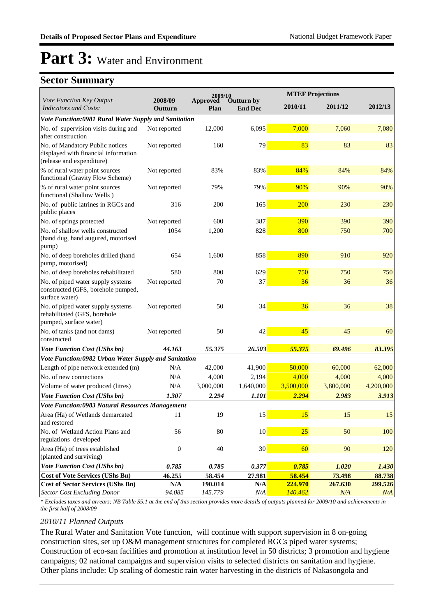### **Sector Summary**

|                                                                                                      |                    | 2009/10           |                              | <b>MTEF Projections</b> |                   |                   |
|------------------------------------------------------------------------------------------------------|--------------------|-------------------|------------------------------|-------------------------|-------------------|-------------------|
| Vote Function Key Output<br><b>Indicators and Costs:</b>                                             | 2008/09<br>Outturn | Approved<br>Plan  | Outturn by<br><b>End Dec</b> | 2010/11                 | 2011/12           | 2012/13           |
| Vote Function:0981 Rural Water Supply and Sanitation                                                 |                    |                   |                              |                         |                   |                   |
| No. of supervision visits during and<br>after construction                                           | Not reported       | 12,000            | 6,095                        | 7,000                   | 7,060             | 7,080             |
| No. of Mandatory Public notices<br>displayed with financial information<br>(release and expenditure) | Not reported       | 160               | 79                           | 83                      | 83                | 83                |
| % of rural water point sources<br>functional (Gravity Flow Scheme)                                   | Not reported       | 83%               | 83%                          | 84%                     | 84%               | 84%               |
| % of rural water point sources<br>functional (Shallow Wells)                                         | Not reported       | 79%               | 79%                          | 90%                     | 90%               | 90%               |
| No. of public latrines in RGCs and<br>public places                                                  | 316                | 200               | 165                          | 200                     | 230               | 230               |
| No. of springs protected                                                                             | Not reported       | 600               | 387                          | 390                     | 390               | 390               |
| No. of shallow wells constructed<br>(hand dug, hand augured, motorised<br>pump)                      | 1054               | 1,200             | 828                          | 800                     | 750               | 700               |
| No. of deep boreholes drilled (hand<br>pump, motorised)                                              | 654                | 1,600             | 858                          | 890                     | 910               | 920               |
| No. of deep boreholes rehabilitated                                                                  | 580                | 800               | 629                          | 750                     | 750               | 750               |
| No. of piped water supply systems<br>constructed (GFS, borehole pumped,<br>surface water)            | Not reported       | 70                | 37                           | 36                      | 36                | 36                |
| No. of piped water supply systems<br>rehabilitated (GFS, borehole<br>pumped, surface water)          | Not reported       | 50                | 34                           | 36                      | 36                | 38                |
| No. of tanks (and not dams)<br>constructed                                                           | Not reported       | 50                | 42                           | 45                      | 45                | 60                |
| <b>Vote Function Cost (UShs bn)</b>                                                                  | 44.163             | 55.375            | 26.503                       | 55.375                  | 69.496            | 83.395            |
| Vote Function:0982 Urban Water Supply and Sanitation                                                 |                    |                   |                              |                         |                   |                   |
| Length of pipe network extended (m)                                                                  | N/A                | 42,000            | 41,900                       | 50,000                  | 60,000            | 62,000            |
| No. of new connections                                                                               | N/A                | 4,000             | 2,194                        | 4,000                   | 4,000             | 4,000             |
| Volume of water produced (litres)                                                                    | N/A                | 3,000,000         | 1,640,000                    | 3,500,000               | 3,800,000         | 4,200,000         |
| <b>Vote Function Cost (UShs bn)</b>                                                                  | 1.307              | 2.294             | 1.101                        | 2.294                   | 2.983             | 3.913             |
| Vote Function:0983 Natural Resources Management                                                      |                    |                   |                              |                         |                   |                   |
| Area (Ha) of Wetlands demarcated<br>and restored                                                     |                    | 19                | 15                           | <b>15</b>               | 15                | 15                |
| No. of Wetland Action Plans and<br>regulations developed                                             | 56                 | $80\,$            | 10 <sup>°</sup>              | 25                      | 50                | 100               |
| Area (Ha) of trees established<br>(planted and surviving)                                            | $\mathbf{0}$       | 40                | 30                           | 60                      | 90                | 120               |
| Vote Function Cost (UShs bn)                                                                         | 0.785              | 0.785             | 0.377                        | 0.785                   | 1.020             | 1.430             |
| <b>Cost of Vote Services (UShs Bn)</b><br><b>Cost of Sector Services (UShs Bn)</b>                   | 46.255<br>N/A      | 58.454<br>190.014 | 27.981<br>N/A                | 58.454<br>224.970       | 73.498<br>267.630 | 88.738<br>299.526 |
| <b>Sector Cost Excluding Donor</b>                                                                   | 94.085             | 145.779           | N/A                          | 140.462                 | N/A               | N/A               |

*\* Excludes taxes and arrears; NB Table S5.1 at the end of this section provides more details of outputs planned for 2009/10 and achievements in the first half of 2008/09*

#### *2010/11 Planned Outputs*

The Rural Water and Sanitation Vote function, will continue with support supervision in 8 on-going construction sites, set up O&M management structures for completed RGCs piped water systems; Construction of eco-san facilities and promotion at institution level in 50 districts; 3 promotion and hygiene campaigns; 02 national campaigns and supervision visits to selected districts on sanitation and hygiene. Other plans include: Up scaling of domestic rain water harvesting in the districts of Nakasongola and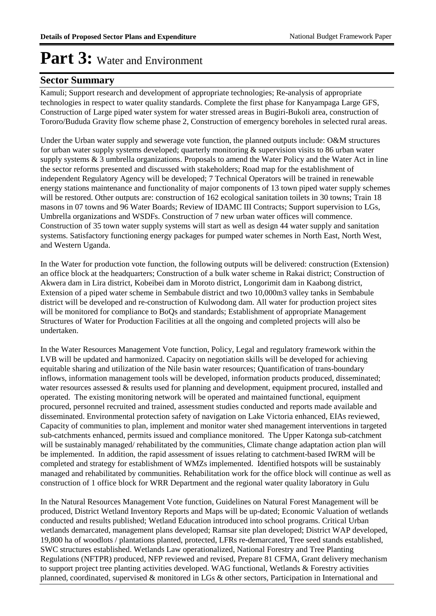#### **Sector Summary**

Kamuli; Support research and development of appropriate technologies; Re-analysis of appropriate technologies in respect to water quality standards. Complete the first phase for Kanyampaga Large GFS, Construction of Large piped water system for water stressed areas in Bugiri-Bukoli area, construction of Tororo/Bududa Gravity flow scheme phase 2, Construction of emergency boreholes in selected rural areas.

Under the Urban water supply and sewerage vote function, the planned outputs include: O&M structures for urban water supply systems developed; quarterly monitoring & supervision visits to 86 urban water supply systems  $\&$  3 umbrella organizations. Proposals to amend the Water Policy and the Water Act in line the sector reforms presented and discussed with stakeholders; Road map for the establishment of independent Regulatory Agency will be developed; 7 Technical Operators will be trained in renewable energy stations maintenance and functionality of major components of 13 town piped water supply schemes will be restored. Other outputs are: construction of 162 ecological sanitation toilets in 30 towns; Train 18 masons in 07 towns and 96 Water Boards; Review of IDAMC III Contracts; Support supervision to LGs, Umbrella organizations and WSDFs. Construction of 7 new urban water offices will commence. Construction of 35 town water supply systems will start as well as design 44 water supply and sanitation systems. Satisfactory functioning energy packages for pumped water schemes in North East, North West, and Western Uganda.

In the Water for production vote function, the following outputs will be delivered: construction (Extension) an office block at the headquarters; Construction of a bulk water scheme in Rakai district; Construction of Akwera dam in Lira district, Kobeibei dam in Moroto district, Longorimit dam in Kaabong district, Extension of a piped water scheme in Sembabule district and two 10,000m3 valley tanks in Sembabule district will be developed and re-construction of Kulwodong dam. All water for production project sites will be monitored for compliance to BoQs and standards; Establishment of appropriate Management Structures of Water for Production Facilities at all the ongoing and completed projects will also be undertaken.

In the Water Resources Management Vote function, Policy, Legal and regulatory framework within the LVB will be updated and harmonized. Capacity on negotiation skills will be developed for achieving equitable sharing and utilization of the Nile basin water resources; Quantification of trans-boundary inflows, information management tools will be developed, information products produced, disseminated; water resources assessed & results used for planning and development, equipment procured, installed and operated. The existing monitoring network will be operated and maintained functional, equipment procured, personnel recruited and trained, assessment studies conducted and reports made available and disseminated. Environmental protection safety of navigation on Lake Victoria enhanced, EIAs reviewed, Capacity of communities to plan, implement and monitor water shed management interventions in targeted sub-catchments enhanced, permits issued and compliance monitored. The Upper Katonga sub-catchment will be sustainably managed/ rehabilitated by the communities, Climate change adaptation action plan will be implemented. In addition, the rapid assessment of issues relating to catchment-based IWRM will be completed and strategy for establishment of WMZs implemented. Identified hotspots will be sustainably managed and rehabilitated by communities. Rehabilitation work for the office block will continue as well as construction of 1 office block for WRR Department and the regional water quality laboratory in Gulu

In the Natural Resources Management Vote function, Guidelines on Natural Forest Management will be produced, District Wetland Inventory Reports and Maps will be up-dated; Economic Valuation of wetlands conducted and results published; Wetland Education introduced into school programs. Critical Urban wetlands demarcated, management plans developed; Ramsar site plan developed; District WAP developed, 19,800 ha of woodlots / plantations planted, protected, LFRs re-demarcated, Tree seed stands established, SWC structures established. Wetlands Law operationalized, National Forestry and Tree Planting Regulations (NFTPR) produced, NFP reviewed and revised, Prepare 81 CFMA, Grant delivery mechanism to support project tree planting activities developed. WAG functional, Wetlands & Forestry activities planned, coordinated, supervised & monitored in LGs & other sectors, Participation in International and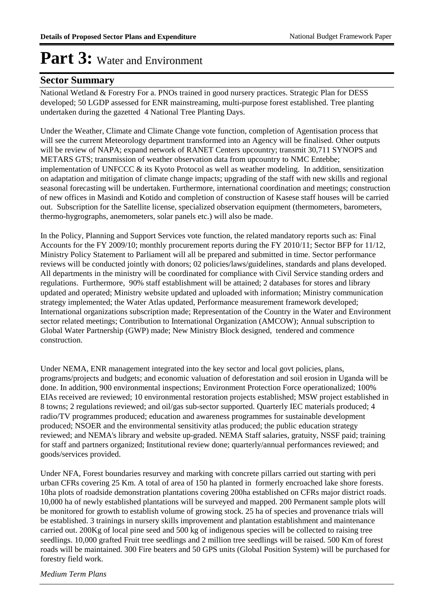#### **Sector Summary**

National Wetland & Forestry For a. PNOs trained in good nursery practices. Strategic Plan for DESS developed; 50 LGDP assessed for ENR mainstreaming, multi-purpose forest established. Tree planting undertaken during the gazetted 4 National Tree Planting Days.

Under the Weather, Climate and Climate Change vote function, completion of Agentisation process that will see the current Meteorology department transformed into an Agency will be finalised. Other outputs will be review of NAPA; expand network of RANET Centers upcountry; transmit 30.711 SYNOPS and METARS GTS; transmission of weather observation data from upcountry to NMC Entebbe; implementation of UNFCCC & its Kyoto Protocol as well as weather modeling. In addition, sensitization on adaptation and mitigation of climate change impacts; upgrading of the staff with new skills and regional seasonal forecasting will be undertaken. Furthermore, international coordination and meetings; construction of new offices in Masindi and Kotido and completion of construction of Kasese staff houses will be carried out. Subscription for the Satellite license, specialized observation equipment (thermometers, barometers, thermo-hygrographs, anemometers, solar panels etc.) will also be made.

In the Policy, Planning and Support Services vote function, the related mandatory reports such as: Final Accounts for the FY 2009/10; monthly procurement reports during the FY 2010/11; Sector BFP for 11/12, Ministry Policy Statement to Parliament will all be prepared and submitted in time. Sector performance reviews will be conducted jointly with donors; 02 policies/laws/guidelines, standards and plans developed. All departments in the ministry will be coordinated for compliance with Civil Service standing orders and regulations. Furthermore, 90% staff establishment will be attained; 2 databases for stores and library updated and operated; Ministry website updated and uploaded with information; Ministry communication strategy implemented; the Water Atlas updated, Performance measurement framework developed; International organizations subscription made; Representation of the Country in the Water and Environment sector related meetings; Contribution to International Organization (AMCOW); Annual subscription to Global Water Partnership (GWP) made; New Ministry Block designed, tendered and commence construction.

Under NEMA, ENR management integrated into the key sector and local govt policies, plans, programs/projects and budgets; and economic valuation of deforestation and soil erosion in Uganda will be done. In addition, 900 environmental inspections; Environment Protection Force operationalized; 100% EIAs received are reviewed; 10 environmental restoration projects established; MSW project established in 8 towns; 2 regulations reviewed; and oil/gas sub-sector supported. Quarterly IEC materials produced; 4 radio/TV programmes produced; education and awareness programmes for sustainable development produced; NSOER and the environmental sensitivity atlas produced; the public education strategy reviewed; and NEMA's library and website up-graded. NEMA Staff salaries, gratuity, NSSF paid; training for staff and partners organized; Institutional review done; quarterly/annual performances reviewed; and goods/services provided.

Under NFA, Forest boundaries resurvey and marking with concrete pillars carried out starting with peri urban CFRs covering 25 Km. A total of area of 150 ha planted in formerly encroached lake shore forests. 10ha plots of roadside demonstration plantations covering 200ha established on CFRs major district roads. 10,000 ha of newly established plantations will be surveyed and mapped. 200 Permanent sample plots will be monitored for growth to establish volume of growing stock. 25 ha of species and provenance trials will be established. 3 trainings in nursery skills improvement and plantation establishment and maintenance carried out. 200Kg of local pine seed and 500 kg of indigenous species will be collected to raising tree seedlings. 10,000 grafted Fruit tree seedlings and 2 million tree seedlings will be raised. 500 Km of forest roads will be maintained. 300 Fire beaters and 50 GPS units (Global Position System) will be purchased for forestry field work.

*Medium Term Plans*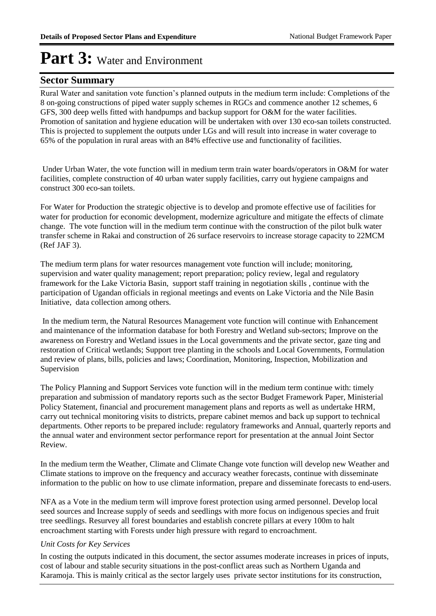### **Sector Summary**

Rural Water and sanitation vote function's planned outputs in the medium term include: Completions of the 8 on-going constructions of piped water supply schemes in RGCs and commence another 12 schemes, 6 GFS, 300 deep wells fitted with handpumps and backup support for O&M for the water facilities. Promotion of sanitation and hygiene education will be undertaken with over 130 eco-san toilets constructed. This is projected to supplement the outputs under LGs and will result into increase in water coverage to 65% of the population in rural areas with an 84% effective use and functionality of facilities.

 Under Urban Water, the vote function will in medium term train water boards/operators in O&M for water facilities, complete construction of 40 urban water supply facilities, carry out hygiene campaigns and construct 300 eco-san toilets.

For Water for Production the strategic objective is to develop and promote effective use of facilities for water for production for economic development, modernize agriculture and mitigate the effects of climate change. The vote function will in the medium term continue with the construction of the pilot bulk water transfer scheme in Rakai and construction of 26 surface reservoirs to increase storage capacity to 22MCM (Ref JAF 3).

The medium term plans for water resources management vote function will include; monitoring, supervision and water quality management; report preparation; policy review, legal and regulatory framework for the Lake Victoria Basin, support staff training in negotiation skills , continue with the participation of Ugandan officials in regional meetings and events on Lake Victoria and the Nile Basin Initiative, data collection among others.

 In the medium term, the Natural Resources Management vote function will continue with Enhancement and maintenance of the information database for both Forestry and Wetland sub-sectors; Improve on the awareness on Forestry and Wetland issues in the Local governments and the private sector, gaze ting and restoration of Critical wetlands; Support tree planting in the schools and Local Governments, Formulation and review of plans, bills, policies and laws; Coordination, Monitoring, Inspection, Mobilization and Supervision

The Policy Planning and Support Services vote function will in the medium term continue with: timely preparation and submission of mandatory reports such as the sector Budget Framework Paper, Ministerial Policy Statement, financial and procurement management plans and reports as well as undertake HRM, carry out technical monitoring visits to districts, prepare cabinet memos and back up support to technical departments. Other reports to be prepared include: regulatory frameworks and Annual, quarterly reports and the annual water and environment sector performance report for presentation at the annual Joint Sector Review.

In the medium term the Weather, Climate and Climate Change vote function will develop new Weather and Climate stations to improve on the frequency and accuracy weather forecasts, continue with disseminate information to the public on how to use climate information, prepare and disseminate forecasts to end-users.

NFA as a Vote in the medium term will improve forest protection using armed personnel. Develop local seed sources and Increase supply of seeds and seedlings with more focus on indigenous species and fruit tree seedlings. Resurvey all forest boundaries and establish concrete pillars at every 100m to halt encroachment starting with Forests under high pressure with regard to encroachment.

#### *Unit Costs for Key Services*

In costing the outputs indicated in this document, the sector assumes moderate increases in prices of inputs, cost of labour and stable security situations in the post-conflict areas such as Northern Uganda and Karamoja. This is mainly critical as the sector largely uses private sector institutions for its construction,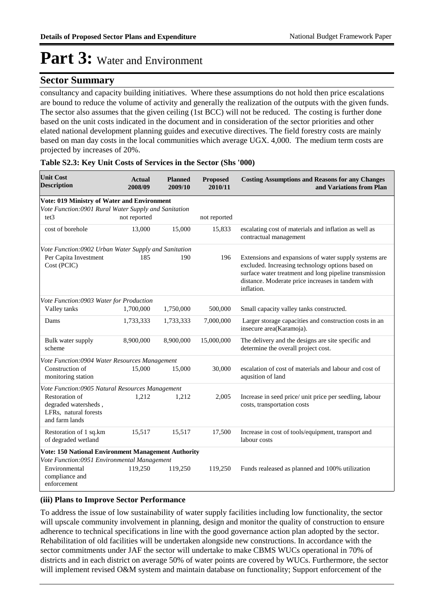#### **Sector Summary**

consultancy and capacity building initiatives. Where these assumptions do not hold then price escalations are bound to reduce the volume of activity and generally the realization of the outputs with the given funds. The sector also assumes that the given ceiling (1st BCC) will not be reduced. The costing is further done based on the unit costs indicated in the document and in consideration of the sector priorities and other elated national development planning guides and executive directives. The field forestry costs are mainly based on man day costs in the local communities which average UGX. 4,000. The medium term costs are projected by increases of 20%.

| <b>Unit Cost</b><br><b>Description</b>                                            | <b>Actual</b><br>2008/09 | <b>Planned</b><br>2009/10 | <b>Proposed</b><br>2010/11 | <b>Costing Assumptions and Reasons for any Changes</b><br>and Variations from Plan                                                                                                                                                     |
|-----------------------------------------------------------------------------------|--------------------------|---------------------------|----------------------------|----------------------------------------------------------------------------------------------------------------------------------------------------------------------------------------------------------------------------------------|
| Vote: 019 Ministry of Water and Environment                                       |                          |                           |                            |                                                                                                                                                                                                                                        |
| Vote Function:0901 Rural Water Supply and Sanitation<br>tet3                      | not reported             |                           | not reported               |                                                                                                                                                                                                                                        |
| cost of borehole                                                                  | 13,000                   | 15,000                    | 15,833                     | escalating cost of materials and inflation as well as<br>contractual management                                                                                                                                                        |
| Vote Function:0902 Urban Water Supply and Sanitation                              |                          |                           |                            |                                                                                                                                                                                                                                        |
| Per Capita Investment<br>Cost (PCIC)                                              | 185                      | 190                       | 196                        | Extensions and expansions of water supply systems are<br>excluded. Increasing technology options based on<br>surface water treatment and long pipeline transmission<br>distance. Moderate price increases in tandem with<br>inflation. |
| Vote Function:0903 Water for Production                                           |                          |                           |                            |                                                                                                                                                                                                                                        |
| Valley tanks                                                                      | 1,700,000                | 1,750,000                 | 500,000                    | Small capacity valley tanks constructed.                                                                                                                                                                                               |
| Dams                                                                              | 1,733,333                | 1,733,333                 | 7,000,000                  | Larger storage capacities and construction costs in an<br>insecure area(Karamoja).                                                                                                                                                     |
| Bulk water supply<br>scheme                                                       | 8,900,000                | 8,900,000                 | 15,000,000                 | The delivery and the designs are site specific and<br>determine the overall project cost.                                                                                                                                              |
| Vote Function:0904 Water Resources Management                                     |                          |                           |                            |                                                                                                                                                                                                                                        |
| Construction of<br>monitoring station                                             | 15,000                   | 15,000                    | 30,000                     | escalation of cost of materials and labour and cost of<br>aqusition of land                                                                                                                                                            |
| Vote Function:0905 Natural Resources Management                                   |                          |                           |                            |                                                                                                                                                                                                                                        |
| Restoration of<br>degraded watersheds,<br>LFRs, natural forests<br>and farm lands | 1,212                    | 1,212                     | 2,005                      | Increase in seed price/ unit price per seedling, labour<br>costs, transportation costs                                                                                                                                                 |
| Restoration of 1 sq.km<br>of degraded wetland                                     | 15,517                   | 15,517                    | 17,500                     | Increase in cost of tools/equipment, transport and<br>labour costs                                                                                                                                                                     |
| Vote: 150 National Environment Management Authority                               |                          |                           |                            |                                                                                                                                                                                                                                        |
| Vote Function:0951 Environmental Management<br>Environmental<br>compliance and    | 119,250                  | 119,250                   | 119,250                    | Funds realeased as planned and 100% utilization                                                                                                                                                                                        |
| enforcement                                                                       |                          |                           |                            |                                                                                                                                                                                                                                        |

#### **Table S2.3: Key Unit Costs of Services in the Sector (Shs '000)**

#### **(iii) Plans to Improve Sector Performance**

To address the issue of low sustainability of water supply facilities including low functionality, the sector will upscale community involvement in planning, design and monitor the quality of construction to ensure adherence to technical specifications in line with the good governance action plan adopted by the sector. Rehabilitation of old facilities will be undertaken alongside new constructions. In accordance with the sector commitments under JAF the sector will undertake to make CBMS WUCs operational in 70% of districts and in each district on average 50% of water points are covered by WUCs. Furthermore, the sector will implement revised O&M system and maintain database on functionality; Support enforcement of the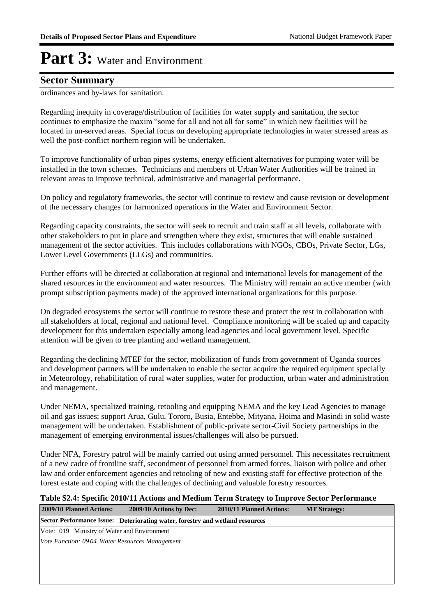#### **Sector Summary**

ordinances and by-laws for sanitation.

Regarding inequity in coverage/distribution of facilities for water supply and sanitation, the sector continues to emphasize the maxim "some for all and not all for some" in which new facilities will be located in un-served areas. Special focus on developing appropriate technologies in water stressed areas as well the post-conflict northern region will be undertaken.

To improve functionality of urban pipes systems, energy efficient alternatives for pumping water will be installed in the town schemes. Technicians and members of Urban Water Authorities will be trained in relevant areas to improve technical, administrative and managerial performance.

On policy and regulatory frameworks, the sector will continue to review and cause revision or development of the necessary changes for harmonized operations in the Water and Environment Sector.

Regarding capacity constraints, the sector will seek to recruit and train staff at all levels, collaborate with other stakeholders to put in place and strengthen where they exist, structures that will enable sustained management of the sector activities. This includes collaborations with NGOs, CBOs, Private Sector, LGs, Lower Level Governments (LLGs) and communities.

Further efforts will be directed at collaboration at regional and international levels for management of the shared resources in the environment and water resources. The Ministry will remain an active member (with prompt subscription payments made) of the approved international organizations for this purpose.

On degraded ecosystems the sector will continue to restore these and protect the rest in collaboration with all stakeholders at local, regional and national level. Compliance monitoring will be scaled up and capacity development for this undertaken especially among lead agencies and local government level. Specific attention will be given to tree planting and wetland management.

Regarding the declining MTEF for the sector, mobilization of funds from government of Uganda sources and development partners will be undertaken to enable the sector acquire the required equipment specially in Meteorology, rehabilitation of rural water supplies, water for production, urban water and administration and management.

Under NEMA, specialized training, retooling and equipping NEMA and the key Lead Agencies to manage oil and gas issues; support Arua, Gulu, Tororo, Busia, Entebbe, Mityana, Hoima and Masindi in solid waste management will be undertaken. Establishment of public-private sector-Civil Society partnerships in the management of emerging environmental issues/challenges will also be pursued.

Under NFA, Forestry patrol will be mainly carried out using armed personnel. This necessitates recruitment of a new cadre of frontline staff, secondment of personnel from armed forces, liaison with police and other law and order enforcement agencies and retooling of new and existing staff for effective protection of the forest estate and coping with the challenges of declining and valuable forestry resources.

#### **Table S2.4: Specific 2010/11 Actions and Medium Term Strategy to Improve Sector Performance**

| 2009/10 Planned Actions:                       | 2009/10 Actions by Dec:                                                       | 2010/11 Planned Actions: | <b>MT Strategy:</b> |
|------------------------------------------------|-------------------------------------------------------------------------------|--------------------------|---------------------|
|                                                | Sector Performance Issue: Deteriorating water, forestry and wetland resources |                          |                     |
| Vote: 019 Ministry of Water and Environment    |                                                                               |                          |                     |
| Vote Function: 0904 Water Resources Management |                                                                               |                          |                     |
|                                                |                                                                               |                          |                     |
|                                                |                                                                               |                          |                     |
|                                                |                                                                               |                          |                     |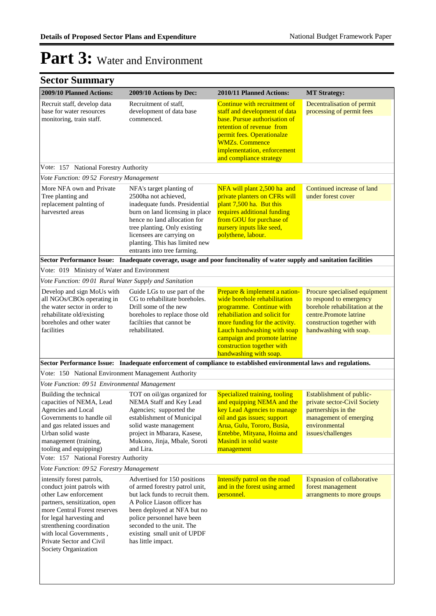| 2009/10 Planned Actions:                                                                                                                                                                                                                                                                  | 2009/10 Actions by Dec:                                                                                                                                                                                                                                                             | 2010/11 Planned Actions:                                                                                                                                                                                                                                  | <b>MT Strategy:</b>                                                                                                                                                          |
|-------------------------------------------------------------------------------------------------------------------------------------------------------------------------------------------------------------------------------------------------------------------------------------------|-------------------------------------------------------------------------------------------------------------------------------------------------------------------------------------------------------------------------------------------------------------------------------------|-----------------------------------------------------------------------------------------------------------------------------------------------------------------------------------------------------------------------------------------------------------|------------------------------------------------------------------------------------------------------------------------------------------------------------------------------|
| Recruit staff, develop data<br>base for water resources<br>monitoring, train staff.                                                                                                                                                                                                       | Recruitment of staff,<br>development of data base<br>commenced.                                                                                                                                                                                                                     | Continue with recruitment of<br>staff and development of data<br>base. Pursue authorisation of<br>retention of revenue from<br>permit fees. Operationalze<br><b>WMZs. Commence</b><br>implementation, enforcement<br>and compliance strategy              | Decentralisation of permit<br>processing of permit fees                                                                                                                      |
| Vote: 157 National Forestry Authority                                                                                                                                                                                                                                                     |                                                                                                                                                                                                                                                                                     |                                                                                                                                                                                                                                                           |                                                                                                                                                                              |
| Vote Function: 09 52 Forestry Management                                                                                                                                                                                                                                                  |                                                                                                                                                                                                                                                                                     |                                                                                                                                                                                                                                                           |                                                                                                                                                                              |
| More NFA own and Private<br>Tree planting and<br>replacement palnting of<br>harvesrted areas                                                                                                                                                                                              | NFA's target planting of<br>2500ha not achieved,<br>inadequate funds. Presidential<br>burn on land licensing in place<br>hence no land allocation for<br>tree planting. Only existing<br>licensees are carrying on<br>planting. This has limited new<br>entrants into tree farming. | NFA will plant 2,500 ha and<br>private planters on CFRs will<br>plant 7,500 ha. But this<br>requires additional funding<br>from GOU for purchase of<br>nursery inputs like seed,<br>polythene, labour.                                                    | Continued increase of land<br>under forest cover                                                                                                                             |
|                                                                                                                                                                                                                                                                                           |                                                                                                                                                                                                                                                                                     | Sector Performance Issue: Inadequate coverage, usage and poor funcitonality of water supply and sanitation facilities                                                                                                                                     |                                                                                                                                                                              |
| Vote: 019 Ministry of Water and Environment                                                                                                                                                                                                                                               |                                                                                                                                                                                                                                                                                     |                                                                                                                                                                                                                                                           |                                                                                                                                                                              |
| Vote Function: 0901 Rural Water Supply and Sanitation                                                                                                                                                                                                                                     |                                                                                                                                                                                                                                                                                     |                                                                                                                                                                                                                                                           |                                                                                                                                                                              |
| Develop and sign MoUs with<br>all NGOs/CBOs operating in<br>the water sector in order to<br>rehabilitate old/existing<br>boreholes and other water<br>facilities                                                                                                                          | Guide LGs to use part of the<br>CG to rehabilitate boreholes.<br>Drill some of the new<br>boreholes to replace those old<br>faciltiies that cannot be<br>rehabilitated.                                                                                                             | Prepare & implement a nation-<br>wide borehole rehabilitation<br>programme. Continue with<br>rehabiliation and solicit for<br>more funding for the activity.<br>Lauch handwashing with soap<br>campaign and promote latrine<br>construction together with | Procure specialised equipment<br>to respond to emergency<br>borehole rehabilitation at the<br>centre.Promote latrine<br>construction together with<br>handwashing with soap. |
|                                                                                                                                                                                                                                                                                           |                                                                                                                                                                                                                                                                                     | handwashing with soap.                                                                                                                                                                                                                                    |                                                                                                                                                                              |
| Vote: 150 National Environment Management Authority                                                                                                                                                                                                                                       |                                                                                                                                                                                                                                                                                     | Sector Performance Issue: Inadequate enforcement of compliance to established environmental laws and regulations.                                                                                                                                         |                                                                                                                                                                              |
| Vote Function: 09 51 Environmental Management                                                                                                                                                                                                                                             |                                                                                                                                                                                                                                                                                     |                                                                                                                                                                                                                                                           |                                                                                                                                                                              |
| Building the technical<br>capacities of NEMA, Lead<br>Agencies and Local<br>Governments to handle oil<br>and gas related issues and<br>Urban solid waste<br>management (training,<br>tooling and equipping)                                                                               | TOT on oil/gas organized for<br>NEMA Staff and Key Lead<br>Agencies; supported the<br>establishment of Municipal<br>solid waste management<br>project in Mbarara, Kasese,<br>Mukono, Jinja, Mbale, Soroti<br>and Lira.                                                              | Specialized training, tooling<br>and equipping NEMA and the<br>key Lead Agencies to manage<br>oil and gas issues; support<br>Arua, Gulu, Tororo, Busia,<br>Entebbe, Mityana, Hoima and<br>Masindi in solid waste<br>management                            | Establishment of public-<br>private sector-Civil Society<br>partnerships in the<br>management of emerging<br>environmental<br>issues/challenges                              |
| Vote: 157 National Forestry Authority                                                                                                                                                                                                                                                     |                                                                                                                                                                                                                                                                                     |                                                                                                                                                                                                                                                           |                                                                                                                                                                              |
| Vote Function: 0952 Forestry Management                                                                                                                                                                                                                                                   |                                                                                                                                                                                                                                                                                     |                                                                                                                                                                                                                                                           |                                                                                                                                                                              |
| intensify forest patrols,<br>conduct joint patrols with<br>other Law enforcement<br>partners, sensitization, open<br>more Central Forest reserves<br>for legal harvesting and<br>strenthening coordination<br>with local Governments,<br>Private Sector and Civil<br>Society Organization | Advertised for 150 positions<br>of armed forestry patrol unit,<br>but lack funds to recruit them.<br>A Police Liason officer has<br>been deployed at NFA but no<br>police personnel have been<br>seconded to the unit. The<br>existing small unit of UPDF<br>has little impact.     | Intensify patrol on the road<br>and in the forest using armed<br>personnel.                                                                                                                                                                               | <b>Expnasion of collaborative</b><br>forest management<br>arrangments to more groups                                                                                         |
|                                                                                                                                                                                                                                                                                           |                                                                                                                                                                                                                                                                                     |                                                                                                                                                                                                                                                           |                                                                                                                                                                              |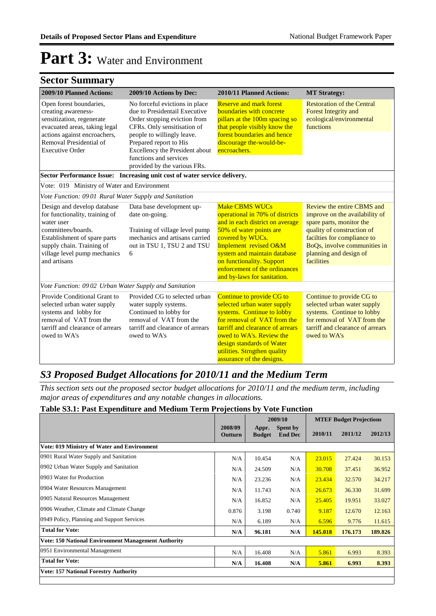### **Sector Summary**

| 2009/10 Planned Actions:                                                                                                                                                                                       | 2009/10 Actions by Dec:                                                                                                                                                                                                                                                            | 2010/11 Planned Actions:                                                                                                                                                                                                                                                                         | <b>MT Strategy:</b>                                                                                                                                                                                                           |
|----------------------------------------------------------------------------------------------------------------------------------------------------------------------------------------------------------------|------------------------------------------------------------------------------------------------------------------------------------------------------------------------------------------------------------------------------------------------------------------------------------|--------------------------------------------------------------------------------------------------------------------------------------------------------------------------------------------------------------------------------------------------------------------------------------------------|-------------------------------------------------------------------------------------------------------------------------------------------------------------------------------------------------------------------------------|
| Open forest boundaries,<br>creating awareness-<br>sensitization, regenerate<br>evacuated areas, taking legal<br>actions against encroachers,<br>Removal Presidential of<br><b>Executive Order</b>              | No forceful evictions in place<br>due to Presidentail Executive<br>Order stopping eviction from<br>CFRs. Only sensitisation of<br>people to willingly leave.<br>Prepared report to His<br>Excellency the President about<br>functions and services<br>provided by the various FRs. | <b>Reserve and mark forest</b><br><b>boundaries with concrete</b><br>pillars at the 100m spacing so<br>that people visibly know the<br>forest boundaries and hence<br>discourage the-would-be-<br>encroachers.                                                                                   | <b>Restoration of the Central</b><br><b>Forest Integrity and</b><br>ecological/environmental<br>functions                                                                                                                     |
| <b>Sector Performance Issue:</b>                                                                                                                                                                               | Increasing unit cost of water service delivery.                                                                                                                                                                                                                                    |                                                                                                                                                                                                                                                                                                  |                                                                                                                                                                                                                               |
| Vote: 019 Ministry of Water and Environment                                                                                                                                                                    |                                                                                                                                                                                                                                                                                    |                                                                                                                                                                                                                                                                                                  |                                                                                                                                                                                                                               |
| Vote Function: 0901 Rural Water Supply and Sanitation                                                                                                                                                          |                                                                                                                                                                                                                                                                                    |                                                                                                                                                                                                                                                                                                  |                                                                                                                                                                                                                               |
| Design and develop database<br>for functionality, training of<br>water user<br>committees/boards.<br>Establishment of spare parts<br>supply chain. Training of<br>village level pump mechanics<br>and artisans | Data base development up-<br>date on-going.<br>Training of village level pump<br>mechanics and artisans carried<br>out in TSU 1, TSU 2 and TSU<br>6                                                                                                                                | <b>Make CBMS WUCs</b><br>operational in 70% of districts<br>and in each district on average<br>50% of water points are<br>covered by WUCs.<br>Implement revised O&M<br>system and maintain database<br>on functionality. Support<br>enforcement of the ordinances<br>and by-laws for sanitation. | Review the entire CBMS and<br>improve on the availability of<br>spare parts, monitor the<br>quality of construction of<br>facilties for compliance to<br>BoQs, involve communities in<br>planning and design of<br>facilities |
| Vote Function: 0902 Urban Water Supply and Sanitation                                                                                                                                                          |                                                                                                                                                                                                                                                                                    |                                                                                                                                                                                                                                                                                                  |                                                                                                                                                                                                                               |
| Provide Conditional Grant to<br>selected urban water supply<br>systems and lobby for<br>removal of VAT from the<br>tarriff and clearance of arrears<br>owed to WA's                                            | Provided CG to selected urban<br>water supply systems.<br>Continued to lobby for<br>removal of VAT from the<br>tarriff and clearance of arrears<br>owed to WA's                                                                                                                    | Continue to provide CG to<br>selected urban water supply<br>systems. Continue to lobby<br>for removal of VAT from the<br>tarriff and clearance of arrears<br>owed to WA's. Review the<br>design standards of Water<br>utilities. Strngthen quality<br>assurance of the designs.                  | Continue to provide CG to<br>selected urban water supply<br>systems. Continue to lobby<br>for removal of VAT from the<br>tarriff and clearance of arrears<br>owed to WA's                                                     |

### *S3 Proposed Budget Allocations for 2010/11 and the Medium Term*

*This section sets out the proposed sector budget allocations for 2010/11 and the medium term, including major areas of expenditures and any notable changes in allocations.* 

#### **Table S3.1: Past Expenditure and Medium Term Projections by Vote Function**

|                                                            |                    | 2009/10                |                            | <b>MTEF Budget Projections</b> |         |         |  |
|------------------------------------------------------------|--------------------|------------------------|----------------------------|--------------------------------|---------|---------|--|
|                                                            | 2008/09<br>Outturn | Appr.<br><b>Budget</b> | Spent by<br><b>End Dec</b> | 2010/11                        | 2011/12 | 2012/13 |  |
| <b>Vote: 019 Ministry of Water and Environment</b>         |                    |                        |                            |                                |         |         |  |
| 0901 Rural Water Supply and Sanitation                     | N/A                | 10.454                 | N/A                        | 23.015                         | 27.424  | 30.153  |  |
| 0902 Urban Water Supply and Sanitation                     | N/A                | 24.509                 | N/A                        | 30.708                         | 37.451  | 36.952  |  |
| 0903 Water for Production                                  | N/A                | 23.236                 | N/A                        | 23.434                         | 32.570  | 34.217  |  |
| 0904 Water Resources Management                            | N/A                | 11.743                 | N/A                        | 26.673                         | 36.330  | 31.699  |  |
| 0905 Natural Resources Management                          | N/A                | 16.852                 | N/A                        | 25.405                         | 19.951  | 33.027  |  |
| 0906 Weather, Climate and Climate Change                   | 0.876              | 3.198                  | 0.740                      | 9.187                          | 12.670  | 12.163  |  |
| 0949 Policy, Planning and Support Services                 | N/A                | 6.189                  | N/A                        | 6.596                          | 9.776   | 11.615  |  |
| <b>Total for Vote:</b>                                     | N/A                | 96.181                 | N/A                        | 145.018                        | 176.173 | 189.826 |  |
| <b>Vote: 150 National Environment Management Authority</b> |                    |                        |                            |                                |         |         |  |
| 0951 Environmental Management                              | N/A                | 16.408                 | N/A                        | 5.861                          | 6.993   | 8.393   |  |
| <b>Total for Vote:</b>                                     | N/A                | 16.408                 | N/A                        | 5.861                          | 6.993   | 8.393   |  |
| <b>Vote: 157 National Forestry Authority</b>               |                    |                        |                            |                                |         |         |  |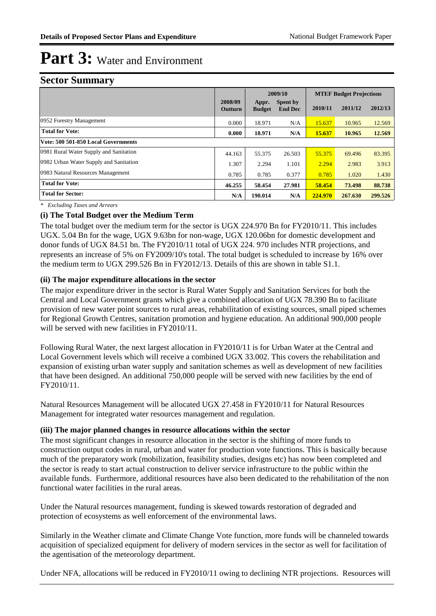#### **Sector Summary**

|                                        | 2009/10                   |                        | <b>MTEF Budget Projections</b> |         |         |         |
|----------------------------------------|---------------------------|------------------------|--------------------------------|---------|---------|---------|
|                                        | 2008/09<br><b>Outturn</b> | Appr.<br><b>Budget</b> | Spent by<br><b>End Dec</b>     | 2010/11 | 2011/12 | 2012/13 |
| 0952 Forestry Management               | 0.000                     | 18.971                 | N/A                            | 15.637  | 10.965  | 12.569  |
| <b>Total for Vote:</b>                 | 0.000                     | 18.971                 | N/A                            | 15.637  | 10.965  | 12.569  |
| Vote: 500 501-850 Local Governments    |                           |                        |                                |         |         |         |
| 0981 Rural Water Supply and Sanitation | 44.163                    | 55.375                 | 26.503                         | 55.375  | 69.496  | 83.395  |
| 0982 Urban Water Supply and Sanitation | 1.307                     | 2.294                  | 1.101                          | 2.294   | 2.983   | 3.913   |
| 0983 Natural Resources Management      | 0.785                     | 0.785                  | 0.377                          | 0.785   | 1.020   | 1.430   |
| <b>Total for Vote:</b>                 | 46.255                    | 58.454                 | 27.981                         | 58.454  | 73.498  | 88.738  |
| <b>Total for Sector:</b>               | N/A                       | 190.014                | N/A                            | 224,970 | 267.630 | 299.526 |

*\* Excluding Taxes and Arrears*

#### **(i) The Total Budget over the Medium Term**

The total budget over the medium term for the sector is UGX 224.970 Bn for FY2010/11. This includes UGX. 5.04 Bn for the wage, UGX 9.63bn for non-wage, UGX 120.06bn for domestic development and donor funds of UGX 84.51 bn. The FY2010/11 total of UGX 224. 970 includes NTR projections, and represents an increase of 5% on FY2009/10's total. The total budget is scheduled to increase by 16% over the medium term to UGX 299.526 Bn in FY2012/13. Details of this are shown in table S1.1.

#### **(ii) The major expenditure allocations in the sector**

The major expenditure driver in the sector is Rural Water Supply and Sanitation Services for both the Central and Local Government grants which give a combined allocation of UGX 78.390 Bn to facilitate provision of new water point sources to rural areas, rehabilitation of existing sources, small piped schemes for Regional Growth Centres, sanitation promotion and hygiene education. An additional 900,000 people will be served with new facilities in FY2010/11.

Following Rural Water, the next largest allocation in FY2010/11 is for Urban Water at the Central and Local Government levels which will receive a combined UGX 33.002. This covers the rehabilitation and expansion of existing urban water supply and sanitation schemes as well as development of new facilities that have been designed. An additional 750,000 people will be served with new facilities by the end of FY2010/11.

Natural Resources Management will be allocated UGX 27.458 in FY2010/11 for Natural Resources Management for integrated water resources management and regulation.

#### **(iii) The major planned changes in resource allocations within the sector**

The most significant changes in resource allocation in the sector is the shifting of more funds to construction output codes in rural, urban and water for production vote functions. This is basically because much of the preparatory work (mobilization, feasibility studies, designs etc) has now been completed and the sector is ready to start actual construction to deliver service infrastructure to the public within the available funds. Furthermore, additional resources have also been dedicated to the rehabilitation of the non functional water facilities in the rural areas.

Under the Natural resources management, funding is skewed towards restoration of degraded and protection of ecosystems as well enforcement of the environmental laws.

Similarly in the Weather climate and Climate Change Vote function, more funds will be channeled towards acquisition of specialized equipment for delivery of modern services in the sector as well for facilitation of the agentisation of the meteorology department.

Under NFA, allocations will be reduced in FY2010/11 owing to declining NTR projections. Resources will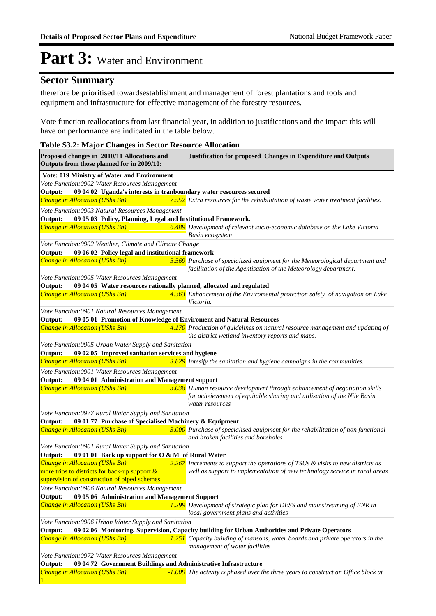#### **Sector Summary**

1

therefore be prioritised towardsestablishment and management of forest plantations and tools and equipment and infrastructure for effective management of the forestry resources.

Vote function reallocations from last financial year, in addition to justifications and the impact this will have on performance are indicated in the table below.

#### **Table S3.2: Major Changes in Sector Resource Allocation Proposed changes in 2010/11 Allocations and Justification for proposed Changes in Expenditure and Outputs Outputs from those planned for in 2009/10: Vote: 019 Ministry of Water and Environment** *Change in Allocation (UShs Bn) 7.552 Extra resources for the rehabilitation of waste water treatment facilities.* **Output: 09 04 02 Uganda's interests in tranboundary water resources secured** *Vote Function:0902 Water Resources Management Change in Allocation (UShs Bn) 6.489 Development of relevant socio-economic database on the Lake Victoria Basin ecosystem* **Output: 09 05 03 Policy, Planning, Legal and Institutional Framework.** *Vote Function:0903 Natural Resources Management Change in Allocation (UShs Bn) 5.569 Purchase of specialized equipment for the Meteorological department and facilitation of the Agentisation of the Meteorology department.* **Output: 09 06 02 Policy legal and institutional framework** *Vote Function:0902 Weather, Climate and Climate Change Change in Allocation (UShs Bn) 4.363 Enhancement of the Enviromental protection safety of navigation on Lake Victoria.* **Output: 09 04 05 Water resources rationally planned, allocated and regulated** *Vote Function:0905 Water Resources Management Change in Allocation (UShs Bn) 4.170 Production of guidelines on natural resource management and updating of the district wetland inventory reports and maps.* **Output: 09 05 01 Promotion of Knowledge of Enviroment and Natural Resources** *Vote Function:0901 Natural Resources Management Change in Allocation (UShs Bn) 3.829 Intesify the sanitation and hygiene campaigns in the communities.* **Output: 09 02 05 Improved sanitation services and hygiene** *Vote Function:0905 Urban Water Supply and Sanitation Change in Allocation (UShs Bn) 3.038 Human resource development through enhancement of negotiation skills for acheievement of equitable sharing and utilisation of the Nile Basin water resources* **Output: 09 04 01 Administration and Management support** *Vote Function:0901 Water Resources Management Change in Allocation (UShs Bn) 3.000 Purchase of specialised equipment for the rehabilitation of non functional and broken facilities and boreholes* **Output: 09 01 77 Purchase of Specialised Machinery & Equipment** *Vote Function:0977 Rural Water Supply and Sanitation Change in Allocation (UShs Bn)* more trips to districts for back-up support & supervision of construction of piped schemes *Increments to support the operations of TSUs & visits to new districts as well as support to implementation of new technology service in rural areas* **Output: 09 01 01 Back up support for O & M of Rural Water** *Vote Function:0901 Rural Water Supply and Sanitation Change in Allocation (UShs Bn) 1.299 Development of strategic plan for DESS and mainstreaming of ENR in local government plans and activities* **Output: 09 05 06 Administration and Management Support** *Vote Function:0906 Natural Resources Management Change in Allocation (UShs Bn) 1.251 Capacity building of mansons, water boards and private operators in the management of water facilities* **Output: 09 02 06 Monitoring, Supervision, Capacity building for Urban Authorities and Private Operators** *Vote Function:0906 Urban Water Supply and Sanitation <u>Change in Allocation (UShs Bn)</u> The activity is phased over the three years to construct an Office block at*  **Output: 09 04 72 Government Buildings and Administrative Infrastructure** *Vote Function:0972 Water Resources Management*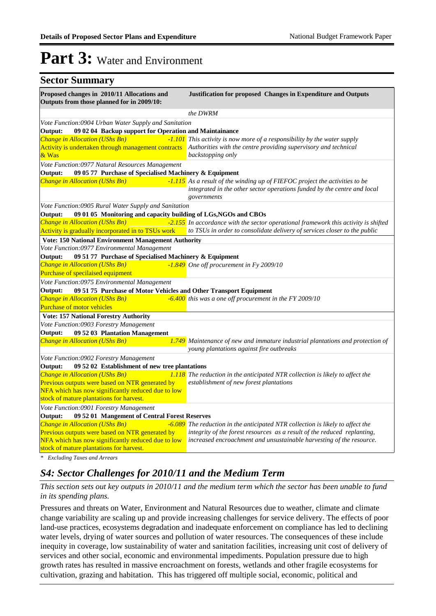#### **Sector Summary Proposed changes in 2010/11 Allocations and Justification for proposed Changes in Expenditure and Outputs Outputs from those planned for in 2009/10:** *the DWRM Change in Allocation (UShs Bn) -1.101* Activity is undertaken through management contracts & Was *This activity is now more of a responsibility by the water supply Authorities with the centre providing supervisory and technical backstopping only* **Output: 09 02 04 Backup support for Operation and Maintainance** *Vote Function:0904 Urban Water Supply and Sanitation Change in Allocation (UShs Bn) -1.115 As a result of the winding up of FIEFOC project the activities to be integrated in the other sector operations funded by the centre and local governments* **Output: 09 05 77 Purchase of Specialised Machinery & Equipment** *Vote Function:0977 Natural Resources Management Change in Allocation (UShs Bn) -2.155* Activity is gradually incorporated in to TSUs work *to TSUs in order to consolidate delivery of services closer to the public* <sup>2</sup>/<sub>155</sub> In accordance with the sector operational framework this activity is shifted **Output: 09 01 05 Monitoring and capacity building of LGs,NGOs and CBOs** *Vote Function:0905 Rural Water Supply and Sanitation* **Vote: 150 National Environment Management Authority** *Change in Allocation (UShs Bn)* Purchase of specilaised equipment *One off procurement in Fy 2009/10* **Output: 09 51 77 Purchase of Specialised Machinery & Equipment** *Vote Function:0977 Environmental Management Change in Allocation (UShs Bn) -6.400* Purchase of motor vehicles *this was a one off procurement in the FY 2009/10* **Output: 09 51 75 Purchase of Motor Vehicles and Other Transport Equipment** *Vote Function:0975 Environmental Management* **Vote: 157 National Forestry Authority** *Change in Allocation (UShs Bn) 1.749 Maintenance of new and immature industrial plantations and protection of young plantations against fire outbreaks* **Output: 09 52 03 Plantation Management** *Vote Function:0903 Forestry Management Change in Allocation (UShs Bn) 1.118* Previous outputs were based on NTR generated by NFA which has now significantly reduced due to low stock of mature plantations for harvest. *The reduction in the anticipated NTR collection is likely to affect the establishment of new forest plantations* **Output: 09 52 02 Establishment of new tree plantations** *Vote Function:0902 Forestry Management Change in Allocation (UShs Bn)* **-6.089** *The reduction in the anticipated NTR collection is likely to affect the* Previous outputs were based on NTR generated by NFA which has now significantly reduced due to low stock of mature plantations for harvest. *integrity of the forest resources as a result of the reduced replanting, increased encroachment and unsustainable harvesting of the resource.* **Output: 09 52 01 Mangement of Central Forest Reserves** *Vote Function:0901 Forestry Management*

*\* Excluding Taxes and Arrears*

### *S4: Sector Challenges for 2010/11 and the Medium Term*

*This section sets out key outputs in 2010/11 and the medium term which the sector has been unable to fund in its spending plans.*

Pressures and threats on Water, Environment and Natural Resources due to weather, climate and climate change variability are scaling up and provide increasing challenges for service delivery. The effects of poor land-use practices, ecosystems degradation and inadequate enforcement on compliance has led to declining water levels, drying of water sources and pollution of water resources. The consequences of these include inequity in coverage, low sustainability of water and sanitation facilities, increasing unit cost of delivery of services and other social, economic and environmental impediments. Population pressure due to high growth rates has resulted in massive encroachment on forests, wetlands and other fragile ecosystems for cultivation, grazing and habitation. This has triggered off multiple social, economic, political and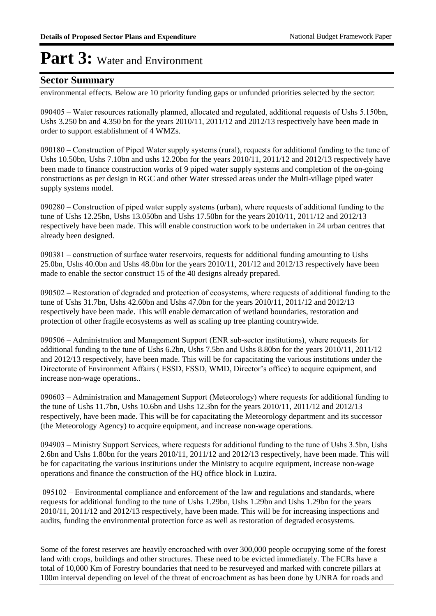#### **Sector Summary**

environmental effects. Below are 10 priority funding gaps or unfunded priorities selected by the sector:

090405 – Water resources rationally planned, allocated and regulated, additional requests of Ushs 5.150bn, Ushs 3.250 bn and 4.350 bn for the years 2010/11, 2011/12 and 2012/13 respectively have been made in order to support establishment of 4 WMZs.

090180 – Construction of Piped Water supply systems (rural), requests for additional funding to the tune of Ushs 10.50bn, Ushs 7.10bn and ushs 12.20bn for the years 2010/11, 2011/12 and 2012/13 respectively have been made to finance construction works of 9 piped water supply systems and completion of the on-going constructions as per design in RGC and other Water stressed areas under the Multi-village piped water supply systems model.

090280 – Construction of piped water supply systems (urban), where requests of additional funding to the tune of Ushs 12.25bn, Ushs 13.050bn and Ushs 17.50bn for the years 2010/11, 2011/12 and 2012/13 respectively have been made. This will enable construction work to be undertaken in 24 urban centres that already been designed.

090381 – construction of surface water reservoirs, requests for additional funding amounting to Ushs 25.0bn, Ushs 40.0bn and Ushs 48.0bn for the years 2010/11, 201/12 and 2012/13 respectively have been made to enable the sector construct 15 of the 40 designs already prepared.

090502 – Restoration of degraded and protection of ecosystems, where requests of additional funding to the tune of Ushs 31.7bn, Ushs 42.60bn and Ushs 47.0bn for the years 2010/11, 2011/12 and 2012/13 respectively have been made. This will enable demarcation of wetland boundaries, restoration and protection of other fragile ecosystems as well as scaling up tree planting countrywide.

090506 – Administration and Management Support (ENR sub-sector institutions), where requests for additional funding to the tune of Ushs 6.2bn, Ushs 7.5bn and Ushs 8.80bn for the years 2010/11, 2011/12 and 2012/13 respectively, have been made. This will be for capacitating the various institutions under the Directorate of Environment Affairs ( ESSD, FSSD, WMD, Director's office) to acquire equipment, and increase non-wage operations..

090603 – Administration and Management Support (Meteorology) where requests for additional funding to the tune of Ushs 11.7bn, Ushs 10.6bn and Ushs 12.3bn for the years 2010/11, 2011/12 and 2012/13 respectively, have been made. This will be for capacitating the Meteorology department and its successor (the Meteorology Agency) to acquire equipment, and increase non-wage operations.

094903 – Ministry Support Services, where requests for additional funding to the tune of Ushs 3.5bn, Ushs 2.6bn and Ushs 1.80bn for the years 2010/11, 2011/12 and 2012/13 respectively, have been made. This will be for capacitating the various institutions under the Ministry to acquire equipment, increase non-wage operations and finance the construction of the HQ office block in Luzira.

 095102 – Environmental compliance and enforcement of the law and regulations and standards, where requests for additional funding to the tune of Ushs 1.29bn, Ushs 1.29bn and Ushs 1.29bn for the years 2010/11, 2011/12 and 2012/13 respectively, have been made. This will be for increasing inspections and audits, funding the environmental protection force as well as restoration of degraded ecosystems.

Some of the forest reserves are heavily encroached with over 300,000 people occupying some of the forest land with crops, buildings and other structures. These need to be evicted immediately. The FCRs have a total of 10,000 Km of Forestry boundaries that need to be resurveyed and marked with concrete pillars at 100m interval depending on level of the threat of encroachment as has been done by UNRA for roads and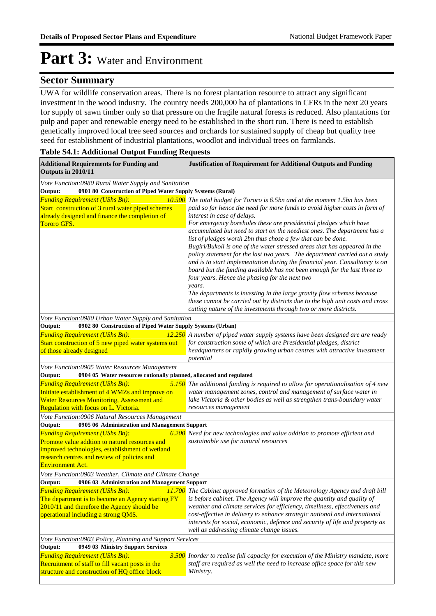#### **Sector Summary**

UWA for wildlife conservation areas. There is no forest plantation resource to attract any significant investment in the wood industry. The country needs 200,000 ha of plantations in CFRs in the next 20 years for supply of sawn timber only so that pressure on the fragile natural forests is reduced. Also plantations for pulp and paper and renewable energy need to be established in the short run. There is need to establish genetically improved local tree seed sources and orchards for sustained supply of cheap but quality tree seed for establishment of industrial plantations, woodlot and individual trees on farmlands.

#### **Table S4.1: Additional Output Funding Requests**

| <b>Additional Requirements for Funding and</b><br>Outputs in 2010/11                                                                                        | <b>Justification of Requirement for Additional Outputs and Funding</b>                                                                                                                                                                                                                                                                                                                                                                                                                                                                                                                                                                                                                                                                                                                                                                                                                                                                                                                                                        |
|-------------------------------------------------------------------------------------------------------------------------------------------------------------|-------------------------------------------------------------------------------------------------------------------------------------------------------------------------------------------------------------------------------------------------------------------------------------------------------------------------------------------------------------------------------------------------------------------------------------------------------------------------------------------------------------------------------------------------------------------------------------------------------------------------------------------------------------------------------------------------------------------------------------------------------------------------------------------------------------------------------------------------------------------------------------------------------------------------------------------------------------------------------------------------------------------------------|
| Vote Function:0980 Rural Water Supply and Sanitation                                                                                                        |                                                                                                                                                                                                                                                                                                                                                                                                                                                                                                                                                                                                                                                                                                                                                                                                                                                                                                                                                                                                                               |
| 0901 80 Construction of Piped Water Supply Systems (Rural)<br>Output:                                                                                       |                                                                                                                                                                                                                                                                                                                                                                                                                                                                                                                                                                                                                                                                                                                                                                                                                                                                                                                                                                                                                               |
| <b>Funding Requirement (UShs Bn):</b><br>Start construction of 3 rural water piped schemes<br>already designed and finance the completion of<br>Tororo GFS. | 10.500 The total budget for Tororo is 6.5bn and at the moment 1.5bn has been<br>paid so far hence the need for more funds to avoid higher costs in form of<br>interest in case of delays.<br>For emergency boreholes these are presidential pledges which have<br>accumulated but need to start on the neediest ones. The department has a<br>list of pledges worth 2bn thus chose a few that can be done.<br>Bugiri/Bukoli is one of the water stressed areas that has appeared in the<br>policy statement for the last two years. The department carried out a study<br>and is to start implementation during the financial year. Consultancy is on<br>board but the funding available has not been enough for the last three to<br>four years. Hence the phasing for the next two<br>years.<br>The departments is investing in the large gravity flow schemes because<br>these cannot be carried out by districts due to the high unit costs and cross<br>cutting nature of the investments through two or more districts. |
| Vote Function:0980 Urban Water Supply and Sanitation                                                                                                        |                                                                                                                                                                                                                                                                                                                                                                                                                                                                                                                                                                                                                                                                                                                                                                                                                                                                                                                                                                                                                               |
| Output:<br>0902 80 Construction of Piped Water Supply Systems (Urban)                                                                                       |                                                                                                                                                                                                                                                                                                                                                                                                                                                                                                                                                                                                                                                                                                                                                                                                                                                                                                                                                                                                                               |
| <b>Funding Requirement (UShs Bn):</b>                                                                                                                       | 12.250 A number of piped water supply systems have been designed are are ready                                                                                                                                                                                                                                                                                                                                                                                                                                                                                                                                                                                                                                                                                                                                                                                                                                                                                                                                                |
| Start construction of 5 new piped water systems out                                                                                                         | for construction some of which are Presidential pledges, district                                                                                                                                                                                                                                                                                                                                                                                                                                                                                                                                                                                                                                                                                                                                                                                                                                                                                                                                                             |
| of those already designed                                                                                                                                   | headquarters or rapidly growing urban centres with attractive investment                                                                                                                                                                                                                                                                                                                                                                                                                                                                                                                                                                                                                                                                                                                                                                                                                                                                                                                                                      |
|                                                                                                                                                             | potential                                                                                                                                                                                                                                                                                                                                                                                                                                                                                                                                                                                                                                                                                                                                                                                                                                                                                                                                                                                                                     |
| Vote Function:0905 Water Resources Management<br>Output:<br>0904 05 Water resources rationally planned, allocated and regulated                             |                                                                                                                                                                                                                                                                                                                                                                                                                                                                                                                                                                                                                                                                                                                                                                                                                                                                                                                                                                                                                               |
| <b>Funding Requirement (UShs Bn):</b>                                                                                                                       |                                                                                                                                                                                                                                                                                                                                                                                                                                                                                                                                                                                                                                                                                                                                                                                                                                                                                                                                                                                                                               |
| Initiate establishment of 4 WMZs and improve on                                                                                                             | 5.150 The additional funding is required to allow for operationalisation of 4 new<br>water management zones, control and management of surface water in                                                                                                                                                                                                                                                                                                                                                                                                                                                                                                                                                                                                                                                                                                                                                                                                                                                                       |
| <b>Water Resources Monitoring, Assessment and</b>                                                                                                           | lake Victoria & other bodies as well as strengthen trans-boundary water                                                                                                                                                                                                                                                                                                                                                                                                                                                                                                                                                                                                                                                                                                                                                                                                                                                                                                                                                       |
| Regulation with focus on L. Victoria.                                                                                                                       | resources management                                                                                                                                                                                                                                                                                                                                                                                                                                                                                                                                                                                                                                                                                                                                                                                                                                                                                                                                                                                                          |
| Vote Function:0906 Natural Resources Management                                                                                                             |                                                                                                                                                                                                                                                                                                                                                                                                                                                                                                                                                                                                                                                                                                                                                                                                                                                                                                                                                                                                                               |
| Output:<br>0905 06 Administration and Management Support                                                                                                    |                                                                                                                                                                                                                                                                                                                                                                                                                                                                                                                                                                                                                                                                                                                                                                                                                                                                                                                                                                                                                               |
| <b>Funding Requirement (UShs Bn):</b>                                                                                                                       | 6.200 Need for new technologies and value addtion to promote efficient and                                                                                                                                                                                                                                                                                                                                                                                                                                                                                                                                                                                                                                                                                                                                                                                                                                                                                                                                                    |
| Promote value addtion to natural resources and                                                                                                              | sustainable use for natural resources                                                                                                                                                                                                                                                                                                                                                                                                                                                                                                                                                                                                                                                                                                                                                                                                                                                                                                                                                                                         |
| improved technologies, establishment of wetland                                                                                                             |                                                                                                                                                                                                                                                                                                                                                                                                                                                                                                                                                                                                                                                                                                                                                                                                                                                                                                                                                                                                                               |
| research centres and review of policies and                                                                                                                 |                                                                                                                                                                                                                                                                                                                                                                                                                                                                                                                                                                                                                                                                                                                                                                                                                                                                                                                                                                                                                               |
| <b>Environment Act.</b>                                                                                                                                     |                                                                                                                                                                                                                                                                                                                                                                                                                                                                                                                                                                                                                                                                                                                                                                                                                                                                                                                                                                                                                               |
| Vote Function:0903 Weather, Climate and Climate Change                                                                                                      |                                                                                                                                                                                                                                                                                                                                                                                                                                                                                                                                                                                                                                                                                                                                                                                                                                                                                                                                                                                                                               |
| Output:<br>0906 03 Administration and Management Support                                                                                                    |                                                                                                                                                                                                                                                                                                                                                                                                                                                                                                                                                                                                                                                                                                                                                                                                                                                                                                                                                                                                                               |
| <b>Funding Requirement (UShs Bn):</b>                                                                                                                       | <b>11.700</b> The Cabinet approved formation of the Meteorology Agency and draft bill                                                                                                                                                                                                                                                                                                                                                                                                                                                                                                                                                                                                                                                                                                                                                                                                                                                                                                                                         |
| The department is to become an Agency starting FY                                                                                                           | is before cabinet. The Agency will improve the quantity and quality of                                                                                                                                                                                                                                                                                                                                                                                                                                                                                                                                                                                                                                                                                                                                                                                                                                                                                                                                                        |
| 2010/11 and therefore the Agency should be                                                                                                                  | weather and climate services for efficiency, timeliness, effectiveness and                                                                                                                                                                                                                                                                                                                                                                                                                                                                                                                                                                                                                                                                                                                                                                                                                                                                                                                                                    |
| operational including a strong QMS.                                                                                                                         | cost-effective in delivery to enhance strategic national and international<br>interests for social, economic, defence and security of life and property as<br>well as addressing climate change issues.                                                                                                                                                                                                                                                                                                                                                                                                                                                                                                                                                                                                                                                                                                                                                                                                                       |
| Vote Function:0903 Policy, Planning and Support Services                                                                                                    |                                                                                                                                                                                                                                                                                                                                                                                                                                                                                                                                                                                                                                                                                                                                                                                                                                                                                                                                                                                                                               |
| Output:<br>0949 03 Ministry Support Services                                                                                                                |                                                                                                                                                                                                                                                                                                                                                                                                                                                                                                                                                                                                                                                                                                                                                                                                                                                                                                                                                                                                                               |
| <b>Funding Requirement (UShs Bn):</b>                                                                                                                       | 3.500 Inorder to realise full capacity for execution of the Ministry mandate, more                                                                                                                                                                                                                                                                                                                                                                                                                                                                                                                                                                                                                                                                                                                                                                                                                                                                                                                                            |
| Recruitment of staff to fill vacant posts in the                                                                                                            | staff are required as well the need to increase office space for this new                                                                                                                                                                                                                                                                                                                                                                                                                                                                                                                                                                                                                                                                                                                                                                                                                                                                                                                                                     |
| structure and construction of HQ office block                                                                                                               | Ministry.                                                                                                                                                                                                                                                                                                                                                                                                                                                                                                                                                                                                                                                                                                                                                                                                                                                                                                                                                                                                                     |
|                                                                                                                                                             |                                                                                                                                                                                                                                                                                                                                                                                                                                                                                                                                                                                                                                                                                                                                                                                                                                                                                                                                                                                                                               |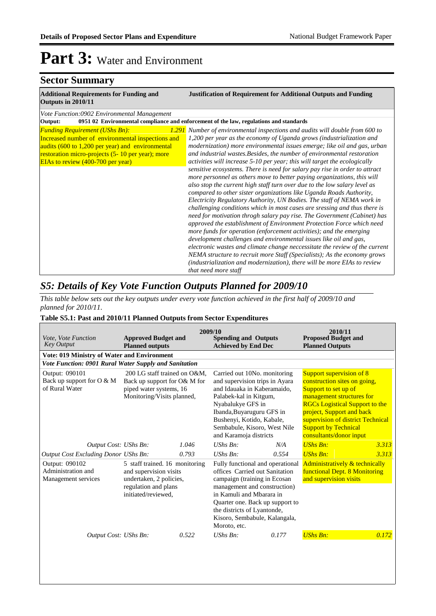### **Sector Summary**

| <b>Additional Requirements for Funding and</b><br>Outputs in 2010/11                                                                                                                                                                           | <b>Justification of Requirement for Additional Outputs and Funding</b>                                                                                                                                                                                                                                                                                                                                                                                                                                                                                                                                                                                                                                                                                                                                                                                                                                                                                                                                                                                                                                                                                                                                                                                                                                                                                                                                                        |
|------------------------------------------------------------------------------------------------------------------------------------------------------------------------------------------------------------------------------------------------|-------------------------------------------------------------------------------------------------------------------------------------------------------------------------------------------------------------------------------------------------------------------------------------------------------------------------------------------------------------------------------------------------------------------------------------------------------------------------------------------------------------------------------------------------------------------------------------------------------------------------------------------------------------------------------------------------------------------------------------------------------------------------------------------------------------------------------------------------------------------------------------------------------------------------------------------------------------------------------------------------------------------------------------------------------------------------------------------------------------------------------------------------------------------------------------------------------------------------------------------------------------------------------------------------------------------------------------------------------------------------------------------------------------------------------|
| Vote Function:0902 Environmental Management                                                                                                                                                                                                    |                                                                                                                                                                                                                                                                                                                                                                                                                                                                                                                                                                                                                                                                                                                                                                                                                                                                                                                                                                                                                                                                                                                                                                                                                                                                                                                                                                                                                               |
| Output:                                                                                                                                                                                                                                        | 0951 02 Environmental compliance and enforcement of the law, regulations and standards                                                                                                                                                                                                                                                                                                                                                                                                                                                                                                                                                                                                                                                                                                                                                                                                                                                                                                                                                                                                                                                                                                                                                                                                                                                                                                                                        |
| <b>Funding Requirement (UShs Bn):</b><br>Increased number of environmental inspections and<br>audits (600 to 1,200 per year) and environmental<br>restoration micro-projects (5-10 per year); more<br><b>EIAs to review (400-700 per year)</b> | 1.291 Number of environmental inspections and audits will double from 600 to<br>1,200 per year as the economy of Uganda grows (industrialization and<br>modernization) more environmental issues emerge; like oil and gas, urban<br>and industrial wastes. Besides, the number of environmental restoration<br>activities will increase 5-10 per year; this will target the ecologically<br>sensitive ecosystems. There is need for salary pay rise in order to attract<br>more personnel as others move to better paying organizations, this will<br>also stop the current high staff turn over due to the low salary level as<br>compared to other sister organizations like Uganda Roads Authority,<br>Electricity Regulatory Authority, UN Bodies. The staff of NEMA work in<br>challenging conditions which in most cases are sressing and thus there is<br>need for motivation throgh salary pay rise. The Government (Cabinet) has<br>approved the establishment of Environment Protection Force which need<br>more funds for operation (enforcement activities); and the emerging<br>development challenges and environmental issues like oil and gas,<br>electronic wastes and climate change neccessitate the review of the current<br>NEMA structure to recruit more Staff (Specialists); As the economy grows<br>(industrialization and modernization), there will be more EIAs to review<br>that need more staff |

### *S5: Details of Key Vote Function Outputs Planned for 2009/10*

*This table below sets out the key outputs under every vote function achieved in the first half of 2009/10 and planned for 2010/11.*

#### **Table S5.1: Past and 2010/11 Planned Outputs from Sector Expenditures**

| Vote, Vote Function<br><b>Key Output</b>                      | <b>Approved Budget and</b><br><b>Planned outputs</b>                                                                               |       | 2009/10<br><b>Spending and Outputs</b><br><b>Achieved by End Dec</b>                                                                                                                                                                                                              |       | 2010/11<br><b>Proposed Budget and</b><br><b>Planned Outputs</b>                                                                                                                                                                                                                    |       |
|---------------------------------------------------------------|------------------------------------------------------------------------------------------------------------------------------------|-------|-----------------------------------------------------------------------------------------------------------------------------------------------------------------------------------------------------------------------------------------------------------------------------------|-------|------------------------------------------------------------------------------------------------------------------------------------------------------------------------------------------------------------------------------------------------------------------------------------|-------|
| Vote: 019 Ministry of Water and Environment                   |                                                                                                                                    |       |                                                                                                                                                                                                                                                                                   |       |                                                                                                                                                                                                                                                                                    |       |
| Vote Function: 0901 Rural Water Supply and Sanitation         |                                                                                                                                    |       |                                                                                                                                                                                                                                                                                   |       |                                                                                                                                                                                                                                                                                    |       |
| Output: 090101<br>Back up support for O & M<br>of Rural Water | 200 LG staff trained on O&M.<br>Back up support for O& M for<br>piped water systems, 16<br>Monitoring/Visits planned,              |       | Carried out 10No. monitoring<br>and supervision trips in Ayara<br>and Idauaka in Kaberamaido.<br>Palabek-kal in Kitgum,<br>Nyabalukye GFS in<br>Ibanda, Buyaruguru GFS in<br>Bushenyi, Kotido, Kabale,<br>Sembabule, Kisoro, West Nile<br>and Karamoja districts                  |       | Support supervision of 8<br>construction sites on going,<br>Support to set up of<br>management structures for<br><b>RGCs Logistical Support to the</b><br>project, Support and back<br>supervision of district Technical<br><b>Support by Technical</b><br>consultants/donor input |       |
| Output Cost: UShs Bn:                                         |                                                                                                                                    | 1.046 | $UShs Bn$ :                                                                                                                                                                                                                                                                       | N/A   | $UShs Bn:$                                                                                                                                                                                                                                                                         | 3.313 |
| <b>Output Cost Excluding Donor UShs Bn:</b>                   |                                                                                                                                    | 0.793 | $UShs Bn$ :                                                                                                                                                                                                                                                                       | 0.554 | <b>UShs Bn:</b>                                                                                                                                                                                                                                                                    | 3.313 |
| Output: 090102<br>Administration and<br>Management services   | 5 staff trained. 16 monitoring<br>and supervision visits<br>undertaken, 2 policies,<br>regulation and plans<br>initiated/reviewed. |       | Fully functional and operational<br>offices Carried out Sanitation<br>campaign (training in Ecosan<br>management and construction)<br>in Kamuli and Mharara in<br>Quarter one. Back up support to<br>the districts of Lyantonde,<br>Kisoro, Sembabule, Kalangala,<br>Moroto, etc. |       | Administratively & technically<br>functional Dept. 8 Monitoring<br>and supervision visits                                                                                                                                                                                          |       |
| Output Cost: UShs Bn:                                         |                                                                                                                                    | 0.522 | $UShs Bn$ :                                                                                                                                                                                                                                                                       | 0.177 | <b>UShs Bn:</b>                                                                                                                                                                                                                                                                    | 0.172 |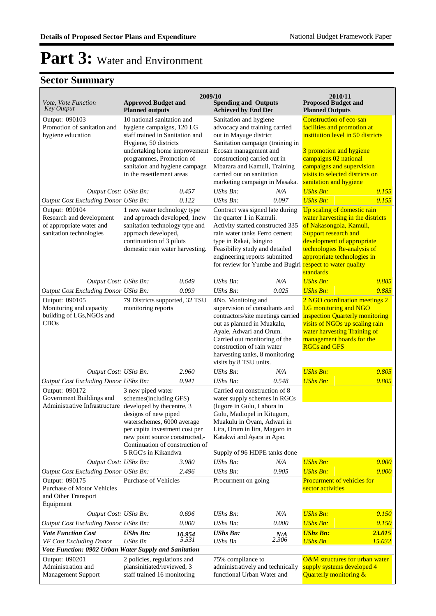| Vote, Vote Function                                                                                                            | <b>Approved Budget and</b>                                                                                                                                                                                                                    | 2009/10                                                                                                                                                                                                                         | <b>Spending and Outputs</b>                                                                                                                                                                                                                                                                                   |                                                                                                                                                                                                                                                              | 2010/11<br><b>Proposed Budget and</b>                                                                                                                                                                                                                                                    |        |
|--------------------------------------------------------------------------------------------------------------------------------|-----------------------------------------------------------------------------------------------------------------------------------------------------------------------------------------------------------------------------------------------|---------------------------------------------------------------------------------------------------------------------------------------------------------------------------------------------------------------------------------|---------------------------------------------------------------------------------------------------------------------------------------------------------------------------------------------------------------------------------------------------------------------------------------------------------------|--------------------------------------------------------------------------------------------------------------------------------------------------------------------------------------------------------------------------------------------------------------|------------------------------------------------------------------------------------------------------------------------------------------------------------------------------------------------------------------------------------------------------------------------------------------|--------|
| Key Output                                                                                                                     | <b>Planned outputs</b>                                                                                                                                                                                                                        |                                                                                                                                                                                                                                 | <b>Achieved by End Dec</b>                                                                                                                                                                                                                                                                                    |                                                                                                                                                                                                                                                              | <b>Planned Outputs</b>                                                                                                                                                                                                                                                                   |        |
| Output: 090103<br>Promotion of sanitation and<br>hygiene education                                                             | 10 national sanitation and<br>hygiene campaigns, 120 LG<br>staff trained in Sanitation and<br>Hygiene, 50 districts<br>undertaking home improvement<br>programmes, Promotion of<br>sanitaion and hygiene campagn<br>in the resettlement areas |                                                                                                                                                                                                                                 | Sanitation and hygiene<br>advocacy and training carried<br>out in Mayuge district<br>Sanitation campaign (training in<br>Ecosan management and<br>construction) carried out in<br>Mbarara and Kamuli, Training<br>carried out on sanitation<br>marketing campaign in Masaka.                                  |                                                                                                                                                                                                                                                              | <b>Construction of eco-san</b><br>facilities and promotion at<br>institution level in 50 districts<br>3 promotion and hygiene<br>campaigns 02 national<br>campaigns and supervision<br>visits to selected districts on<br>sanitation and hygiene                                         |        |
| Output Cost: UShs Bn:                                                                                                          |                                                                                                                                                                                                                                               | 0.457                                                                                                                                                                                                                           | $UShs Bn$ :                                                                                                                                                                                                                                                                                                   | N/A                                                                                                                                                                                                                                                          | <b>UShs Bn:</b>                                                                                                                                                                                                                                                                          | 0.155  |
| Output Cost Excluding Donor UShs Bn:                                                                                           |                                                                                                                                                                                                                                               | 0.122                                                                                                                                                                                                                           | $UShs Bn$ :                                                                                                                                                                                                                                                                                                   | 0.097                                                                                                                                                                                                                                                        | <b>UShs Bn:</b>                                                                                                                                                                                                                                                                          | 0.155  |
| Output: 090104<br>Research and development<br>of appropriate water and<br>sanitation technologies                              | 1 new water technology type<br>and approach developed, 1new<br>sanitation technology type and<br>approach developed,<br>continuation of 3 pilots<br>domestic rain water harvesting.                                                           |                                                                                                                                                                                                                                 | Contract was signed late during<br>the quarter 1 in Kamuli.<br>Activity started.constructed 335<br>rain water tanks Ferro cement<br>type in Rakai, Isingiro<br>Feasibility study and detailed<br>engineering reports submitted                                                                                |                                                                                                                                                                                                                                                              | Up scaling of domestic rain<br>water harvesting in the districts<br>of Nakasongola, Kamuli,<br>Support research and<br>development of appropriate<br>technologies Re-analysis of<br>appropriate technologies in<br>for review for Yumbe and Bugiri respect to water quality<br>standards |        |
| Output Cost: UShs Bn:                                                                                                          |                                                                                                                                                                                                                                               | 0.649                                                                                                                                                                                                                           | UShs Bn:                                                                                                                                                                                                                                                                                                      | N/A                                                                                                                                                                                                                                                          | <b>UShs Bn:</b>                                                                                                                                                                                                                                                                          | 0.885  |
| Output Cost Excluding Donor UShs Bn:                                                                                           |                                                                                                                                                                                                                                               | 0.099                                                                                                                                                                                                                           | UShs Bn:                                                                                                                                                                                                                                                                                                      | 0.025                                                                                                                                                                                                                                                        | <b>UShs Bn:</b>                                                                                                                                                                                                                                                                          | 0.885  |
| Output: 090105<br>Monitoring and capacity<br>building of LGs, NGOs and<br><b>CBOs</b>                                          | 79 Districts supported, 32 TSU<br>monitoring reports                                                                                                                                                                                          |                                                                                                                                                                                                                                 | 4No. Monitoing and<br>supervision of consultants and<br>contractors/site meetings carried inspection Quarterly monitoring<br>out as planned in Muakalu,<br>Ayale, Adwari and Orum.<br>Carried out monitoring of the<br>construction of rain water<br>harvesting tanks, 8 monitoring<br>visits by 8 TSU units. |                                                                                                                                                                                                                                                              | 2 NGO coordination meetings 2<br>LG monitoring and NGO<br>visits of NGOs up scaling rain<br>water harvesting Training of<br>management boards for the<br><b>RGCs and GFS</b>                                                                                                             |        |
| Output Cost: UShs Bn:                                                                                                          |                                                                                                                                                                                                                                               | 2.960                                                                                                                                                                                                                           | $UShs Bn$ :                                                                                                                                                                                                                                                                                                   | N/A                                                                                                                                                                                                                                                          | <b>UShs Bn:</b>                                                                                                                                                                                                                                                                          | 0.805  |
| Output Cost Excluding Donor UShs Bn:                                                                                           |                                                                                                                                                                                                                                               | 0.941                                                                                                                                                                                                                           | $UShs Bn$ :                                                                                                                                                                                                                                                                                                   | 0.548                                                                                                                                                                                                                                                        | <b>UShs Bn:</b>                                                                                                                                                                                                                                                                          | 0.805  |
| Output: 090172<br>Government Buildings and<br>Administrative Infrastructure developed by thecentre, 3<br>Output Cost: UShs Bn: | 3 new piped water                                                                                                                                                                                                                             | schemes(including GFS)<br>designs of new piped<br>waterschemes, 6000 average<br>per capita investment cost per<br>new point source constructed,-<br>Continuation of construction of<br>5 RGC's in Kikandwa<br>3.980<br>UShs Bn: |                                                                                                                                                                                                                                                                                                               | Carried out construction of 8<br>water supply schemes in RGCs<br>(lugore in Gulu, Labora in<br>Gulu, Madiopel in Kitugum,<br>Muakulu in Oyam, Adwari in<br>Lira, Orum in lira, Magoro in<br>Katakwi and Ayara in Apac<br>Supply of 96 HDPE tanks done<br>N/A | <b>UShs Bn:</b>                                                                                                                                                                                                                                                                          | 0.000  |
| Output Cost Excluding Donor UShs Bn:                                                                                           |                                                                                                                                                                                                                                               | 2.496                                                                                                                                                                                                                           | UShs Bn:                                                                                                                                                                                                                                                                                                      | 0.905                                                                                                                                                                                                                                                        | <b>UShs Bn:</b>                                                                                                                                                                                                                                                                          | 0.000  |
| Output: 090175<br><b>Purchase of Motor Vehicles</b><br>and Other Transport<br>Equipment                                        | <b>Purchase of Vehicles</b>                                                                                                                                                                                                                   |                                                                                                                                                                                                                                 | Procurment on going                                                                                                                                                                                                                                                                                           |                                                                                                                                                                                                                                                              | Procurment of vehicles for<br>sector activities                                                                                                                                                                                                                                          |        |
| Output Cost: UShs Bn:                                                                                                          |                                                                                                                                                                                                                                               | 0.696                                                                                                                                                                                                                           | UShs Bn:                                                                                                                                                                                                                                                                                                      | N/A                                                                                                                                                                                                                                                          | <b>UShs Bn:</b>                                                                                                                                                                                                                                                                          | 0.150  |
| <b>Output Cost Excluding Donor UShs Bn:</b>                                                                                    |                                                                                                                                                                                                                                               | 0.000                                                                                                                                                                                                                           | <b>UShs Bn:</b>                                                                                                                                                                                                                                                                                               | 0.000                                                                                                                                                                                                                                                        | <b>UShs Bn:</b>                                                                                                                                                                                                                                                                          | 0.150  |
| <b>Vote Function Cost</b>                                                                                                      | <b>UShs Bn:</b><br><b>UShs Bn</b>                                                                                                                                                                                                             | 10.954<br>5.531                                                                                                                                                                                                                 | <b>UShs Bn:</b>                                                                                                                                                                                                                                                                                               | N/A<br>2.306                                                                                                                                                                                                                                                 | <b>UShs Bn:</b>                                                                                                                                                                                                                                                                          | 23.015 |
| VF Cost Excluding Donor<br>Vote Function: 0902 Urban Water Supply and Sanitation                                               |                                                                                                                                                                                                                                               |                                                                                                                                                                                                                                 | UShs Bn                                                                                                                                                                                                                                                                                                       |                                                                                                                                                                                                                                                              | <b>UShs Bn</b>                                                                                                                                                                                                                                                                           | 15.032 |
| Output: 090201<br>Administration and<br>Management Support                                                                     | 2 policies, regulations and<br>plansinitiated/reviewed, 3<br>staff trained 16 monitoring                                                                                                                                                      |                                                                                                                                                                                                                                 | 75% compliance to<br>administratively and technically<br>functional Urban Water and                                                                                                                                                                                                                           |                                                                                                                                                                                                                                                              | O&M structures for urban water<br>supply systems developed 4<br>Quarterly monitoring &                                                                                                                                                                                                   |        |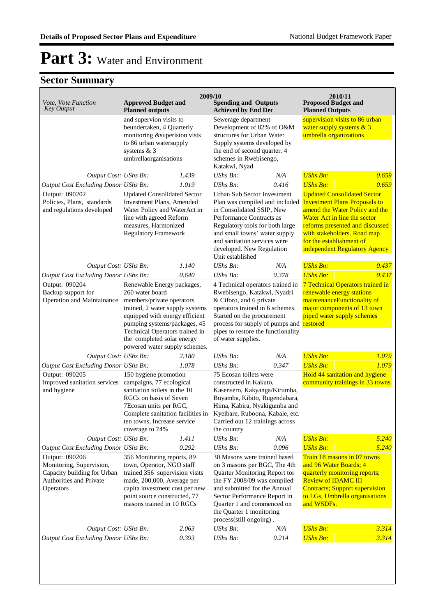| Vote, Vote Function<br><b>Key Output</b>                                                                                                                                | <b>Approved Budget and</b><br><b>Planned outputs</b>                                                                                                                                                                                            | 2009/10 | <b>Spending and Outputs</b><br><b>Achieved by End Dec</b>                                                                                                                                                                                                                                     |                                                                                                                                                  | 2010/11<br><b>Proposed Budget and</b><br><b>Planned Outputs</b>                                                                                                                                                                                                             |                                                                                      |
|-------------------------------------------------------------------------------------------------------------------------------------------------------------------------|-------------------------------------------------------------------------------------------------------------------------------------------------------------------------------------------------------------------------------------------------|---------|-----------------------------------------------------------------------------------------------------------------------------------------------------------------------------------------------------------------------------------------------------------------------------------------------|--------------------------------------------------------------------------------------------------------------------------------------------------|-----------------------------------------------------------------------------------------------------------------------------------------------------------------------------------------------------------------------------------------------------------------------------|--------------------------------------------------------------------------------------|
|                                                                                                                                                                         | and supervion visits to<br>beundertaken, 4 Quarterly<br>monitoring &superision vists<br>to 86 urban watersupply<br>systems $& 3$<br>umbrellaorganisations                                                                                       |         | Sewerage department<br>Katakwi, Nyad                                                                                                                                                                                                                                                          | Development of 82% of O&M<br>structures for Urban Water<br>Supply systems developed by<br>the end of second quarter. 4<br>schemes in Rwebisengo, |                                                                                                                                                                                                                                                                             | supervision visits to 86 urban<br>water supply systems & 3<br>umbrella organizations |
| Output Cost: UShs Bn:                                                                                                                                                   |                                                                                                                                                                                                                                                 | 1.439   | UShs Bn:                                                                                                                                                                                                                                                                                      | N/A                                                                                                                                              | <b>UShs Bn:</b>                                                                                                                                                                                                                                                             | 0.659                                                                                |
| <b>Output Cost Excluding Donor UShs Bn:</b>                                                                                                                             |                                                                                                                                                                                                                                                 | 1.019   | UShs Bn:                                                                                                                                                                                                                                                                                      | 0.416                                                                                                                                            | <b>UShs Bn:</b>                                                                                                                                                                                                                                                             | 0.659                                                                                |
| Output: 090202<br>Policies, Plans, standards<br>and regulations developed                                                                                               | <b>Updated Consolidated Sector</b><br>Investment Plans, Amended<br>Water Policy and WaterAct in<br>line with agreed Reform<br>measures, Harmonized<br><b>Regulatory Framework</b>                                                               |         | Urban Sub Sector Investment<br>Plan was compiled and included<br>in Consolidated SSIP, New<br>Performance Contracts as<br>Regulatory tools for both large<br>and small towns' water supply<br>and sanitation services were<br>developed. New Regulation<br>Unit established                   |                                                                                                                                                  | <b>Updated Consolidated Sector</b><br><b>Investment Plans Proposals to</b><br>amend the Water Policy and the<br>Water Act in line the sector<br>reforms presented and discussed<br>with stakeholders. Road map<br>for the establishment of<br>independent Regulatory Agency |                                                                                      |
| Output Cost: UShs Bn:                                                                                                                                                   |                                                                                                                                                                                                                                                 | 1.140   | $UShs Bn$ :                                                                                                                                                                                                                                                                                   | N/A                                                                                                                                              | <b>UShs Bn:</b>                                                                                                                                                                                                                                                             | 0.437                                                                                |
| Output Cost Excluding Donor UShs Bn:                                                                                                                                    |                                                                                                                                                                                                                                                 | 0.640   | UShs Bn:                                                                                                                                                                                                                                                                                      | 0.378                                                                                                                                            | <b>UShs Bn:</b>                                                                                                                                                                                                                                                             | 0.437                                                                                |
| Output: 090204<br>Backup support for<br><b>Operation and Maintainance</b>                                                                                               | Renewable Energy packages,<br>260 water board<br>members/private operators<br>trained, 2 water supply systems<br>equipped with energy efficient<br>pumping systems/packages, 45<br>Technical Operators trained in<br>the completed solar energy |         | 4 Technical operators trained in<br>Rwebisengo, Katakwi, Nyadri<br>& Ciforo, and 6 private<br>operators trained in 6 schemes.<br>Started on the procurement<br>process for supply of pumps and restored<br>pipes to restore the functionality<br>of water supplies.                           |                                                                                                                                                  | 7 Technical Operators trained in<br>renewable energy stations<br>maintenanceFunctionality of<br>major components of 13 town<br>piped water supply schemes                                                                                                                   |                                                                                      |
| Output Cost: UShs Bn:                                                                                                                                                   | powered water supply schemes.                                                                                                                                                                                                                   | 2.180   | UShs Bn:                                                                                                                                                                                                                                                                                      | N/A                                                                                                                                              | <b>UShs Bn:</b>                                                                                                                                                                                                                                                             | 1.079                                                                                |
| Output Cost Excluding Donor UShs Bn:                                                                                                                                    |                                                                                                                                                                                                                                                 | 1.078   | $UShs Bn$ :                                                                                                                                                                                                                                                                                   | 0.347                                                                                                                                            | <b>UShs Bn:</b>                                                                                                                                                                                                                                                             | 1.079                                                                                |
| Output: 090205<br>Improved sanitation services<br>and hygiene                                                                                                           | 150 hygiene promotion<br>campaigns, 77 ecological<br>sanitation toilets in the 10<br>RGCs on basis of Seven<br>7Ecosan units per RGC,<br>Complete sanitation facilities in<br>ten towns, Increase service<br>coverage to 74%                    |         | 75 Ecosan toilets were<br>constructed in Kakuto,<br>Kasensero, Kakyanga/Kirumba,<br>Buyamba, Kibito, Rugendabara,<br>Hima, Kabira, Nyakigumba and<br>Kyeibare, Ruboona, Kabale, etc.<br>Carried out 12 trainings across<br>the country                                                        |                                                                                                                                                  | Hold 44 sanitation and hygiene<br>community trainings in 33 towns                                                                                                                                                                                                           |                                                                                      |
| Output Cost: UShs Bn:                                                                                                                                                   |                                                                                                                                                                                                                                                 | 1.411   | <b>UShs Bn:</b>                                                                                                                                                                                                                                                                               | N/A                                                                                                                                              | <b>UShs Bn:</b>                                                                                                                                                                                                                                                             | 5.240                                                                                |
| <b>Output Cost Excluding Donor UShs Bn:</b><br>Output: 090206<br>Monitoring, Supervision,<br>Capacity building for Urban<br><b>Authorities and Private</b><br>Operators | 0.292<br>356 Monitoring reports, 89<br>town, Operator, NGO staff<br>trained 356 supervision visits<br>made, 200,000, Average per<br>capita investment cost per new<br>point source constructed, 77<br>masons trained in 10 RGCs                 |         | UShs Bn:<br>30 Masons were trained based<br>on 3 masons per RGC, The 4th<br>Quarter Monitoring Report tor<br>the FY 2008/09 was compiled<br>and submitted for the Annual<br>Sector Performance Report in<br>Quarter 1 and commenced on<br>the Quarter 1 monitoring<br>process(still ongoing). | 0.096                                                                                                                                            | <b>UShs Bn:</b><br>Train 18 masons in 07 towns<br>and 96 Water Boards; 4<br>quarterly monitoring reports;<br><b>Review of IDAMC III</b><br><b>Contracts</b> ; Support supervision<br>to LGs, Umbrella organisations<br>and WSDFs.                                           | 5.240                                                                                |
| Output Cost: UShs Bn:                                                                                                                                                   |                                                                                                                                                                                                                                                 | 2.063   | UShs Bn:                                                                                                                                                                                                                                                                                      | N/A                                                                                                                                              | <b>UShs Bn:</b>                                                                                                                                                                                                                                                             | 3.314                                                                                |
| <b>Output Cost Excluding Donor UShs Bn:</b>                                                                                                                             |                                                                                                                                                                                                                                                 | 0.393   | UShs Bn:                                                                                                                                                                                                                                                                                      | 0.214                                                                                                                                            | <b>UShs Bn:</b>                                                                                                                                                                                                                                                             | 3.314                                                                                |
|                                                                                                                                                                         |                                                                                                                                                                                                                                                 |         |                                                                                                                                                                                                                                                                                               |                                                                                                                                                  |                                                                                                                                                                                                                                                                             |                                                                                      |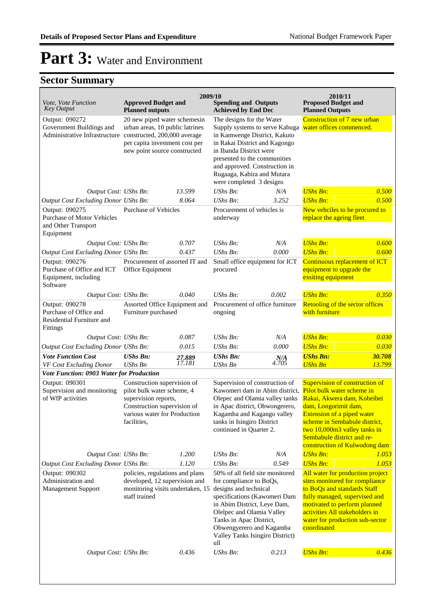| Vote, Vote Function<br><b>Key Output</b>                                                | <b>Approved Budget and</b><br><b>Planned outputs</b>                                                                                                              | 2009/10          | <b>Spending and Outputs</b><br><b>Achieved by End Dec</b>                                                                                                                                                                                                                                                   |              | 2010/11<br><b>Proposed Budget and</b><br><b>Planned Outputs</b>                                                                                                                                                                                                                   |                  |
|-----------------------------------------------------------------------------------------|-------------------------------------------------------------------------------------------------------------------------------------------------------------------|------------------|-------------------------------------------------------------------------------------------------------------------------------------------------------------------------------------------------------------------------------------------------------------------------------------------------------------|--------------|-----------------------------------------------------------------------------------------------------------------------------------------------------------------------------------------------------------------------------------------------------------------------------------|------------------|
| Output: 090272<br>Government Buildings and<br>Administrative Infrastructure             | 20 new piped water schemesin<br>urban areas, 10 public latrines<br>constructed, 200,000 average<br>per capita investment cost per<br>new point source constructed |                  | The designs for the Water<br>Supply systems to serve Kabuga water offices commenced.<br>in Kamwenge District, Kakuto<br>in Rakai District and Kagongo<br>in Ibanda District were<br>presented to the communities<br>and approved. Construction in<br>Rugaaga, Kabira and Mutara<br>were completed 3 designs |              | Construction of 7 new urban                                                                                                                                                                                                                                                       |                  |
| Output Cost: UShs Bn:                                                                   |                                                                                                                                                                   | 13.599           | UShs Bn:                                                                                                                                                                                                                                                                                                    | N/A          | <b>UShs Bn:</b>                                                                                                                                                                                                                                                                   | 0.500            |
| <b>Output Cost Excluding Donor UShs Bn:</b>                                             |                                                                                                                                                                   | 8.064            | UShs Bn:                                                                                                                                                                                                                                                                                                    | 3.252        | <b>UShs Bn:</b>                                                                                                                                                                                                                                                                   | 0.500            |
| Output: 090275<br><b>Purchase of Motor Vehicles</b><br>and Other Transport<br>Equipment | <b>Purchase of Vehicles</b>                                                                                                                                       |                  | Procurement of vehicles is<br>underway                                                                                                                                                                                                                                                                      |              | New vehciles to be procured to<br>replace the ageing fleet                                                                                                                                                                                                                        |                  |
| Output Cost: UShs Bn:                                                                   |                                                                                                                                                                   | 0.707            | UShs Bn:                                                                                                                                                                                                                                                                                                    | N/A          | <b>UShs Bn:</b>                                                                                                                                                                                                                                                                   | 0.600            |
| <b>Output Cost Excluding Donor UShs Bn:</b>                                             |                                                                                                                                                                   | 0.437            | $UShs Bn$ :                                                                                                                                                                                                                                                                                                 | 0.000        | <b>UShs Bn:</b>                                                                                                                                                                                                                                                                   | 0.600            |
| Output: 090276<br>Purchase of Office and ICT<br>Equipment, including<br>Software        | Procurement of assorted IT and<br>Office Equipment                                                                                                                |                  | Small office equipment for ICT<br>procured                                                                                                                                                                                                                                                                  |              | Continuous replacement of ICT<br>equipment to upgrade the<br>exsiting equipment                                                                                                                                                                                                   |                  |
| Output Cost: UShs Bn:                                                                   |                                                                                                                                                                   | 0.040            | UShs Bn:                                                                                                                                                                                                                                                                                                    | 0.002        | <b>UShs Bn:</b>                                                                                                                                                                                                                                                                   | 0.350            |
| Output: 090278<br>Purchase of Office and<br>Residential Furniture and<br>Fittings       | Assorted Office Equipment and<br>Furniture purchased                                                                                                              |                  | Procurement of office furniture<br>ongoing                                                                                                                                                                                                                                                                  |              | Retooling of the sector offices<br>with furniture                                                                                                                                                                                                                                 |                  |
| Output Cost: UShs Bn:                                                                   |                                                                                                                                                                   | 0.087            | $\mathit{UShs}\, \mathit{Bn}$ :                                                                                                                                                                                                                                                                             | N/A          | <b>UShs Bn:</b>                                                                                                                                                                                                                                                                   | 0.030            |
| <b>Output Cost Excluding Donor UShs Bn:</b>                                             |                                                                                                                                                                   | 0.015            | UShs Bn:                                                                                                                                                                                                                                                                                                    | 0.000        | <b>UShs Bn:</b>                                                                                                                                                                                                                                                                   | 0.030            |
| <b>Vote Function Cost</b><br>VF Cost Excluding Donor                                    | <b>UShs Bn:</b><br><b>UShs Bn</b>                                                                                                                                 | 27.889<br>17.181 | <b>UShs Bn:</b><br>UShs Bn                                                                                                                                                                                                                                                                                  | N/A<br>4.705 | <b>UShs Bn:</b><br><b>UShs Bn</b>                                                                                                                                                                                                                                                 | 30.708<br>13.799 |
| Vote Function: 0903 Water for Production                                                |                                                                                                                                                                   |                  |                                                                                                                                                                                                                                                                                                             |              |                                                                                                                                                                                                                                                                                   |                  |
| Output: 090301<br>Supervision and monitoring<br>of WfP activities                       | Construction supervision of<br>pilot bulk water scheme, 4<br>supervision reports,<br>Construction supervision of<br>various water for Production<br>facilities,   |                  | Supervision of construction of<br>Kawomeri dam in Abim district,<br>Olepec and Olamia valley tanks<br>in Apac district, Obwongerero,<br>Kagamba and Kagango valley<br>tanks in Isingiro District<br>continued in Quarter 2.                                                                                 |              | Supervision of construction of<br>Pilot bulk water scheme in<br>Rakai, Akwera dam, Kobeibei<br>dam, Longorimit dam,<br>Extension of a piped water<br>scheme in Sembabule district,<br>two 10,000m3 valley tanks in<br>Sembabule district and re-<br>construction of Kulwodong dam |                  |
| Output Cost: UShs Bn:                                                                   |                                                                                                                                                                   | 1.200            | UShs Bn:                                                                                                                                                                                                                                                                                                    | N/A          | <b>UShs Bn:</b>                                                                                                                                                                                                                                                                   | 1.053            |
| Output Cost Excluding Donor UShs Bn:                                                    |                                                                                                                                                                   | 1.120            | UShs Bn:                                                                                                                                                                                                                                                                                                    | 0.549        | <b>UShs Bn:</b>                                                                                                                                                                                                                                                                   | 1.053            |
| Output: 090302<br>Administration and<br>Management Support                              | policies, regulations and plans<br>developed, 12 supervision and<br>monitoring visits undertaken, 15<br>staff trained                                             |                  | 50% of all field site monitored<br>for compliance to BoQs,<br>designs and technical<br>specifications (Kawomeri Dam<br>in Abim District, Leye Dam,<br>Olelpec and Olamia Valley<br>Tanks in Apac District,<br>Obwengyerero and Kagamba<br>Valley Tanks Isingiro District)<br>ull                            |              | All water for production project<br>sites monitored for compliance<br>to BoQs and standards Staff<br>fully managed, supervised and<br>motivated to perform planned<br>activities All stakeholders in<br>water for production sub-sector<br>coordinated                            |                  |
| Output Cost: UShs Bn:                                                                   |                                                                                                                                                                   | 0.436            | <b>UShs Bn:</b>                                                                                                                                                                                                                                                                                             | 0.213        | <b>UShs Bn:</b>                                                                                                                                                                                                                                                                   | 0.436            |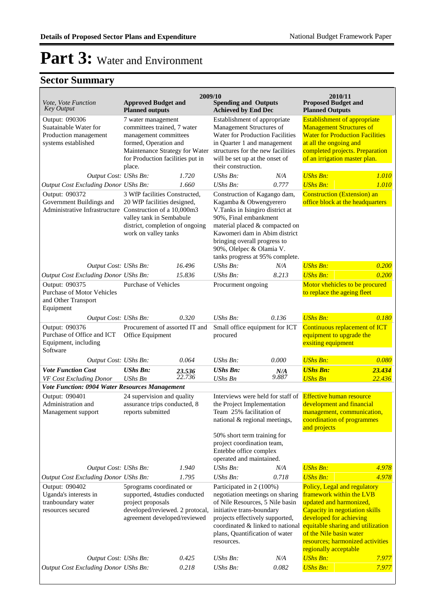| Vote, Vote Function<br><b>Key Output</b>                                                                                                       | <b>Approved Budget and</b><br><b>Planned outputs</b>                                                                                                                                | 2009/10          | <b>Spending and Outputs</b><br><b>Achieved by End Dec</b>                                                                                                                                                                                                                                                 |              | 2010/11<br><b>Proposed Budget and</b><br><b>Planned Outputs</b>                                                                                                                                                                                                               |                  |
|------------------------------------------------------------------------------------------------------------------------------------------------|-------------------------------------------------------------------------------------------------------------------------------------------------------------------------------------|------------------|-----------------------------------------------------------------------------------------------------------------------------------------------------------------------------------------------------------------------------------------------------------------------------------------------------------|--------------|-------------------------------------------------------------------------------------------------------------------------------------------------------------------------------------------------------------------------------------------------------------------------------|------------------|
| Output: 090306<br>Suatainable Water for<br>Production management<br>systems established                                                        | 7 water management<br>committees trained, 7 water<br>management committees<br>formed, Operation and<br>Maintenance Strategy for Water<br>for Production facilities put in<br>place. |                  | Establishment of appropriate<br>Management Structures of<br>Water for Production Facilities<br>in Quarter 1 and management<br>structures for the new facilities<br>will be set up at the onset of<br>their construction.                                                                                  |              | <b>Establishment of appropriate</b><br><b>Management Structures of</b><br><b>Water for Production Facilities</b><br>at all the ongoing and<br>completed projects. Preparation<br>of an irrigation master plan.                                                                |                  |
| Output Cost: UShs Bn:                                                                                                                          |                                                                                                                                                                                     | 1.720            | UShs Bn:                                                                                                                                                                                                                                                                                                  | N/A          | <b>UShs Bn:</b>                                                                                                                                                                                                                                                               | 1.010            |
| Output Cost Excluding Donor UShs Bn:<br>Output: 090372<br>Government Buildings and<br>Administrative Infrastructure Construction of a 10,000m3 | 1.660<br>3 WfP facilities Constructed,<br>20 WfP facilities designed,<br>valley tank in Sembabule<br>district, completion of ongoing<br>work on valley tanks                        |                  | UShs Bn:<br>0.777<br>Construction of Kagango dam,<br>Kagamba & Obwengyerero<br>V.Tanks in Isingiro district at<br>90%, Final embankment<br>material placed & compacted on<br>Kawomeri dam in Abim district<br>bringing overall progress to<br>90%, Olelpec & Olamia V.<br>tanks progress at 95% complete. |              | <b>UShs Bn:</b><br><b>Construction (Extension) an</b><br>office block at the headquarters                                                                                                                                                                                     | 1.010            |
| Output Cost: UShs Bn:                                                                                                                          |                                                                                                                                                                                     | 16.496           | UShs Bn:                                                                                                                                                                                                                                                                                                  | N/A          | <b>UShs Bn:</b>                                                                                                                                                                                                                                                               | 0.200            |
| Output Cost Excluding Donor UShs Bn:<br>Output: 090375<br><b>Purchase of Motor Vehicles</b><br>and Other Transport                             | 15.836<br><b>Purchase of Vehicles</b>                                                                                                                                               |                  | 8.213<br>$UShs Bn$ :<br>Procurment ongoing                                                                                                                                                                                                                                                                |              | <b>UShs Bn:</b><br>0.200<br>Motor vhehicles to be procured<br>to replace the ageing fleet                                                                                                                                                                                     |                  |
| Equipment                                                                                                                                      |                                                                                                                                                                                     |                  | UShs Bn:                                                                                                                                                                                                                                                                                                  | 0.136        | <b>UShs Bn:</b>                                                                                                                                                                                                                                                               |                  |
| Output: 090376<br>Purchase of Office and ICT<br>Equipment, including<br>Software                                                               | 0.320<br>Output Cost: UShs Bn:<br>Procurement of assorted IT and<br>Office Equipment                                                                                                |                  | Small office equipment for ICT<br>procured                                                                                                                                                                                                                                                                |              | Continuous replacement of ICT<br>equipment to upgrade the<br>exsiting equipment                                                                                                                                                                                               | 0.180            |
| Output Cost: UShs Bn:                                                                                                                          |                                                                                                                                                                                     | 0.064            | UShs Bn:                                                                                                                                                                                                                                                                                                  | 0.000        | <b>UShs Bn:</b>                                                                                                                                                                                                                                                               | 0.080            |
| <b>Vote Function Cost</b><br>VF Cost Excluding Donor                                                                                           | <b>UShs Bn:</b><br><b>UShs Bn</b>                                                                                                                                                   | 23.536<br>22.736 | <b>UShs Bn:</b><br><b>UShs Bn</b>                                                                                                                                                                                                                                                                         | N/A<br>9.887 | <b>UShs Bn:</b><br><b>UShs Bn</b>                                                                                                                                                                                                                                             | 23.434<br>22.436 |
| Vote Function: 0904 Water Resources Management                                                                                                 |                                                                                                                                                                                     |                  |                                                                                                                                                                                                                                                                                                           |              |                                                                                                                                                                                                                                                                               |                  |
| Output: 090401<br>Administration and<br>Management support                                                                                     | 24 supervision and quality<br>assurance trips conducted, 8<br>reports submitted                                                                                                     |                  | Interviews were held for staff of<br>the Project Implementation<br>Team 25% facilitation of<br>national & regional meetings,<br>50% short term training for<br>project coordination team,                                                                                                                 |              | <b>Effective human resource</b><br>development and financial<br>management, communication,<br>coordination of programmes<br>and projects                                                                                                                                      |                  |
|                                                                                                                                                |                                                                                                                                                                                     |                  | Entebbe office complex<br>operated and maintained.                                                                                                                                                                                                                                                        |              |                                                                                                                                                                                                                                                                               |                  |
| Output Cost: UShs Bn:                                                                                                                          |                                                                                                                                                                                     | 1.940            | UShs Bn:                                                                                                                                                                                                                                                                                                  | N/A          | <b>UShs Bn:</b>                                                                                                                                                                                                                                                               | 4.978            |
| Output Cost Excluding Donor UShs Bn:                                                                                                           |                                                                                                                                                                                     | 1.795            | UShs Bn:                                                                                                                                                                                                                                                                                                  | 0.718        | <b>UShs Bn:</b>                                                                                                                                                                                                                                                               | 4.978            |
| Output: 090402<br>Uganda's interests in<br>tranboundary water<br>resources secured                                                             | 5programs coordinated or<br>supported, 4studies conducted<br>project proposals<br>developed/reviewed. 2 protocal,<br>agreement developed/reviewed                                   |                  | Participated in 2 (100%)<br>negotiation meetings on sharing<br>of Nile Resources, 5 Nile basin<br>initiative trans-boundary<br>projects effectively supported,<br>coordinated & linked to national<br>plans, Quantification of water<br>resources.                                                        |              | Policy, Legal and regulatory<br>framework within the LVB<br>updated and harmonized,<br>Capacity in negotiation skills<br>developed for achieving<br>equitable sharing and utilization<br>of the Nile basin water<br>resources; harmonized activities<br>regionally acceptable |                  |
| Output Cost: UShs Bn:                                                                                                                          |                                                                                                                                                                                     | 0.425            | UShs Bn:                                                                                                                                                                                                                                                                                                  | N/A          | <b>UShs Bn:</b>                                                                                                                                                                                                                                                               | 7.977            |
| Output Cost Excluding Donor UShs Bn:                                                                                                           |                                                                                                                                                                                     | 0.218            | UShs Bn:                                                                                                                                                                                                                                                                                                  | 0.082        | <b>UShs Bn:</b>                                                                                                                                                                                                                                                               | 7.977            |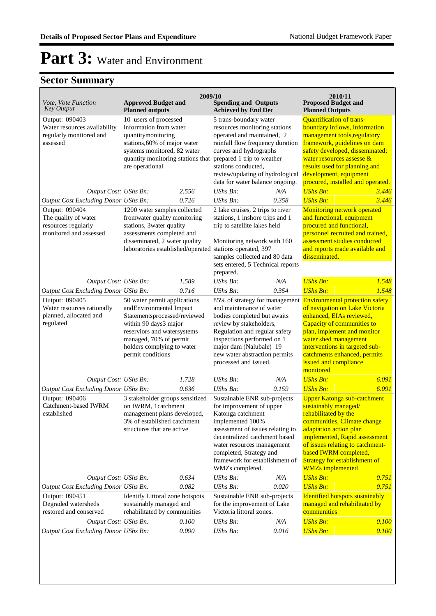|                                                                                       |                                                                                                                                                                                                                              | 2009/10 |                                                                                                                                                                                                                                                                                      |       | 2010/11                                                                                                                                                                                                                                                                                                      |       |
|---------------------------------------------------------------------------------------|------------------------------------------------------------------------------------------------------------------------------------------------------------------------------------------------------------------------------|---------|--------------------------------------------------------------------------------------------------------------------------------------------------------------------------------------------------------------------------------------------------------------------------------------|-------|--------------------------------------------------------------------------------------------------------------------------------------------------------------------------------------------------------------------------------------------------------------------------------------------------------------|-------|
| Vote, Vote Function<br>Key Output                                                     | <b>Approved Budget and</b><br><b>Planned outputs</b>                                                                                                                                                                         |         | <b>Spending and Outputs</b><br><b>Achieved by End Dec</b>                                                                                                                                                                                                                            |       | <b>Proposed Budget and</b><br><b>Planned Outputs</b>                                                                                                                                                                                                                                                         |       |
| Output: 090403<br>Water resources availability<br>regularly monitored and<br>assessed | 10 users of processed<br>information from water<br>quantitymonitoring<br>stations, 60% of major water<br>systems monitored, 82 water<br>quantity monitoring stations that<br>are operational                                 |         | 5 trans-boundary water<br>resources monitoring stations<br>operated and maintained, 2<br>rainfall flow frequency duration<br>curves and hydrographs<br>prepared 1 trip to weather<br>stations conducted,<br>review/updating of hydrological<br>data for water balance ongoing.       |       | <b>Quantification of trans-</b><br>boundary inflows, information<br>management tools, regulatory<br>framework, guidelines on dam<br>safety developed, disseminated;<br>water resources assesse $\&$<br>results used for planning and<br>development, equipment<br>procured, installed and operated.          |       |
| Output Cost: UShs Bn:                                                                 |                                                                                                                                                                                                                              | 2.556   | UShs Bn:                                                                                                                                                                                                                                                                             | N/A   | $UShs Bn:$                                                                                                                                                                                                                                                                                                   | 3.446 |
| Output Cost Excluding Donor UShs Bn:                                                  |                                                                                                                                                                                                                              | 0.726   | UShs Bn:                                                                                                                                                                                                                                                                             | 0.358 | <b>UShs Bn:</b>                                                                                                                                                                                                                                                                                              | 3.446 |
| Output: 090404                                                                        | 1200 water samples collected                                                                                                                                                                                                 |         | 2 lake cruises, 2 trips to river                                                                                                                                                                                                                                                     |       | Monitoring network operated                                                                                                                                                                                                                                                                                  |       |
| The quality of water                                                                  | fromwater quality monitoring                                                                                                                                                                                                 |         | stations, 1 inshore trips and 1                                                                                                                                                                                                                                                      |       | and functional, equipment                                                                                                                                                                                                                                                                                    |       |
| resources regularly                                                                   | stations, 3water quality                                                                                                                                                                                                     |         | trip to satellite lakes held                                                                                                                                                                                                                                                         |       | procured and functional,                                                                                                                                                                                                                                                                                     |       |
| monitored and assessed                                                                | assessments completed and<br>disseminated, 2 water quality<br>laboratories established/operated                                                                                                                              |         | Monitoring network with 160<br>stations operated, 397<br>samples collected and 80 data<br>sets entered, 5 Technical reports<br>prepared.                                                                                                                                             |       | personnel recruited and trained,<br>assessment studies conducted<br>and reports made available and<br>disseminated.                                                                                                                                                                                          |       |
| Output Cost: UShs Bn:                                                                 |                                                                                                                                                                                                                              | 1.589   | UShs Bn:                                                                                                                                                                                                                                                                             | N/A   | <b>UShs Bn:</b>                                                                                                                                                                                                                                                                                              | 1.548 |
| Output Cost Excluding Donor UShs Bn:                                                  |                                                                                                                                                                                                                              | 0.716   | UShs Bn:                                                                                                                                                                                                                                                                             | 0.354 | <b>UShs Bn:</b>                                                                                                                                                                                                                                                                                              | 1.548 |
| Output: 090405<br>Water resources rationally<br>planned, allocated and<br>regulated   | 50 water permit applications<br>andEnvironmental Impact<br>Statementsprocessed/reviewed<br>within 90 days3 major<br>reserviors and watersystems<br>managed, 70% of permit<br>holders complying to water<br>permit conditions |         | 85% of strategy for management<br>and maintenance of water<br>bodies completed but awaits<br>review by stakeholders,<br>Regulation and regular safety<br>inspections performed on 1<br>major dam (Nalubale) 19<br>new water abstraction permits<br>processed and issued.             |       | <b>Environmental protection safety</b><br>of navigation on Lake Victoria<br>enhanced, EIAs reviewed,<br>Capacity of communities to<br>plan, implement and monitor<br>water shed management<br>interventions in targeted sub-<br>catchments enhanced, permits<br>issued and compliance<br>monitored           |       |
| Output Cost: UShs Bn:                                                                 |                                                                                                                                                                                                                              | 1.728   | UShs Bn:                                                                                                                                                                                                                                                                             | N/A   | <b>UShs Bn:</b>                                                                                                                                                                                                                                                                                              | 6.091 |
| Output Cost Excluding Donor UShs Bn:                                                  |                                                                                                                                                                                                                              | 0.636   | UShs Bn:                                                                                                                                                                                                                                                                             | 0.159 | <b>UShs Bn:</b>                                                                                                                                                                                                                                                                                              | 6.091 |
| Output: 090406<br>Catchment-based IWRM<br>established                                 | 3 stakeholder groups sensitized<br>on IWRM, 1catchment<br>management plans developed,<br>3% of established catchment<br>structures that are active                                                                           |         | Sustainable ENR sub-projects<br>for improvement of upper<br>Katonga catchment<br>implemented 100%<br>assessment of issues relating to<br>decentralized catchment based<br>water resources management<br>completed, Strategy and<br>framework for establishment of<br>WMZs completed. |       | <b>Upper Katonga sub-catchment</b><br>sustainably managed/<br>rehabilitated by the<br>communities, Climate change<br>adaptation action plan<br>implemented, Rapid assessment<br>of issues relating to catchment-<br>based IWRM completed,<br><b>Strategy for establishment of</b><br><b>WMZs</b> implemented |       |
| Output Cost: UShs Bn:                                                                 |                                                                                                                                                                                                                              | 0.634   | UShs Bn:                                                                                                                                                                                                                                                                             | N/A   | <b>UShs Bn:</b>                                                                                                                                                                                                                                                                                              | 0.751 |
| Output Cost Excluding Donor UShs Bn:                                                  |                                                                                                                                                                                                                              | 0.082   | UShs Bn:                                                                                                                                                                                                                                                                             | 0.020 | <b>UShs Bn:</b>                                                                                                                                                                                                                                                                                              | 0.751 |
| Output: 090451<br>Degraded watersheds<br>restored and conserved                       | Identify Littoral zone hotspots<br>sustainably managed and<br>rehabilitated by communities                                                                                                                                   |         | Sustainable ENR sub-projects<br>for the improvement of Lake<br>Victoria littoral zones.                                                                                                                                                                                              |       | <b>Identified hotspots sustainably</b><br>managed and rehabilitated by<br>communities                                                                                                                                                                                                                        |       |
| Output Cost: UShs Bn:                                                                 |                                                                                                                                                                                                                              | 0.100   | UShs Bn:                                                                                                                                                                                                                                                                             | N/A   | <b>UShs Bn:</b>                                                                                                                                                                                                                                                                                              | 0.100 |
| <b>Output Cost Excluding Donor UShs Bn:</b>                                           |                                                                                                                                                                                                                              | 0.090   | UShs Bn:                                                                                                                                                                                                                                                                             | 0.016 | <b>UShs Bn:</b>                                                                                                                                                                                                                                                                                              | 0.100 |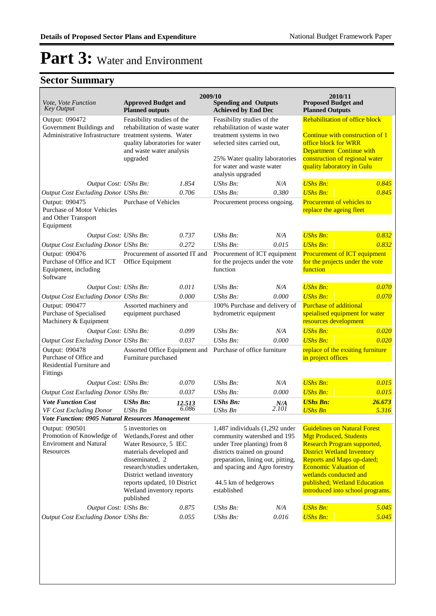| <i>Vote, Vote Function</i>                                                                           | <b>Approved Budget and</b>                                                                                                                                                                                                                                    |                 | 2009/10<br><b>Spending and Outputs</b>                                                                                                                                                                                                   |              | 2010/11<br><b>Proposed Budget and</b>                                                                                                                                                                                                                                                                       |                 |
|------------------------------------------------------------------------------------------------------|---------------------------------------------------------------------------------------------------------------------------------------------------------------------------------------------------------------------------------------------------------------|-----------------|------------------------------------------------------------------------------------------------------------------------------------------------------------------------------------------------------------------------------------------|--------------|-------------------------------------------------------------------------------------------------------------------------------------------------------------------------------------------------------------------------------------------------------------------------------------------------------------|-----------------|
| <b>Key Output</b>                                                                                    | <b>Planned outputs</b>                                                                                                                                                                                                                                        |                 | <b>Achieved by End Dec</b>                                                                                                                                                                                                               |              | <b>Planned Outputs</b>                                                                                                                                                                                                                                                                                      |                 |
| Output: 090472<br>Government Buildings and<br>Administrative Infrastructure treatment systems. Water | Feasibility studies of the<br>rehabilitation of waste water<br>quality laboratories for water<br>and waste water analysis<br>upgraded                                                                                                                         |                 | Feasibility studies of the<br>rehabilitation of waste water<br>treatment systems in two<br>selected sites carried out,<br>25% Water quality laboratories<br>for water and waste water<br>analysis upgraded                               |              | Rehabilitation of office block<br>Continue with construction of 1<br>office block for WRR<br>Department Continue with<br>construction of regional water<br>quality laboratory in Gulu                                                                                                                       |                 |
| Output Cost: UShs Bn:                                                                                |                                                                                                                                                                                                                                                               | 1.854           | UShs Bn:                                                                                                                                                                                                                                 | N/A          | <b>UShs Bn:</b>                                                                                                                                                                                                                                                                                             | 0.845           |
| Output Cost Excluding Donor UShs Bn:                                                                 |                                                                                                                                                                                                                                                               | 0.706           | UShs Bn:                                                                                                                                                                                                                                 | 0.380        | <b>UShs Bn:</b>                                                                                                                                                                                                                                                                                             | 0.845           |
| Output: 090475<br><b>Purchase of Motor Vehicles</b><br>and Other Transport<br>Equipment              | <b>Purchase of Vehicles</b>                                                                                                                                                                                                                                   |                 | Procurement process ongoing.                                                                                                                                                                                                             |              | Procuremnt of vehicles to<br>replace the ageing fleet                                                                                                                                                                                                                                                       |                 |
| Output Cost: UShs Bn:                                                                                |                                                                                                                                                                                                                                                               | 0.737           | $UShs Bn$ :                                                                                                                                                                                                                              | N/A          | <b>UShs Bn:</b>                                                                                                                                                                                                                                                                                             | 0.832           |
| Output Cost Excluding Donor UShs Bn:                                                                 |                                                                                                                                                                                                                                                               | 0.272           | UShs Bn:                                                                                                                                                                                                                                 | 0.015        | <b>UShs Bn:</b>                                                                                                                                                                                                                                                                                             | 0.832           |
| Output: 090476<br>Purchase of Office and ICT<br>Equipment, including<br>Software                     | Procurement of assorted IT and<br>Office Equipment                                                                                                                                                                                                            |                 | Procurement of ICT equipment<br>for the projects under the vote<br>function                                                                                                                                                              |              | Procurement of ICT equipment<br>for the projects under the vote<br>function                                                                                                                                                                                                                                 |                 |
| Output Cost: UShs Bn:                                                                                |                                                                                                                                                                                                                                                               | 0.011           | UShs Bn:                                                                                                                                                                                                                                 | N/A          | <b>UShs Bn:</b>                                                                                                                                                                                                                                                                                             | 0.070           |
| Output Cost Excluding Donor UShs Bn:                                                                 |                                                                                                                                                                                                                                                               | 0.000           | $UShs Bn$ :                                                                                                                                                                                                                              | 0.000        | <b>UShs Bn:</b>                                                                                                                                                                                                                                                                                             | 0.070           |
| Output: 090477<br>Purchase of Specialised<br>Machinery & Equipment                                   | Assorted machinery and<br>equipment purchased                                                                                                                                                                                                                 |                 | 100% Purchase and delivery of<br>hydrometric equipment                                                                                                                                                                                   |              | <b>Purchase of additional</b><br>speialised equipment for water<br>resources development                                                                                                                                                                                                                    |                 |
| Output Cost: UShs Bn:                                                                                |                                                                                                                                                                                                                                                               | 0.099           | UShs Bn:                                                                                                                                                                                                                                 | N/A          | <b>UShs Bn:</b>                                                                                                                                                                                                                                                                                             | 0.020           |
| Output Cost Excluding Donor UShs Bn:                                                                 |                                                                                                                                                                                                                                                               | 0.037           | UShs Bn:                                                                                                                                                                                                                                 | 0.000        | <b>UShs Bn:</b>                                                                                                                                                                                                                                                                                             | 0.020           |
| Output: 090478<br>Purchase of Office and<br>Residential Furniture and<br>Fittings                    | Assorted Office Equipment and<br>Furniture purchased                                                                                                                                                                                                          |                 | Purchase of office furniture                                                                                                                                                                                                             |              | replace of the exsiting furniture<br>in project offices                                                                                                                                                                                                                                                     |                 |
| Output Cost: UShs Bn:                                                                                |                                                                                                                                                                                                                                                               | 0.070           | UShs Bn:                                                                                                                                                                                                                                 | N/A          | <b>UShs Bn:</b>                                                                                                                                                                                                                                                                                             | 0.015           |
| Output Cost Excluding Donor UShs Bn:                                                                 |                                                                                                                                                                                                                                                               | 0.037           | UShs Bn:                                                                                                                                                                                                                                 | 0.000        | <b>UShs Bn:</b>                                                                                                                                                                                                                                                                                             | 0.015           |
| <b>Vote Function Cost</b><br>VF Cost Excluding Donor                                                 | <b>UShs Bn:</b><br>UShs Bn                                                                                                                                                                                                                                    | 12.513<br>6.086 | <b>UShs Bn:</b><br>UShs Bn                                                                                                                                                                                                               | N/A<br>2.101 | <b>UShs Bn:</b><br><b>UShs Bn</b>                                                                                                                                                                                                                                                                           | 26.673<br>5.316 |
| Vote Function: 0905 Natural Resources Management                                                     |                                                                                                                                                                                                                                                               |                 |                                                                                                                                                                                                                                          |              |                                                                                                                                                                                                                                                                                                             |                 |
| Output: 090501<br>Promotion of Knowledge of<br><b>Enviroment and Natural</b><br>Resources            | 5 inventories on<br>Wetlands, Forest and other<br>Water Resource, 5 IEC<br>materials developed and<br>disseminated, 2<br>research/studies undertaken,<br>District wetland inventory<br>reports updated, 10 District<br>Wetland inventory reports<br>published |                 | 1,487 individuals (1,292 under<br>community watershed and 195<br>under Tree planting) from 8<br>districts trained on ground<br>preparation, lining out, pitting,<br>and spacing and Agro forestry<br>44.5 km of hedgerows<br>established |              | <b>Guidelines on Natural Forest</b><br><b>Mgt Produced, Students</b><br>Research Program supported,<br><b>District Wetland Inventory</b><br><b>Reports and Maps up-dated;</b><br><b>Economic Valuation of</b><br>wetlands conducted and<br>published; Wetland Education<br>introduced into school programs. |                 |
| Output Cost: UShs Bn:                                                                                |                                                                                                                                                                                                                                                               | 0.875           | UShs Bn:                                                                                                                                                                                                                                 | N/A          | <b>UShs Bn:</b>                                                                                                                                                                                                                                                                                             | 5.045           |
| Output Cost Excluding Donor UShs Bn:                                                                 |                                                                                                                                                                                                                                                               | 0.055           | UShs Bn:                                                                                                                                                                                                                                 | 0.016        | <b>UShs Bn:</b>                                                                                                                                                                                                                                                                                             | 5.045           |
|                                                                                                      |                                                                                                                                                                                                                                                               |                 |                                                                                                                                                                                                                                          |              |                                                                                                                                                                                                                                                                                                             |                 |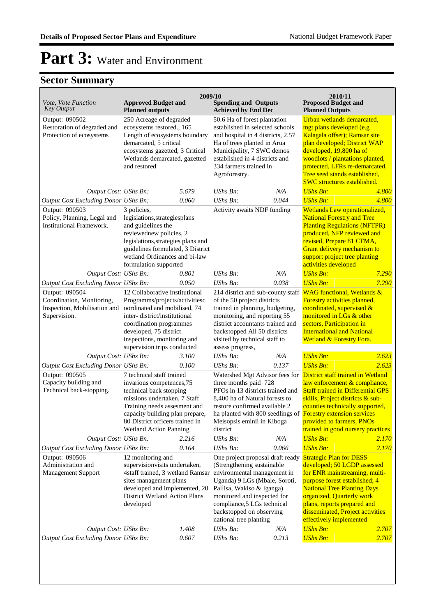| Vote, Vote Function<br>Key Output                                                                  | <b>Approved Budget and</b><br><b>Planned outputs</b>                                                                                                                                                                                                | 2009/10                                                                                                                                                                                                                             | <b>Spending and Outputs</b><br><b>Achieved by End Dec</b>                                                                                                                                                                                                      |                                                                                                                                                                                              | 2010/11<br><b>Proposed Budget and</b><br><b>Planned Outputs</b>                                                                                                                                                                                                                                                         |       |
|----------------------------------------------------------------------------------------------------|-----------------------------------------------------------------------------------------------------------------------------------------------------------------------------------------------------------------------------------------------------|-------------------------------------------------------------------------------------------------------------------------------------------------------------------------------------------------------------------------------------|----------------------------------------------------------------------------------------------------------------------------------------------------------------------------------------------------------------------------------------------------------------|----------------------------------------------------------------------------------------------------------------------------------------------------------------------------------------------|-------------------------------------------------------------------------------------------------------------------------------------------------------------------------------------------------------------------------------------------------------------------------------------------------------------------------|-------|
| Output: 090502<br>Restoration of degraded and<br>Protection of ecosystems                          | 250 Acreage of degraded<br>ecosystems restored., 165<br>Length of ecosystems boundary<br>demarcated, 5 critical<br>ecosystems gazetted, 3 Critical<br>Wetlands demarcated, gazetted<br>and restored                                                 |                                                                                                                                                                                                                                     | 50.6 Ha of forest plantation<br>established in selected schools<br>and hospital in 4 districts, 2.57<br>Ha of trees planted in Arua<br>Municipality, 7 SWC demos<br>established in 4 districts and<br>334 farmers trained in<br>Agroforestry.                  |                                                                                                                                                                                              | Urban wetlands demarcated,<br>mgt plans developed (e.g<br>Kalagala offset); Ramsar site<br>plan developed; District WAP<br>developed, 19,800 ha of<br>woodlots / plantations planted,<br>protected, LFRs re-demarcated,<br>Tree seed stands established,<br><b>SWC</b> structures established.                          |       |
| Output Cost: UShs Bn:                                                                              |                                                                                                                                                                                                                                                     | 5.679                                                                                                                                                                                                                               | <b>UShs Bn:</b>                                                                                                                                                                                                                                                | N/A                                                                                                                                                                                          | <b>UShs Bn:</b>                                                                                                                                                                                                                                                                                                         | 4.800 |
| Output Cost Excluding Donor UShs Bn:                                                               |                                                                                                                                                                                                                                                     | 0.060                                                                                                                                                                                                                               | $UShs Bn$ :                                                                                                                                                                                                                                                    | 0.044                                                                                                                                                                                        | <b>UShs Bn:</b>                                                                                                                                                                                                                                                                                                         | 4.800 |
| Output: 090503<br>Policy, Planning, Legal and<br><b>Institutional Framework.</b>                   | 3 policies,<br>legislations, strategiesplans<br>and guidelines the<br>reviewednew policies, 2<br>legislations, strategies plans and<br>guidelines formulated, 3 District<br>wetland Ordinances and bi-law<br>formulation supported                  |                                                                                                                                                                                                                                     | Activity awaits NDF funding                                                                                                                                                                                                                                    |                                                                                                                                                                                              | Wetlands Law operationalized,<br><b>National Forestry and Tree</b><br><b>Planting Regulations (NFTPR)</b><br>produced, NFP reviewed and<br>revised, Prepare 81 CFMA,<br>Grant delivery mechanism to<br>support project tree planting<br>activities developed                                                            |       |
| Output Cost: UShs Bn:                                                                              |                                                                                                                                                                                                                                                     | 0.801                                                                                                                                                                                                                               | UShs Bn:                                                                                                                                                                                                                                                       | N/A                                                                                                                                                                                          | <b>UShs Bn:</b>                                                                                                                                                                                                                                                                                                         | 7.290 |
| Output Cost Excluding Donor UShs Bn:                                                               |                                                                                                                                                                                                                                                     | 0.050                                                                                                                                                                                                                               | UShs Bn:                                                                                                                                                                                                                                                       | 0.038                                                                                                                                                                                        | <b>UShs Bn:</b>                                                                                                                                                                                                                                                                                                         | 7.290 |
| Output: 090504<br>Coordination, Monitoring,<br>Inspection, Mobilisation and<br>Supervision.        | 12 Collaborative Institutional<br>Programms/projects/activitiesc<br>oordinated and mobilised, 74<br>inter-district/institutional<br>coordination programmes<br>developed, 75 district<br>inspections, monitoring and<br>supervision trips conducted |                                                                                                                                                                                                                                     | 214 district and sub-county staff<br>of the 50 project districts<br>trained in planning, budgeting,<br>monitoring, and reporting 55<br>district accountants trained and<br>backstopped All 50 districts<br>visited by technical staff to<br>assess progress,   |                                                                                                                                                                                              | <b>WAG</b> functional, Wetlands &<br>Forestry activities planned,<br>coordinated, supervised &<br>monitored in LGs & other<br>sectors, Participation in<br><b>International and National</b><br>Wetland & Forestry Fora.                                                                                                |       |
| Output Cost: UShs Bn:                                                                              |                                                                                                                                                                                                                                                     | 3.100                                                                                                                                                                                                                               | UShs Bn:                                                                                                                                                                                                                                                       | N/A                                                                                                                                                                                          | <b>UShs Bn:</b>                                                                                                                                                                                                                                                                                                         | 2.623 |
| Output Cost Excluding Donor UShs Bn:                                                               |                                                                                                                                                                                                                                                     | 0.100                                                                                                                                                                                                                               | UShs Bn:                                                                                                                                                                                                                                                       | 0.137                                                                                                                                                                                        | <b>UShs Bn:</b>                                                                                                                                                                                                                                                                                                         | 2.623 |
| Output: 090505<br>Capacity building and<br>Technical back-stopping.                                | <b>Wetland Action Panning</b>                                                                                                                                                                                                                       | 7 technical staff trained<br>invarious competences, 75<br>technical back stopping<br>missions undertaken, 7 Staff<br>Training needs assesment and<br>capacity building plan prepare,<br>80 District officers trained in<br>district |                                                                                                                                                                                                                                                                | Watershed Mgt Advisor fees for<br>three months paid 728<br>PFOs in 13 districts trained and<br>8,400 ha of Natural forests to<br>restore confirmed available 2<br>Meisopsis eminii in Kiboga | District staff trained in Wetland<br>law enforcement & compliance,<br><b>Staff trained in Differential GPS</b><br>skills, Project districts & sub-<br>counties technically supported,<br>ha planted with 800 seedlings of Forestry extension services<br>provided to farmers, PNOs<br>trained in good nursery practices |       |
| Output Cost: UShs Bn:                                                                              |                                                                                                                                                                                                                                                     | 2.216                                                                                                                                                                                                                               | <b>UShs Bn:</b>                                                                                                                                                                                                                                                | N/A                                                                                                                                                                                          | <b>UShs Bn:</b>                                                                                                                                                                                                                                                                                                         | 2.170 |
| Output Cost Excluding Donor UShs Bn:<br>Output: 090506<br>Administration and<br>Management Support | 0.164<br>12 monitoring and<br>supervisionvisits undertaken,<br>4staff trained, 3 wetland Ramsar<br>sites management plans<br>developed and implemented, 20<br><b>District Wetland Action Plans</b><br>developed                                     |                                                                                                                                                                                                                                     | <b>UShs Bn:</b><br>(Strengthening sustainable<br>environmental management in<br>Uganda) 9 LGs (Mbale, Soroti,<br>Pallisa, Wakiso & Iganga)<br>monitored and inspected for<br>compliance, 5 LGs technical<br>backstopped on observing<br>national tree planting | 0.066<br>One project proposal draft ready                                                                                                                                                    | <b>UShs Bn:</b><br><b>Strategic Plan for DESS</b><br>developed; 50 LGDP assessed<br>for ENR mainstreaming, multi-<br>purpose forest established; 4<br><b>National Tree Planting Days</b><br>organized, Quarterly work<br>plans, reports prepared and<br>disseminated, Project activities<br>effectively implemented     | 2.170 |
| Output Cost: UShs Bn:                                                                              |                                                                                                                                                                                                                                                     | 1.408                                                                                                                                                                                                                               | UShs Bn:                                                                                                                                                                                                                                                       | N/A                                                                                                                                                                                          | <b>UShs Bn:</b>                                                                                                                                                                                                                                                                                                         | 2.707 |
| <b>Output Cost Excluding Donor UShs Bn:</b>                                                        |                                                                                                                                                                                                                                                     | 0.607                                                                                                                                                                                                                               | UShs Bn:                                                                                                                                                                                                                                                       | 0.213                                                                                                                                                                                        | <b>UShs Bn:</b>                                                                                                                                                                                                                                                                                                         | 2.707 |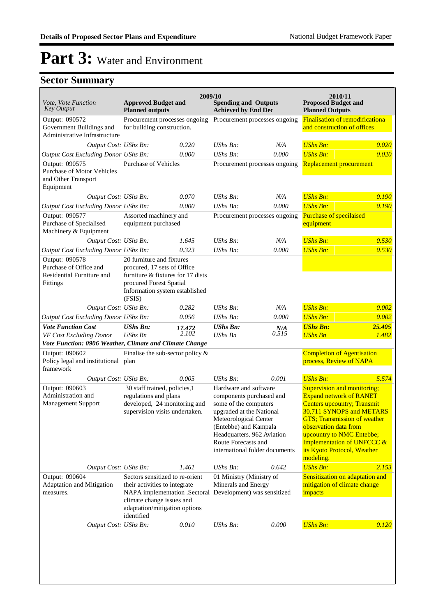| Vote, Vote Function<br><b>Key Output</b>                                                | <b>Approved Budget and</b><br><b>Planned outputs</b>                                                                                                                                                      | 2009/10                                                     | <b>Spending and Outputs</b><br><b>Achieved by End Dec</b>                                                                                                                                                                                       |                               | 2010/11<br><b>Proposed Budget and</b><br><b>Planned Outputs</b>                                                                                                                                                                                                                                         |                 |
|-----------------------------------------------------------------------------------------|-----------------------------------------------------------------------------------------------------------------------------------------------------------------------------------------------------------|-------------------------------------------------------------|-------------------------------------------------------------------------------------------------------------------------------------------------------------------------------------------------------------------------------------------------|-------------------------------|---------------------------------------------------------------------------------------------------------------------------------------------------------------------------------------------------------------------------------------------------------------------------------------------------------|-----------------|
| Output: 090572<br>Government Buildings and<br>Administrative Infrastructure             |                                                                                                                                                                                                           | Procurement processes ongoing<br>for building construction. |                                                                                                                                                                                                                                                 | Procurement processes ongoing | <b>Finalisation of remodificationa</b><br>and construction of offices                                                                                                                                                                                                                                   |                 |
| Output Cost: UShs Bn:                                                                   |                                                                                                                                                                                                           | 0.220                                                       | $\mathit{UShs}\, \mathit{Bn}$ :                                                                                                                                                                                                                 | N/A                           | <b>UShs Bn:</b>                                                                                                                                                                                                                                                                                         | 0.020           |
| Output Cost Excluding Donor UShs Bn:                                                    |                                                                                                                                                                                                           | 0.000                                                       | $UShs Bn$ :                                                                                                                                                                                                                                     | 0.000                         | <b>UShs Bn:</b>                                                                                                                                                                                                                                                                                         | 0.020           |
| Output: 090575<br><b>Purchase of Motor Vehicles</b><br>and Other Transport<br>Equipment | <b>Purchase of Vehicles</b>                                                                                                                                                                               |                                                             | Procurement processes ongoing                                                                                                                                                                                                                   |                               | Replacement procurement                                                                                                                                                                                                                                                                                 |                 |
| Output Cost: UShs Bn:                                                                   |                                                                                                                                                                                                           | 0.070                                                       | UShs Bn:                                                                                                                                                                                                                                        | N/A                           | <b>UShs Bn:</b>                                                                                                                                                                                                                                                                                         | 0.190           |
| Output Cost Excluding Donor UShs Bn:                                                    |                                                                                                                                                                                                           | 0.000                                                       | UShs Bn:                                                                                                                                                                                                                                        | 0.000                         | <b>UShs Bn:</b>                                                                                                                                                                                                                                                                                         | 0.190           |
| Output: 090577<br>Purchase of Specialised<br>Machinery & Equipment                      | Assorted machinery and<br>equipment purchased                                                                                                                                                             |                                                             | Procurement processes ongoing                                                                                                                                                                                                                   |                               | Purchase of specilaised<br>equipment                                                                                                                                                                                                                                                                    |                 |
| Output Cost: UShs Bn:                                                                   |                                                                                                                                                                                                           | 1.645                                                       | UShs Bn:                                                                                                                                                                                                                                        | N/A                           | <b>UShs Bn:</b>                                                                                                                                                                                                                                                                                         | 0.530           |
| Output Cost Excluding Donor UShs Bn:                                                    |                                                                                                                                                                                                           | 0.323                                                       | <b>UShs Bn:</b>                                                                                                                                                                                                                                 | 0.000                         | <b>UShs Bn:</b>                                                                                                                                                                                                                                                                                         | 0.530           |
| Output: 090578<br>Purchase of Office and<br>Residential Furniture and<br>Fittings       | 20 furniture and fixtures<br>procured, 17 sets of Office<br>furniture & fixtures for 17 dists<br>procured Forest Spatial<br>Information system established<br>(FSIS)                                      |                                                             |                                                                                                                                                                                                                                                 |                               |                                                                                                                                                                                                                                                                                                         |                 |
| Output Cost: UShs Bn:                                                                   |                                                                                                                                                                                                           | 0.282                                                       | $UShs Bn$ :                                                                                                                                                                                                                                     | N/A                           | <b>UShs Bn:</b>                                                                                                                                                                                                                                                                                         | 0.002           |
| Output Cost Excluding Donor UShs Bn:                                                    |                                                                                                                                                                                                           | 0.056                                                       | $UShs Bn$ :                                                                                                                                                                                                                                     | 0.000                         | <b>UShs Bn:</b>                                                                                                                                                                                                                                                                                         | 0.002           |
| <b>Vote Function Cost</b><br>VF Cost Excluding Donor                                    | <b>UShs Bn:</b><br><b>UShs Bn</b>                                                                                                                                                                         | 17.472<br>2.102                                             | <b>UShs Bn:</b><br><b>UShs Bn</b>                                                                                                                                                                                                               | $N/A$ <sub>0.515</sub>        | <b>UShs Bn:</b><br><b>UShs Bn</b>                                                                                                                                                                                                                                                                       | 25.405<br>1.482 |
| Vote Function: 0906 Weather, Climate and Climate Change                                 |                                                                                                                                                                                                           |                                                             |                                                                                                                                                                                                                                                 |                               |                                                                                                                                                                                                                                                                                                         |                 |
| Output: 090602<br>Policy legal and institutional plan<br>framework                      | Finalise the sub-sector policy $\&$                                                                                                                                                                       |                                                             |                                                                                                                                                                                                                                                 |                               | <b>Completion of Agentisation</b><br>process, Review of NAPA                                                                                                                                                                                                                                            |                 |
| Output Cost: UShs Bn:                                                                   |                                                                                                                                                                                                           | 0.005                                                       | UShs Bn:                                                                                                                                                                                                                                        | 0.001                         | <b>UShs Bn:</b>                                                                                                                                                                                                                                                                                         | 5.574           |
| Output: 090603<br>Administration and<br><b>Management Support</b>                       | 30 staff trained, policies, 1<br>regulations and plans<br>developed, 24 monitoring and<br>supervision visits undertaken.                                                                                  |                                                             | Hardware and software<br>components purchased and<br>some of the computers<br>upgraded at the National<br>Meteorological Center<br>(Entebbe) and Kampala<br>Headquarters. 962 Aviation<br>Route Forecasts and<br>international folder documents |                               | Supervision and monitoring;<br><b>Expand network of RANET</b><br><b>Centers upcountry; Transmit</b><br>30,711 SYNOPS and METARS<br><b>GTS</b> ; Transmission of weather<br>observation data from<br>upcountry to NMC Entebbe;<br>Implementation of UNFCCC &<br>its Kyoto Protocol, Weather<br>modeling. |                 |
| Output Cost: UShs Bn:                                                                   |                                                                                                                                                                                                           | 1.461                                                       | UShs Bn:                                                                                                                                                                                                                                        | 0.642                         | <b>UShs Bn:</b>                                                                                                                                                                                                                                                                                         | 2.153           |
| Output: 090604<br>Adaptation and Mitigation<br>measures.                                | Sectors sensitized to re-orient<br>their activities to integrate<br>NAPA implementation .Sectoral Development) was sensitized<br>climate change issues and<br>adaptation/mitigation options<br>identified |                                                             | 01 Ministry (Ministry of<br>Minerals and Energy                                                                                                                                                                                                 |                               | Sensitization on adaptation and<br>mitigation of climate change<br>impacts                                                                                                                                                                                                                              |                 |
| Output Cost: UShs Bn:                                                                   |                                                                                                                                                                                                           | 0.010                                                       | UShs Bn:                                                                                                                                                                                                                                        | 0.000                         | <b>UShs Bn:</b>                                                                                                                                                                                                                                                                                         | 0.120           |
|                                                                                         |                                                                                                                                                                                                           |                                                             |                                                                                                                                                                                                                                                 |                               |                                                                                                                                                                                                                                                                                                         |                 |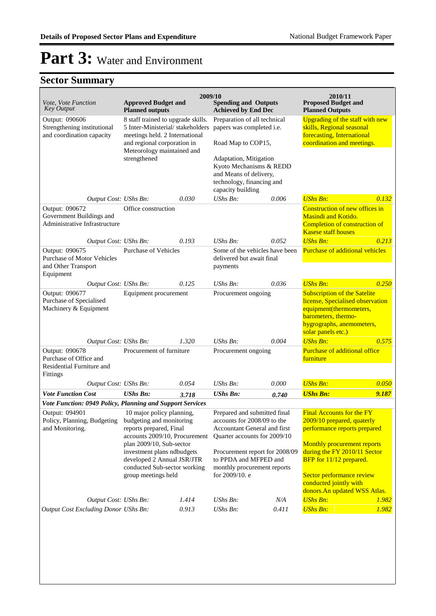| Vote, Vote Function<br><b>Key Output</b>                                          | <b>Approved Budget and</b><br><b>Planned outputs</b>                                                                                                                  |                   | 2009/10<br><b>Spending and Outputs</b><br><b>Achieved by End Dec</b>                                                        |                                                                                                          | 2010/11<br><b>Proposed Budget and</b><br><b>Planned Outputs</b>                                                                                                              |       |
|-----------------------------------------------------------------------------------|-----------------------------------------------------------------------------------------------------------------------------------------------------------------------|-------------------|-----------------------------------------------------------------------------------------------------------------------------|----------------------------------------------------------------------------------------------------------|------------------------------------------------------------------------------------------------------------------------------------------------------------------------------|-------|
| Output: 090606<br>Strengthening institutional<br>and coordination capacity        | 8 staff trained to upgrade skills.<br>5 Inter-Ministerial/stakeholders<br>meetings held. 2 International<br>and regional corporation in<br>Meteorology maintained and |                   | Preparation of all technical<br>papers was completed i.e.<br>Road Map to COP15,                                             |                                                                                                          | Upgrading of the staff with new<br>skills, Regional seasonal<br>forecasting, International<br>coordination and meetings.                                                     |       |
|                                                                                   | strengthened                                                                                                                                                          | capacity building |                                                                                                                             | Adaptation, Mitigation<br>Kyoto Mechanisms & REDD<br>and Means of delivery,<br>technology, financing and |                                                                                                                                                                              |       |
| Output Cost: UShs Bn:                                                             |                                                                                                                                                                       | 0.030             | $UShs Bn$ :                                                                                                                 | 0.006                                                                                                    | <b>UShs Bn:</b>                                                                                                                                                              | 0.132 |
| Output: 090672<br>Government Buildings and<br>Administrative Infrastructure       | Office construction                                                                                                                                                   |                   |                                                                                                                             |                                                                                                          | Construction of new offices in<br>Masindi and Kotido.<br>Completion of construction of<br><b>Kasese staff houses</b>                                                         |       |
| Output Cost: UShs Bn:                                                             |                                                                                                                                                                       | 0.193             | $UShs Bn$ :                                                                                                                 | 0.052                                                                                                    | <b>UShs Bn:</b>                                                                                                                                                              | 0.213 |
| Output: 090675<br>Purchase of Motor Vehicles<br>and Other Transport<br>Equipment  | <b>Purchase of Vehicles</b>                                                                                                                                           |                   | Some of the vehicles have been<br>delivered but await final<br>payments                                                     |                                                                                                          | <b>Purchase of additional vehicles</b>                                                                                                                                       |       |
| Output Cost: UShs Bn:                                                             |                                                                                                                                                                       | 0.125             | $UShs Bn$ :                                                                                                                 | 0.036                                                                                                    | <b>UShs Bn:</b>                                                                                                                                                              | 0.250 |
| Output: 090677<br>Purchase of Specialised<br>Machinery & Equipment                | Equipment procurement                                                                                                                                                 |                   | Procurement ongoing                                                                                                         |                                                                                                          | <b>Subscription of the Satelite</b><br>license, Specialised observation<br>equipment(thermometers,<br>barometers, thermo-<br>hygrographs, anemometers,<br>solar panels etc.) |       |
| Output Cost: UShs Bn:                                                             |                                                                                                                                                                       | 1.320             | $UShs Bn$ :                                                                                                                 | 0.004                                                                                                    | <b>UShs Bn:</b>                                                                                                                                                              | 0.575 |
| Output: 090678<br>Purchase of Office and<br>Residential Furniture and<br>Fittings | Procurement of furniture                                                                                                                                              |                   | Procurement ongoing                                                                                                         |                                                                                                          | Purchase of additional office<br>furniture                                                                                                                                   |       |
| Output Cost: UShs Bn:                                                             |                                                                                                                                                                       | 0.054             | $UShs Bn$ :                                                                                                                 | 0.000                                                                                                    | <b>UShs Bn:</b>                                                                                                                                                              | 0.050 |
| <b>Vote Function Cost</b>                                                         | <b>UShs Bn:</b>                                                                                                                                                       | 3.718             | <b>UShs Bn:</b>                                                                                                             | 0.740                                                                                                    | <b>UShs Bn:</b>                                                                                                                                                              | 9.187 |
| Vote Function: 0949 Policy, Planning and Support Services                         |                                                                                                                                                                       |                   |                                                                                                                             |                                                                                                          |                                                                                                                                                                              |       |
| Output: 094901<br>Policy, Planning, Budgeting<br>and Monitoring.                  | 10 major policy planning,<br>budgeting and monitoring<br>reports prepared, Final<br>accounts 2009/10, Procurement                                                     |                   | Prepared and submitted final<br>accounts for 2008/09 to the<br>Accountant General and first<br>Quarter accounts for 2009/10 |                                                                                                          | <b>Final Accounts for the FY</b><br>2009/10 prepared, quaterly<br>performance reports prepared<br>Monthly procurement reports                                                |       |
|                                                                                   | plan 2009/10, Sub-sector<br>investment plans ndbudgets<br>developed 2 Annual JSR/JTR<br>conducted Sub-sector working<br>group meetings held                           |                   | Procurement report for 2008/09<br>to PPDA and MFPED and<br>monthly procurement reports<br>for $2009/10$ . e                 |                                                                                                          | during the FY 2010/11 Sector<br>BFP for 11/12 prepared.<br>Sector performance review<br>conducted jointly with<br>donors. An updated WSS Atlas.                              |       |
| Output Cost: UShs Bn:                                                             |                                                                                                                                                                       | 1.414             | UShs Bn:                                                                                                                    | N/A                                                                                                      | <b>UShs Bn:</b>                                                                                                                                                              | 1.982 |
| <b>Output Cost Excluding Donor UShs Bn:</b>                                       |                                                                                                                                                                       | 0.913             | UShs Bn:                                                                                                                    | 0.411                                                                                                    | <b>UShs Bn:</b>                                                                                                                                                              | 1.982 |
|                                                                                   |                                                                                                                                                                       |                   |                                                                                                                             |                                                                                                          |                                                                                                                                                                              |       |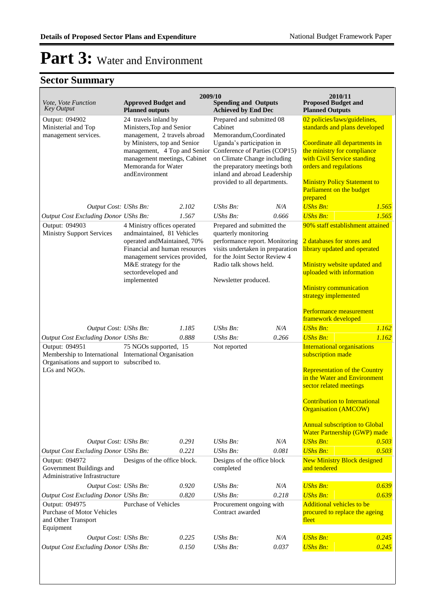| <b>Proposed Budget and</b><br>Vote, Vote Function<br><b>Approved Budget and</b><br><b>Spending and Outputs</b><br><b>Key Output</b><br><b>Achieved by End Dec</b><br><b>Planned outputs</b><br><b>Planned Outputs</b><br>24 travels inland by<br>Prepared and submitted 08<br>Output: 094902<br>02 policies/laws/guidelines,<br>Cabinet<br>Ministerial and Top<br>Ministers, Top and Senior<br>standards and plans developed<br>management services.<br>management, 2 travels abroad<br>Memorandum, Coordinated<br>by Ministers, top and Senior<br>Uganda's participation in<br>Coordinate all departments in<br>management, 4 Top and Senior Conference of Parties (COP15)<br>the ministry for compliance<br>management meetings, Cabinet<br>on Climate Change including<br>with Civil Service standing<br>Memoranda for Water<br>the preparatory meetings both<br>orders and regulations<br>inland and abroad Leadership<br>andEnvironment<br>provided to all departments.<br><b>Ministry Policy Statement to</b><br>Parliament on the budget<br>prepared<br><b>UShs Bn:</b><br>1.565<br>N/A<br>Output Cost: UShs Bn:<br>2.102<br>$\mathit{UShs}\, \mathit{Bn}$ :<br>UShs Bn:<br>1.565<br>Output Cost Excluding Donor UShs Bn:<br>1.567<br>0.666<br><b>UShs Bn:</b><br>90% staff establishment attained<br>Output: 094903<br>4 Ministry offices operated<br>Prepared and submitted the<br><b>Ministry Support Services</b><br>andmaintained, 81 Vehicles<br>quarterly monitoring<br>performance report. Monitoring<br>2 databases for stores and<br>operated and Maintained, 70%<br>visits undertaken in preparation<br>Financial and human resources<br>library updated and operated<br>for the Joint Sector Review 4<br>management services provided,<br>M&E strategy for the<br>Radio talk shows held.<br>Ministry website updated and<br>sectordeveloped and<br>uploaded with information<br>implemented<br>Newsletter produced.<br><b>Ministry communication</b><br>strategy implemented<br>Performance measurement<br>framework developed<br>1.185<br>$UShs Bn$ :<br>N/A<br><b>UShs Bn:</b><br>1.162<br>Output Cost: UShs Bn:<br>1.162<br>Output Cost Excluding Donor UShs Bn:<br>0.888<br>$UShs Bn$ :<br>0.266<br><b>UShs Bn:</b><br>Output: 094951<br>Not reported<br><b>International organisations</b><br>75 NGOs supported, 15<br>Membership to International International Organisation<br>subscription made<br>Organisations and support to subscribed to.<br>LGs and NGOs.<br><b>Representation of the Country</b><br>in the Water and Environment<br>sector related meetings |  |                              | 2009/10 |                             |  | 2010/11                   |  |
|-----------------------------------------------------------------------------------------------------------------------------------------------------------------------------------------------------------------------------------------------------------------------------------------------------------------------------------------------------------------------------------------------------------------------------------------------------------------------------------------------------------------------------------------------------------------------------------------------------------------------------------------------------------------------------------------------------------------------------------------------------------------------------------------------------------------------------------------------------------------------------------------------------------------------------------------------------------------------------------------------------------------------------------------------------------------------------------------------------------------------------------------------------------------------------------------------------------------------------------------------------------------------------------------------------------------------------------------------------------------------------------------------------------------------------------------------------------------------------------------------------------------------------------------------------------------------------------------------------------------------------------------------------------------------------------------------------------------------------------------------------------------------------------------------------------------------------------------------------------------------------------------------------------------------------------------------------------------------------------------------------------------------------------------------------------------------------------------------------------------------------------------------------------------------------------------------------------------------------------------------------------------------------------------------------------------------------------------------------------------------------------------------------------------------------------------------------------------------------------------------------------------------------------------------------------------------------------------------|--|------------------------------|---------|-----------------------------|--|---------------------------|--|
|                                                                                                                                                                                                                                                                                                                                                                                                                                                                                                                                                                                                                                                                                                                                                                                                                                                                                                                                                                                                                                                                                                                                                                                                                                                                                                                                                                                                                                                                                                                                                                                                                                                                                                                                                                                                                                                                                                                                                                                                                                                                                                                                                                                                                                                                                                                                                                                                                                                                                                                                                                                               |  |                              |         |                             |  |                           |  |
|                                                                                                                                                                                                                                                                                                                                                                                                                                                                                                                                                                                                                                                                                                                                                                                                                                                                                                                                                                                                                                                                                                                                                                                                                                                                                                                                                                                                                                                                                                                                                                                                                                                                                                                                                                                                                                                                                                                                                                                                                                                                                                                                                                                                                                                                                                                                                                                                                                                                                                                                                                                               |  |                              |         |                             |  |                           |  |
|                                                                                                                                                                                                                                                                                                                                                                                                                                                                                                                                                                                                                                                                                                                                                                                                                                                                                                                                                                                                                                                                                                                                                                                                                                                                                                                                                                                                                                                                                                                                                                                                                                                                                                                                                                                                                                                                                                                                                                                                                                                                                                                                                                                                                                                                                                                                                                                                                                                                                                                                                                                               |  |                              |         |                             |  |                           |  |
|                                                                                                                                                                                                                                                                                                                                                                                                                                                                                                                                                                                                                                                                                                                                                                                                                                                                                                                                                                                                                                                                                                                                                                                                                                                                                                                                                                                                                                                                                                                                                                                                                                                                                                                                                                                                                                                                                                                                                                                                                                                                                                                                                                                                                                                                                                                                                                                                                                                                                                                                                                                               |  |                              |         |                             |  |                           |  |
|                                                                                                                                                                                                                                                                                                                                                                                                                                                                                                                                                                                                                                                                                                                                                                                                                                                                                                                                                                                                                                                                                                                                                                                                                                                                                                                                                                                                                                                                                                                                                                                                                                                                                                                                                                                                                                                                                                                                                                                                                                                                                                                                                                                                                                                                                                                                                                                                                                                                                                                                                                                               |  |                              |         |                             |  |                           |  |
|                                                                                                                                                                                                                                                                                                                                                                                                                                                                                                                                                                                                                                                                                                                                                                                                                                                                                                                                                                                                                                                                                                                                                                                                                                                                                                                                                                                                                                                                                                                                                                                                                                                                                                                                                                                                                                                                                                                                                                                                                                                                                                                                                                                                                                                                                                                                                                                                                                                                                                                                                                                               |  |                              |         |                             |  |                           |  |
|                                                                                                                                                                                                                                                                                                                                                                                                                                                                                                                                                                                                                                                                                                                                                                                                                                                                                                                                                                                                                                                                                                                                                                                                                                                                                                                                                                                                                                                                                                                                                                                                                                                                                                                                                                                                                                                                                                                                                                                                                                                                                                                                                                                                                                                                                                                                                                                                                                                                                                                                                                                               |  |                              |         |                             |  |                           |  |
|                                                                                                                                                                                                                                                                                                                                                                                                                                                                                                                                                                                                                                                                                                                                                                                                                                                                                                                                                                                                                                                                                                                                                                                                                                                                                                                                                                                                                                                                                                                                                                                                                                                                                                                                                                                                                                                                                                                                                                                                                                                                                                                                                                                                                                                                                                                                                                                                                                                                                                                                                                                               |  |                              |         |                             |  |                           |  |
|                                                                                                                                                                                                                                                                                                                                                                                                                                                                                                                                                                                                                                                                                                                                                                                                                                                                                                                                                                                                                                                                                                                                                                                                                                                                                                                                                                                                                                                                                                                                                                                                                                                                                                                                                                                                                                                                                                                                                                                                                                                                                                                                                                                                                                                                                                                                                                                                                                                                                                                                                                                               |  |                              |         |                             |  |                           |  |
|                                                                                                                                                                                                                                                                                                                                                                                                                                                                                                                                                                                                                                                                                                                                                                                                                                                                                                                                                                                                                                                                                                                                                                                                                                                                                                                                                                                                                                                                                                                                                                                                                                                                                                                                                                                                                                                                                                                                                                                                                                                                                                                                                                                                                                                                                                                                                                                                                                                                                                                                                                                               |  |                              |         |                             |  |                           |  |
|                                                                                                                                                                                                                                                                                                                                                                                                                                                                                                                                                                                                                                                                                                                                                                                                                                                                                                                                                                                                                                                                                                                                                                                                                                                                                                                                                                                                                                                                                                                                                                                                                                                                                                                                                                                                                                                                                                                                                                                                                                                                                                                                                                                                                                                                                                                                                                                                                                                                                                                                                                                               |  |                              |         |                             |  |                           |  |
|                                                                                                                                                                                                                                                                                                                                                                                                                                                                                                                                                                                                                                                                                                                                                                                                                                                                                                                                                                                                                                                                                                                                                                                                                                                                                                                                                                                                                                                                                                                                                                                                                                                                                                                                                                                                                                                                                                                                                                                                                                                                                                                                                                                                                                                                                                                                                                                                                                                                                                                                                                                               |  |                              |         |                             |  |                           |  |
|                                                                                                                                                                                                                                                                                                                                                                                                                                                                                                                                                                                                                                                                                                                                                                                                                                                                                                                                                                                                                                                                                                                                                                                                                                                                                                                                                                                                                                                                                                                                                                                                                                                                                                                                                                                                                                                                                                                                                                                                                                                                                                                                                                                                                                                                                                                                                                                                                                                                                                                                                                                               |  |                              |         |                             |  |                           |  |
|                                                                                                                                                                                                                                                                                                                                                                                                                                                                                                                                                                                                                                                                                                                                                                                                                                                                                                                                                                                                                                                                                                                                                                                                                                                                                                                                                                                                                                                                                                                                                                                                                                                                                                                                                                                                                                                                                                                                                                                                                                                                                                                                                                                                                                                                                                                                                                                                                                                                                                                                                                                               |  |                              |         |                             |  |                           |  |
|                                                                                                                                                                                                                                                                                                                                                                                                                                                                                                                                                                                                                                                                                                                                                                                                                                                                                                                                                                                                                                                                                                                                                                                                                                                                                                                                                                                                                                                                                                                                                                                                                                                                                                                                                                                                                                                                                                                                                                                                                                                                                                                                                                                                                                                                                                                                                                                                                                                                                                                                                                                               |  |                              |         |                             |  |                           |  |
|                                                                                                                                                                                                                                                                                                                                                                                                                                                                                                                                                                                                                                                                                                                                                                                                                                                                                                                                                                                                                                                                                                                                                                                                                                                                                                                                                                                                                                                                                                                                                                                                                                                                                                                                                                                                                                                                                                                                                                                                                                                                                                                                                                                                                                                                                                                                                                                                                                                                                                                                                                                               |  |                              |         |                             |  |                           |  |
|                                                                                                                                                                                                                                                                                                                                                                                                                                                                                                                                                                                                                                                                                                                                                                                                                                                                                                                                                                                                                                                                                                                                                                                                                                                                                                                                                                                                                                                                                                                                                                                                                                                                                                                                                                                                                                                                                                                                                                                                                                                                                                                                                                                                                                                                                                                                                                                                                                                                                                                                                                                               |  |                              |         |                             |  |                           |  |
|                                                                                                                                                                                                                                                                                                                                                                                                                                                                                                                                                                                                                                                                                                                                                                                                                                                                                                                                                                                                                                                                                                                                                                                                                                                                                                                                                                                                                                                                                                                                                                                                                                                                                                                                                                                                                                                                                                                                                                                                                                                                                                                                                                                                                                                                                                                                                                                                                                                                                                                                                                                               |  |                              |         |                             |  |                           |  |
|                                                                                                                                                                                                                                                                                                                                                                                                                                                                                                                                                                                                                                                                                                                                                                                                                                                                                                                                                                                                                                                                                                                                                                                                                                                                                                                                                                                                                                                                                                                                                                                                                                                                                                                                                                                                                                                                                                                                                                                                                                                                                                                                                                                                                                                                                                                                                                                                                                                                                                                                                                                               |  |                              |         |                             |  |                           |  |
|                                                                                                                                                                                                                                                                                                                                                                                                                                                                                                                                                                                                                                                                                                                                                                                                                                                                                                                                                                                                                                                                                                                                                                                                                                                                                                                                                                                                                                                                                                                                                                                                                                                                                                                                                                                                                                                                                                                                                                                                                                                                                                                                                                                                                                                                                                                                                                                                                                                                                                                                                                                               |  |                              |         |                             |  |                           |  |
|                                                                                                                                                                                                                                                                                                                                                                                                                                                                                                                                                                                                                                                                                                                                                                                                                                                                                                                                                                                                                                                                                                                                                                                                                                                                                                                                                                                                                                                                                                                                                                                                                                                                                                                                                                                                                                                                                                                                                                                                                                                                                                                                                                                                                                                                                                                                                                                                                                                                                                                                                                                               |  |                              |         |                             |  |                           |  |
|                                                                                                                                                                                                                                                                                                                                                                                                                                                                                                                                                                                                                                                                                                                                                                                                                                                                                                                                                                                                                                                                                                                                                                                                                                                                                                                                                                                                                                                                                                                                                                                                                                                                                                                                                                                                                                                                                                                                                                                                                                                                                                                                                                                                                                                                                                                                                                                                                                                                                                                                                                                               |  |                              |         |                             |  |                           |  |
|                                                                                                                                                                                                                                                                                                                                                                                                                                                                                                                                                                                                                                                                                                                                                                                                                                                                                                                                                                                                                                                                                                                                                                                                                                                                                                                                                                                                                                                                                                                                                                                                                                                                                                                                                                                                                                                                                                                                                                                                                                                                                                                                                                                                                                                                                                                                                                                                                                                                                                                                                                                               |  |                              |         |                             |  |                           |  |
|                                                                                                                                                                                                                                                                                                                                                                                                                                                                                                                                                                                                                                                                                                                                                                                                                                                                                                                                                                                                                                                                                                                                                                                                                                                                                                                                                                                                                                                                                                                                                                                                                                                                                                                                                                                                                                                                                                                                                                                                                                                                                                                                                                                                                                                                                                                                                                                                                                                                                                                                                                                               |  |                              |         |                             |  |                           |  |
| <b>Contribution to International</b><br><b>Organisation (AMCOW)</b>                                                                                                                                                                                                                                                                                                                                                                                                                                                                                                                                                                                                                                                                                                                                                                                                                                                                                                                                                                                                                                                                                                                                                                                                                                                                                                                                                                                                                                                                                                                                                                                                                                                                                                                                                                                                                                                                                                                                                                                                                                                                                                                                                                                                                                                                                                                                                                                                                                                                                                                           |  |                              |         |                             |  |                           |  |
| <b>Annual subscription to Global</b><br>Water Partnership (GWP) made                                                                                                                                                                                                                                                                                                                                                                                                                                                                                                                                                                                                                                                                                                                                                                                                                                                                                                                                                                                                                                                                                                                                                                                                                                                                                                                                                                                                                                                                                                                                                                                                                                                                                                                                                                                                                                                                                                                                                                                                                                                                                                                                                                                                                                                                                                                                                                                                                                                                                                                          |  |                              |         |                             |  |                           |  |
| 0.291<br>UShs Bn:<br>N/A<br><b>UShs Bn:</b><br>0.503<br>Output Cost: UShs Bn:                                                                                                                                                                                                                                                                                                                                                                                                                                                                                                                                                                                                                                                                                                                                                                                                                                                                                                                                                                                                                                                                                                                                                                                                                                                                                                                                                                                                                                                                                                                                                                                                                                                                                                                                                                                                                                                                                                                                                                                                                                                                                                                                                                                                                                                                                                                                                                                                                                                                                                                 |  |                              |         |                             |  |                           |  |
| 0.503<br>Output Cost Excluding Donor UShs Bn:<br>0.221<br>UShs Bn:<br>0.081<br><b>UShs Bn:</b>                                                                                                                                                                                                                                                                                                                                                                                                                                                                                                                                                                                                                                                                                                                                                                                                                                                                                                                                                                                                                                                                                                                                                                                                                                                                                                                                                                                                                                                                                                                                                                                                                                                                                                                                                                                                                                                                                                                                                                                                                                                                                                                                                                                                                                                                                                                                                                                                                                                                                                |  |                              |         |                             |  |                           |  |
| <b>New Ministry Block designed</b><br>Output: 094972<br>Government Buildings and<br>and tendered<br>completed<br>Administrative Infrastructure                                                                                                                                                                                                                                                                                                                                                                                                                                                                                                                                                                                                                                                                                                                                                                                                                                                                                                                                                                                                                                                                                                                                                                                                                                                                                                                                                                                                                                                                                                                                                                                                                                                                                                                                                                                                                                                                                                                                                                                                                                                                                                                                                                                                                                                                                                                                                                                                                                                |  | Designs of the office block. |         | Designs of the office block |  |                           |  |
| <b>UShs Bn:</b><br>0.639<br>0.920<br>Output Cost: UShs Bn:<br>$\mathit{UShs}\, \mathit{Bn}$ :<br>N/A                                                                                                                                                                                                                                                                                                                                                                                                                                                                                                                                                                                                                                                                                                                                                                                                                                                                                                                                                                                                                                                                                                                                                                                                                                                                                                                                                                                                                                                                                                                                                                                                                                                                                                                                                                                                                                                                                                                                                                                                                                                                                                                                                                                                                                                                                                                                                                                                                                                                                          |  |                              |         |                             |  |                           |  |
| 0.820<br>0.218<br>0.639<br>Output Cost Excluding Donor UShs Bn:<br>UShs Bn:<br><b>UShs Bn:</b>                                                                                                                                                                                                                                                                                                                                                                                                                                                                                                                                                                                                                                                                                                                                                                                                                                                                                                                                                                                                                                                                                                                                                                                                                                                                                                                                                                                                                                                                                                                                                                                                                                                                                                                                                                                                                                                                                                                                                                                                                                                                                                                                                                                                                                                                                                                                                                                                                                                                                                |  |                              |         |                             |  |                           |  |
| Output: 094975<br><b>Purchase of Motor Vehicles</b><br>procured to replace the ageing<br>Contract awarded<br>and Other Transport<br>fleet<br>Equipment                                                                                                                                                                                                                                                                                                                                                                                                                                                                                                                                                                                                                                                                                                                                                                                                                                                                                                                                                                                                                                                                                                                                                                                                                                                                                                                                                                                                                                                                                                                                                                                                                                                                                                                                                                                                                                                                                                                                                                                                                                                                                                                                                                                                                                                                                                                                                                                                                                        |  | Purchase of Vehicles         |         | Procurement ongoing with    |  | Additional vehicles to be |  |
| <b>UShs Bn:</b><br>0.245<br>0.225<br>UShs Bn:<br>N/A<br>Output Cost: UShs Bn:                                                                                                                                                                                                                                                                                                                                                                                                                                                                                                                                                                                                                                                                                                                                                                                                                                                                                                                                                                                                                                                                                                                                                                                                                                                                                                                                                                                                                                                                                                                                                                                                                                                                                                                                                                                                                                                                                                                                                                                                                                                                                                                                                                                                                                                                                                                                                                                                                                                                                                                 |  |                              |         |                             |  |                           |  |
| 0.245<br>Output Cost Excluding Donor UShs Bn:<br>0.150<br>UShs Bn:<br>0.037<br><b>UShs Bn:</b>                                                                                                                                                                                                                                                                                                                                                                                                                                                                                                                                                                                                                                                                                                                                                                                                                                                                                                                                                                                                                                                                                                                                                                                                                                                                                                                                                                                                                                                                                                                                                                                                                                                                                                                                                                                                                                                                                                                                                                                                                                                                                                                                                                                                                                                                                                                                                                                                                                                                                                |  |                              |         |                             |  |                           |  |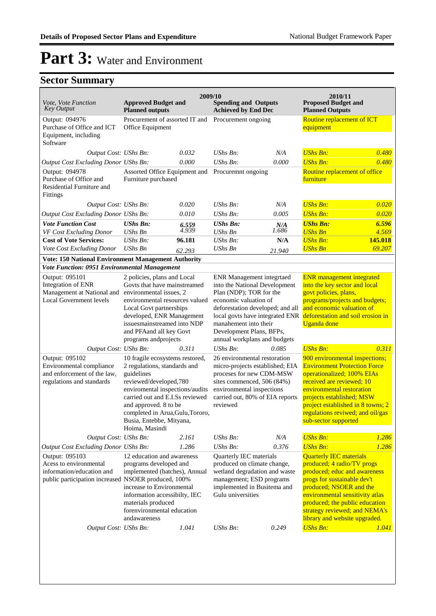| <i>Vote, Vote Function</i><br><b>Key Output</b>                                                                              | 2009/10<br><b>Approved Budget and</b><br><b>Planned outputs</b>                                                                                                                                                                                                                          |                | <b>Spending and Outputs</b><br><b>Achieved by End Dec</b>                                                                                                                                                                                                                         |              | 2010/11<br><b>Proposed Budget and</b><br><b>Planned Outputs</b>                                                                                                                                                                                                                               |                |  |  |  |
|------------------------------------------------------------------------------------------------------------------------------|------------------------------------------------------------------------------------------------------------------------------------------------------------------------------------------------------------------------------------------------------------------------------------------|----------------|-----------------------------------------------------------------------------------------------------------------------------------------------------------------------------------------------------------------------------------------------------------------------------------|--------------|-----------------------------------------------------------------------------------------------------------------------------------------------------------------------------------------------------------------------------------------------------------------------------------------------|----------------|--|--|--|
| Output: 094976<br>Purchase of Office and ICT<br>Equipment, including<br>Software                                             | Procurement of assorted IT and<br>Office Equipment                                                                                                                                                                                                                                       |                | Procurement ongoing                                                                                                                                                                                                                                                               |              | Routine replacement of ICT<br>equipment                                                                                                                                                                                                                                                       |                |  |  |  |
| Output Cost: UShs Bn:                                                                                                        |                                                                                                                                                                                                                                                                                          | 0.032          | $\mathit{UShs}\, \mathit{Bn}$ :                                                                                                                                                                                                                                                   | N/A          | <b>UShs Bn:</b>                                                                                                                                                                                                                                                                               | 0.480          |  |  |  |
| Output Cost Excluding Donor UShs Bn:                                                                                         |                                                                                                                                                                                                                                                                                          | 0.000          | UShs Bn:                                                                                                                                                                                                                                                                          | 0.000        | <b>UShs Bn:</b>                                                                                                                                                                                                                                                                               | 0.480          |  |  |  |
| Output: 094978<br>Purchase of Office and<br>Residential Furniture and<br>Fittings                                            | Assorted Office Equipment and<br>Furniture purchased                                                                                                                                                                                                                                     |                | Procuremnt ongoing                                                                                                                                                                                                                                                                |              | Routine replacement of office<br>furniture                                                                                                                                                                                                                                                    |                |  |  |  |
| Output Cost: UShs Bn:                                                                                                        |                                                                                                                                                                                                                                                                                          | 0.020          | UShs Bn:                                                                                                                                                                                                                                                                          | N/A          | <b>UShs Bn:</b>                                                                                                                                                                                                                                                                               | 0.020          |  |  |  |
| <b>Output Cost Excluding Donor UShs Bn:</b>                                                                                  |                                                                                                                                                                                                                                                                                          | 0.010          | UShs Bn:                                                                                                                                                                                                                                                                          | 0.005        | <b>UShs Bn:</b>                                                                                                                                                                                                                                                                               | 0.020          |  |  |  |
| <b>Vote Function Cost</b><br>VF Cost Excluding Donor                                                                         | <b>UShs Bn:</b><br><b>UShs Bn</b>                                                                                                                                                                                                                                                        | 6.559<br>4.939 | <b>UShs Bn:</b><br><b>UShs Bn</b>                                                                                                                                                                                                                                                 | N/A<br>1.686 | <b>UShs Bn:</b><br><b>UShs Bn</b>                                                                                                                                                                                                                                                             | 6.596<br>4.569 |  |  |  |
| <b>Cost of Vote Services:</b>                                                                                                | UShs Bn:                                                                                                                                                                                                                                                                                 | 96.181         | <b>UShs Bn:</b>                                                                                                                                                                                                                                                                   | N/A          | <b>UShs Bn:</b>                                                                                                                                                                                                                                                                               | 145.018        |  |  |  |
| Vote Cost Excluding Donor                                                                                                    | <b>UShs Bn</b>                                                                                                                                                                                                                                                                           | 62.293         | <b>UShs Bn</b>                                                                                                                                                                                                                                                                    | 21.940       | <b>UShs Bn</b>                                                                                                                                                                                                                                                                                | 69.207         |  |  |  |
| Vote: 150 National Environment Management Authority<br>Vote Function: 0951 Environmental Management                          |                                                                                                                                                                                                                                                                                          |                |                                                                                                                                                                                                                                                                                   |              |                                                                                                                                                                                                                                                                                               |                |  |  |  |
| Output: 095101<br>Integration of ENR<br>Management at National and environmental issues, 2<br><b>Local Government levels</b> | 2 policies, plans and Local<br>Govts that have mainstreamed<br>environmental resources valued<br>Local Govt partnerships<br>developed, ENR Management<br>issues mainstreamed into NDP<br>and PFAand all key Govt<br>programs andprojects                                                 |                | <b>ENR</b> Management integrtaed<br>into the National Development<br>Plan (NDP); TOR for the<br>economic valuation of<br>deforestation developed; and all<br>local govts have integrated ENR<br>manahement into their<br>Development Plans, BFPs,<br>annual workplans and budgets |              | <b>ENR</b> management integrated<br>into the key sector and local<br>govt policies, plans,<br>programs/projects and budgets;<br>and economic valuation of<br>deforestation and soil erosion in<br><b>Uganda</b> done                                                                          |                |  |  |  |
| Output Cost: UShs Bn:                                                                                                        |                                                                                                                                                                                                                                                                                          | 0.311          | UShs Bn:                                                                                                                                                                                                                                                                          | 0.085        | <b>UShs Bn:</b>                                                                                                                                                                                                                                                                               | 0.311          |  |  |  |
| Output: 095102<br>Environmental compliance<br>and enforcement of the law,<br>regulations and standards                       | 10 fragile ecosystems restored,<br>2 regulations, standards and<br>guidelines<br>reviewed/developed,780<br>enviromental inspections/audits<br>carried out and E.I.Ss reviewed<br>and approved. 8 to be<br>completed in Arua, Gulu, Tororo,<br>Busia, Entebbe, Mityana,<br>Hoima, Masindi |                | 26 environmental restoration<br>micro-projects established; EIA<br>proceses for new CDM-MSW<br>sites commenced, 506 (84%)<br>environmental inspections<br>carried out, 80% of EIA reports<br>reviewed                                                                             |              | 900 environmental inspections;<br><b>Environment Protection Force</b><br>operationalized; 100% EIAs<br>received are reviewed; 10<br>environmental restoration<br>projects established; MSW<br>project established in 8 towns; 2<br>regulations reviwed; and oil/gas<br>sub-sector supported   |                |  |  |  |
| Output Cost: UShs Bn:                                                                                                        |                                                                                                                                                                                                                                                                                          | 2.161          | UShs Bn:                                                                                                                                                                                                                                                                          | N/A          | <b>UShs Bn:</b>                                                                                                                                                                                                                                                                               | 1.286          |  |  |  |
| Output Cost Excluding Donor UShs Bn:                                                                                         |                                                                                                                                                                                                                                                                                          | 1.286          | UShs Bn:                                                                                                                                                                                                                                                                          | 0.376        | <b>UShs Bn:</b>                                                                                                                                                                                                                                                                               | 1.286          |  |  |  |
| Output: 095103<br>Acess to environmental<br>information/education and<br>public participation increased NSOER produced, 100% | 12 education and awareness<br>programs developed and<br>implemented (batches), Annual<br>increase to Environmental<br>information accessibilty, IEC<br>materials produced<br>forenvironmental education<br>andawareness                                                                  |                | Quarterly IEC materials<br>produced on climate change,<br>wetland degradation and waste<br>management; ESD programs<br>implemented in Busitema and<br>Gulu universities                                                                                                           |              | <b>Quarterly IEC materials</b><br>produced; 4 radio/TV progs<br>produced; educ and awareness<br>progs for sustainable dev't<br>produced; NSOER and the<br>environmental sensitivity atlas<br>produced; the public education<br>strategy reviewed; and NEMA's<br>library and website upgraded. |                |  |  |  |
| Output Cost: UShs Bn:                                                                                                        |                                                                                                                                                                                                                                                                                          | 1.041          | UShs Bn:                                                                                                                                                                                                                                                                          | 0.249        | <b>UShs Bn:</b>                                                                                                                                                                                                                                                                               | 1.041          |  |  |  |
|                                                                                                                              |                                                                                                                                                                                                                                                                                          |                |                                                                                                                                                                                                                                                                                   |              |                                                                                                                                                                                                                                                                                               |                |  |  |  |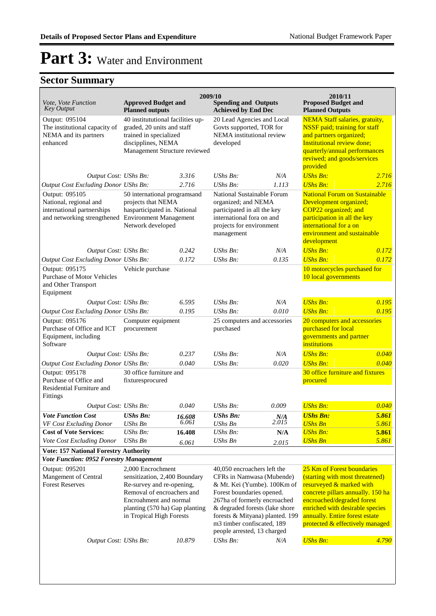| 2009/10<br>2010/11                                                                                                           |                                                                                                                                                                                                       |                 |                                                                                                                                                                                                                                                                                        |                        |                                                                                                                                                                                                                                                                      |                |  |  |
|------------------------------------------------------------------------------------------------------------------------------|-------------------------------------------------------------------------------------------------------------------------------------------------------------------------------------------------------|-----------------|----------------------------------------------------------------------------------------------------------------------------------------------------------------------------------------------------------------------------------------------------------------------------------------|------------------------|----------------------------------------------------------------------------------------------------------------------------------------------------------------------------------------------------------------------------------------------------------------------|----------------|--|--|
| <i>Vote, Vote Function</i><br>Key Output                                                                                     | <b>Approved Budget and</b><br><b>Planned outputs</b>                                                                                                                                                  |                 | <b>Spending and Outputs</b><br><b>Achieved by End Dec</b>                                                                                                                                                                                                                              |                        | <b>Proposed Budget and</b><br><b>Planned Outputs</b>                                                                                                                                                                                                                 |                |  |  |
| Output: 095104<br>The institutional capacity of<br>NEMA and its partners<br>enhanced                                         | 40 institututional facilities up-<br>graded, 20 units and staff<br>trained in specialized<br>discipplines, NEMA<br>Management Structure reviewed                                                      |                 | 20 Lead Agencies and Local<br>Govts supported, TOR for<br>NEMA institutional review<br>developed                                                                                                                                                                                       |                        | <b>NEMA Staff salaries, gratuity,</b><br><b>NSSF</b> paid; training for staff<br>and partners organized;<br>Institutional review done;<br>quarterly/annual performances<br>reviwed; and goods/services<br>provided                                                   |                |  |  |
| Output Cost: UShs Bn:                                                                                                        |                                                                                                                                                                                                       | 3.316           | UShs Bn:                                                                                                                                                                                                                                                                               | N/A                    | <b>UShs Bn:</b>                                                                                                                                                                                                                                                      | 2.716          |  |  |
| Output Cost Excluding Donor UShs Bn:                                                                                         |                                                                                                                                                                                                       | 2.716           | <b>UShs Bn:</b>                                                                                                                                                                                                                                                                        | 1.113                  | <b>UShs Bn:</b>                                                                                                                                                                                                                                                      | 2.716          |  |  |
| Output: 095105<br>National, regional and<br>international partnerships<br>and networking strengthened Environment Management | 50 international programsand<br>projects that NEMA<br>hasparticipated in. National<br>Network developed                                                                                               |                 | National Sustainable Forum<br>organized; and NEMA<br>participated in all the key<br>international fora on and<br>projects for environment<br>management                                                                                                                                |                        | <b>National Forum on Sustainable</b><br>Development organized;<br>COP22 organized; and<br>participation in all the key<br>international for a on<br>environment and sustainable<br>development                                                                       |                |  |  |
| Output Cost: UShs Bn:                                                                                                        |                                                                                                                                                                                                       | 0.242           | UShs Bn:                                                                                                                                                                                                                                                                               | N/A                    | <b>UShs Bn:</b>                                                                                                                                                                                                                                                      | 0.172          |  |  |
| Output Cost Excluding Donor UShs Bn:                                                                                         |                                                                                                                                                                                                       | 0.172           | UShs Bn:                                                                                                                                                                                                                                                                               | 0.135                  | <b>UShs Bn:</b>                                                                                                                                                                                                                                                      | 0.172          |  |  |
| Output: 095175<br><b>Purchase of Motor Vehicles</b><br>and Other Transport<br>Equipment                                      | Vehicle purchase                                                                                                                                                                                      |                 |                                                                                                                                                                                                                                                                                        |                        | 10 motorcycles purchased for<br>10 local governments                                                                                                                                                                                                                 |                |  |  |
| Output Cost: UShs Bn:                                                                                                        |                                                                                                                                                                                                       | 6.595           | UShs $Bn$ :                                                                                                                                                                                                                                                                            | N/A                    | <b>UShs Bn:</b>                                                                                                                                                                                                                                                      | 0.195          |  |  |
| Output Cost Excluding Donor UShs Bn:                                                                                         |                                                                                                                                                                                                       | 0.195           | UShs Bn:                                                                                                                                                                                                                                                                               | 0.010                  | <b>UShs Bn:</b>                                                                                                                                                                                                                                                      | 0.195          |  |  |
| Output: 095176<br>Purchase of Office and ICT<br>Equipment, including<br>Software                                             | Computer equipment<br>procurement                                                                                                                                                                     |                 | 25 computers and accessories<br>purchased                                                                                                                                                                                                                                              |                        | 20 computers and accessories<br>purchased for local<br>governments and partner<br>institutions                                                                                                                                                                       |                |  |  |
| Output Cost: UShs Bn:                                                                                                        |                                                                                                                                                                                                       | 0.237           | UShs Bn:                                                                                                                                                                                                                                                                               | N/A                    | <b>UShs Bn:</b>                                                                                                                                                                                                                                                      | 0.040          |  |  |
| Output Cost Excluding Donor UShs Bn:                                                                                         |                                                                                                                                                                                                       | 0.040           | UShs Bn:                                                                                                                                                                                                                                                                               | 0.020                  | <b>UShs Bn:</b>                                                                                                                                                                                                                                                      | 0.040          |  |  |
| Output: 095178<br>Purchase of Office and<br>Residential Furniture and<br>Fittings                                            | 30 office furniture and<br>fixturesprocured                                                                                                                                                           |                 |                                                                                                                                                                                                                                                                                        |                        | 30 office furniture and fixtures<br>procured                                                                                                                                                                                                                         |                |  |  |
| Output Cost: UShs Bn:                                                                                                        |                                                                                                                                                                                                       | 0.040           | UShs Bn:                                                                                                                                                                                                                                                                               | 0.009                  | <b>UShs Bn:</b>                                                                                                                                                                                                                                                      | 0.040          |  |  |
| <b>Vote Function Cost</b><br>VF Cost Excluding Donor                                                                         | <b>UShs Bn:</b><br>UShs Bn                                                                                                                                                                            | 16.608<br>6.061 | <b>UShs Bn:</b><br>UShs Bn                                                                                                                                                                                                                                                             | $N/A$ <sub>2.015</sub> | <b>UShs Bn:</b><br><b>UShs Bn</b>                                                                                                                                                                                                                                    | 5.861<br>5.861 |  |  |
| <b>Cost of Vote Services:</b>                                                                                                | UShs Bn:                                                                                                                                                                                              | 16.408          | <b>UShs Bn:</b>                                                                                                                                                                                                                                                                        | N/A                    | <b>UShs Bn:</b>                                                                                                                                                                                                                                                      | 5.861          |  |  |
| Vote Cost Excluding Donor                                                                                                    | <b>UShs Bn</b>                                                                                                                                                                                        | 6.061           | <b>UShs Bn</b>                                                                                                                                                                                                                                                                         | 2.015                  | <b>UShs Bn</b>                                                                                                                                                                                                                                                       | 5.861          |  |  |
| <b>Vote: 157 National Forestry Authority</b>                                                                                 |                                                                                                                                                                                                       |                 |                                                                                                                                                                                                                                                                                        |                        |                                                                                                                                                                                                                                                                      |                |  |  |
| <b>Vote Function: 0952 Forestry Management</b>                                                                               |                                                                                                                                                                                                       |                 |                                                                                                                                                                                                                                                                                        |                        |                                                                                                                                                                                                                                                                      |                |  |  |
| Output: 095201<br>Mangement of Central<br><b>Forest Reserves</b>                                                             | 2,000 Encrochment<br>sensitization, 2,400 Boundary<br>Re-survey and re-opening,<br>Removal of encroachers and<br>Encroahment and normal<br>planting (570 ha) Gap planting<br>in Tropical High Forests |                 | 40,050 encroachers left the<br>CFRs in Namwasa (Mubende)<br>& Mt. Kei (Yumbe). 100Km of<br>Forest boundaries opened.<br>267ha of formerly encroached<br>& degraded forests (lake shore<br>forests & Mityana) planted. 199<br>m3 timber confiscated, 189<br>people arrested, 13 charged |                        | 25 Km of Forest boundaries<br>(starting with most threatened)<br>resurveyed & marked with<br>concrete pillars annually. 150 ha<br>encroached/degraded forest<br>enriched with desirable species<br>annually. Entire forest estate<br>protected & effectively managed |                |  |  |
| Output Cost: UShs Bn:                                                                                                        |                                                                                                                                                                                                       | 10.879          | UShs Bn:                                                                                                                                                                                                                                                                               | N/A                    | <b>UShs Bn:</b>                                                                                                                                                                                                                                                      | 4.790          |  |  |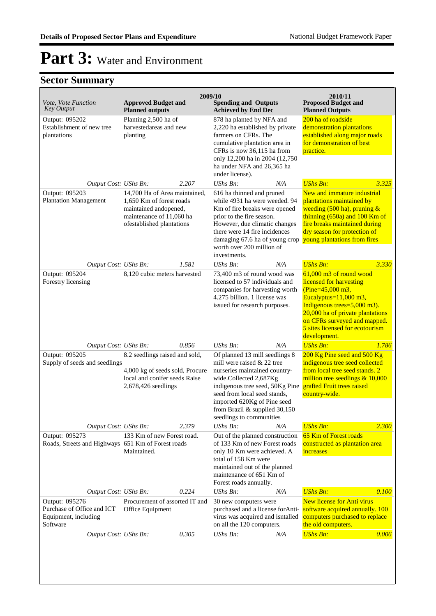| Vote, Vote Function<br><b>Key Output</b>                                         | <b>Approved Budget and</b><br><b>Planned outputs</b>                                                                                        | 2009/10<br><b>Spending and Outputs</b><br><b>Achieved by End Dec</b>                                                                                                                                                                                                                                   | 2010/11<br><b>Proposed Budget and</b><br><b>Planned Outputs</b>                                                                                                                                                                                             |  |
|----------------------------------------------------------------------------------|---------------------------------------------------------------------------------------------------------------------------------------------|--------------------------------------------------------------------------------------------------------------------------------------------------------------------------------------------------------------------------------------------------------------------------------------------------------|-------------------------------------------------------------------------------------------------------------------------------------------------------------------------------------------------------------------------------------------------------------|--|
| Output: 095202<br>Establishment of new tree<br>plantations                       | Planting 2,500 ha of<br>harvestedareas and new<br>planting                                                                                  | 878 ha planted by NFA and<br>2,220 ha established by private<br>farmers on CFRs. The<br>cumulative plantation area in<br>CFRs is now 36,115 ha from<br>only 12,200 ha in 2004 (12,750)<br>ha under NFA and 26,365 ha<br>under license).                                                                | 200 ha of roadside<br>demonstration plantations<br>established along major roads<br>for demonstration of best<br>practice.                                                                                                                                  |  |
| Output Cost: UShs Bn:                                                            | 2.207                                                                                                                                       | <b>UShs Bn:</b><br>N/A                                                                                                                                                                                                                                                                                 | <b>UShs Bn:</b><br>3.325                                                                                                                                                                                                                                    |  |
| Output: 095203<br><b>Plantation Management</b>                                   | 14,700 Ha of Area maintained,<br>1,650 Km of forest roads<br>maintained andopened,<br>maintenance of 11,060 ha<br>ofestablished plantations | 616 ha thinned and pruned<br>while 4931 ha were weeded. 94<br>Km of fire breaks were opened<br>prior to the fire season.<br>However, due climatic changes<br>there were 14 fire incidences<br>damaging 67.6 ha of young crop young plantations from fires<br>worth over 200 million of<br>investments. | New and immature industrial<br>plantations maintained by<br>weeding $(500 \text{ ha})$ , pruning &<br>thinning $(650a)$ and $100$ Km of<br>fire breaks maintained during<br>dry season for protection of                                                    |  |
| Output Cost: UShs Bn:                                                            | 1.581                                                                                                                                       | UShs Bn:<br>N/A                                                                                                                                                                                                                                                                                        | <b>UShs Bn:</b><br>3.330                                                                                                                                                                                                                                    |  |
| Output: 095204<br>Forestry licensing                                             | 8,120 cubic meters harvested                                                                                                                | 73,400 m3 of round wood was<br>licensed to 57 individuals and<br>companies for harvesting worth<br>4.275 billion. 1 license was<br>issued for research purposes.                                                                                                                                       | 61,000 m3 of round wood<br>licensed for harvesting<br>(Pine= $45,000$ m3,<br>Eucalyptus= $11,000$ m3,<br>Indigenous trees=5,000 m3).<br>20,000 ha of private plantations<br>on CFRs surveyed and mapped.<br>5 sites licensed for ecotourism<br>development. |  |
| Output Cost: UShs Bn:                                                            | 0.856                                                                                                                                       | N/A<br>UShs Bn:                                                                                                                                                                                                                                                                                        | <b>UShs Bn:</b><br>1.786                                                                                                                                                                                                                                    |  |
| Output: 095205<br>Supply of seeds and seedlings                                  | 8.2 seedlings raised and sold,<br>4,000 kg of seeds sold, Procure<br>local and conifer seeds Raise<br>2,678,426 seedlings                   | Of planned 13 mill seedlings 8<br>mill were raised & 22 tree<br>nurseries maintained country-<br>wide.Collected 2,687Kg<br>indigenous tree seed, 50Kg Pine<br>seed from local seed stands,<br>imported 620Kg of Pine seed<br>from Brazil & supplied 30,150<br>seedlings to communities                 | 200 Kg Pine seed and 500 Kg<br>indigenous tree seed collected<br>from local tree seed stands. 2<br>million tree seedlings $& 10,000$<br>grafted Fruit trees raised<br>country-wide.                                                                         |  |
| Output Cost: UShs Bn:                                                            | 2.379                                                                                                                                       | <b>UShs Bn:</b><br>N/A                                                                                                                                                                                                                                                                                 | <b>UShs Bn:</b><br>2.300                                                                                                                                                                                                                                    |  |
| Output: 095273<br>Roads, Streets and Highways 651 Km of Forest roads             | 133 Km of new Forest road.<br>Maintained.                                                                                                   | Out of the planned construction<br>of 133 Km of new Forest roads<br>only 10 Km were achieved. A<br>total of 158 Km were<br>maintained out of the planned<br>maintenance of 651 Km of<br>Forest roads annually.                                                                                         | 65 Km of Forest roads<br>constructed as plantation area<br>increases                                                                                                                                                                                        |  |
| Output Cost: UShs Bn:                                                            | 0.224                                                                                                                                       | <b>UShs Bn:</b><br>N/A                                                                                                                                                                                                                                                                                 | <b>UShs Bn:</b><br>0.100                                                                                                                                                                                                                                    |  |
| Output: 095276<br>Purchase of Office and ICT<br>Equipment, including<br>Software | Procurement of assorted IT and<br>Office Equipment                                                                                          | 30 new computers were<br>purchased and a license forAnti-<br>virus was acquired and isntalled<br>on all the 120 computers.                                                                                                                                                                             | <b>New license for Anti virus</b><br>software acquired annually. 100<br>computers purchased to replace<br>the old computers.                                                                                                                                |  |
| Output Cost: UShs Bn:                                                            | 0.305                                                                                                                                       | <b>UShs Bn:</b><br>N/A                                                                                                                                                                                                                                                                                 | <b>UShs Bn:</b><br>0.006                                                                                                                                                                                                                                    |  |
|                                                                                  |                                                                                                                                             |                                                                                                                                                                                                                                                                                                        |                                                                                                                                                                                                                                                             |  |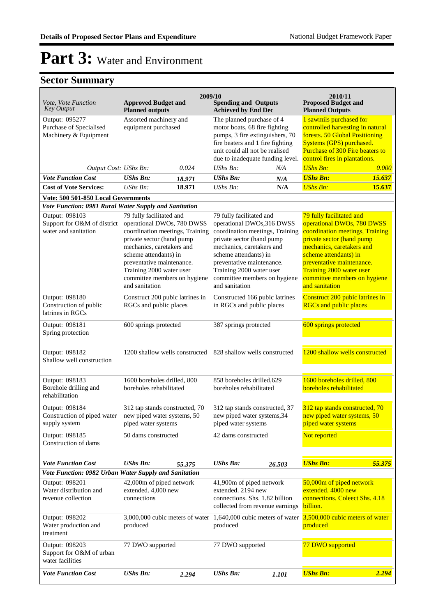| Vote, Vote Function                                                   | <b>Approved Budget and</b>                                                                                                                                                                                                                                                              | 2009/10                         | 2010/11<br><b>Proposed Budget and</b>                                                                                                                                                                                                                                                  |                                                      |                                                                                                                                                                                                                                                                                         |                                                                               |  |  |  |  |
|-----------------------------------------------------------------------|-----------------------------------------------------------------------------------------------------------------------------------------------------------------------------------------------------------------------------------------------------------------------------------------|---------------------------------|----------------------------------------------------------------------------------------------------------------------------------------------------------------------------------------------------------------------------------------------------------------------------------------|------------------------------------------------------|-----------------------------------------------------------------------------------------------------------------------------------------------------------------------------------------------------------------------------------------------------------------------------------------|-------------------------------------------------------------------------------|--|--|--|--|
| <b>Key Output</b>                                                     | <b>Planned outputs</b>                                                                                                                                                                                                                                                                  |                                 | <b>Spending and Outputs</b>                                                                                                                                                                                                                                                            | <b>Achieved by End Dec</b><br><b>Planned Outputs</b> |                                                                                                                                                                                                                                                                                         |                                                                               |  |  |  |  |
| Output: 095277<br>Purchase of Specialised<br>Machinery & Equipment    | Assorted machinery and<br>equipment purchased                                                                                                                                                                                                                                           |                                 | The planned purchase of 4<br>motor boats, 68 fire fighting<br>pumps, 3 fire extinguishers, 70<br>fire beaters and 1 fire fighting<br>unit could all not be realised<br>due to inadequate funding level.                                                                                |                                                      | 1 sawmils purchased for<br>controlled harvesting in natural<br>forests. 50 Global Positioning<br>Systems (GPS) purchased.<br>Purchase of 300 Fire beaters to<br>control fires in plantations.                                                                                           |                                                                               |  |  |  |  |
| Output Cost: UShs Bn:                                                 |                                                                                                                                                                                                                                                                                         | 0.024                           | UShs Bn:<br>N/A                                                                                                                                                                                                                                                                        |                                                      | <b>UShs Bn:</b>                                                                                                                                                                                                                                                                         | 0.000                                                                         |  |  |  |  |
| <b>Vote Function Cost</b>                                             | <b>UShs Bn:</b>                                                                                                                                                                                                                                                                         | 18.971                          | <b>UShs Bn:</b>                                                                                                                                                                                                                                                                        | N/A                                                  | <b>UShs Bn:</b>                                                                                                                                                                                                                                                                         | 15.637                                                                        |  |  |  |  |
| <b>Cost of Vote Services:</b>                                         | $UShs Bn$ :<br>18.971                                                                                                                                                                                                                                                                   |                                 | $UShs Bn$ :                                                                                                                                                                                                                                                                            | N/A                                                  | <b>UShs Bn:</b>                                                                                                                                                                                                                                                                         | 15.637                                                                        |  |  |  |  |
| Vote: 500 501-850 Local Governments                                   |                                                                                                                                                                                                                                                                                         |                                 |                                                                                                                                                                                                                                                                                        |                                                      |                                                                                                                                                                                                                                                                                         |                                                                               |  |  |  |  |
| Vote Function: 0981 Rural Water Supply and Sanitation                 |                                                                                                                                                                                                                                                                                         |                                 |                                                                                                                                                                                                                                                                                        |                                                      |                                                                                                                                                                                                                                                                                         |                                                                               |  |  |  |  |
| Output: 098103<br>Support for O&M of district<br>water and sanitation | 79 fully facilitated and<br>operational DWOs, 780 DWSS<br>coordination meetings, Training<br>private sector (hand pump<br>mechanics, caretakers and<br>scheme attendants) in<br>preventative maintenance.<br>Training 2000 water user<br>committee members on hygiene<br>and sanitation |                                 | 79 fully facilitated and<br>operational DWOs,316 DWSS<br>coordination meetings, Training<br>private sector (hand pump<br>mechanics, caretakers and<br>scheme attendants) in<br>preventative maintenance.<br>Training 2000 water user<br>committee members on hygiene<br>and sanitation |                                                      | 79 fully facilitated and<br>operational DWOs, 780 DWSS<br>coordination meetings, Training<br>private sector (hand pump<br>mechanics, caretakers and<br>scheme attendants) in<br>preventative maintenance.<br>Training 2000 water user<br>committee members on hygiene<br>and sanitation |                                                                               |  |  |  |  |
| Output: 098180<br>Construction of public<br>latrines in RGCs          | Construct 200 pubic latrines in<br>RGCs and public places                                                                                                                                                                                                                               |                                 | Constructed 166 pubic latrines<br>in RGCs and public places                                                                                                                                                                                                                            |                                                      | Construct 200 pubic latrines in<br><b>RGCs and public places</b>                                                                                                                                                                                                                        |                                                                               |  |  |  |  |
| Output: 098181<br>Spring protection                                   | 600 springs protected                                                                                                                                                                                                                                                                   |                                 | 387 springs protected                                                                                                                                                                                                                                                                  |                                                      | 600 springs protected                                                                                                                                                                                                                                                                   |                                                                               |  |  |  |  |
| Output: 098182<br>Shallow well construction                           | 1200 shallow wells constructed                                                                                                                                                                                                                                                          |                                 |                                                                                                                                                                                                                                                                                        | 828 shallow wells constructed                        |                                                                                                                                                                                                                                                                                         | 1200 shallow wells constructed                                                |  |  |  |  |
| Output: 098183<br>Borehole drilling and<br>rehabilitation             | 1600 boreholes drilled, 800<br>boreholes rehabilitated                                                                                                                                                                                                                                  |                                 | 858 boreholes drilled, 629<br>boreholes rehabilitated                                                                                                                                                                                                                                  |                                                      | 1600 boreholes drilled, 800<br>boreholes rehabilitated                                                                                                                                                                                                                                  |                                                                               |  |  |  |  |
| Output: 098184<br>Construction of piped water<br>supply system        | 312 tap stands constructed, 70<br>new piped water systems, 50<br>piped water systems                                                                                                                                                                                                    |                                 | 312 tap stands constructed, 37<br>new piped water systems, 34<br>piped water systems                                                                                                                                                                                                   |                                                      | 312 tap stands constructed, 70<br>new piped water systems, 50<br>piped water systems                                                                                                                                                                                                    |                                                                               |  |  |  |  |
| Output: 098185<br>Construction of dams                                | 50 dams constructed                                                                                                                                                                                                                                                                     |                                 | 42 dams constructed                                                                                                                                                                                                                                                                    |                                                      | Not reported                                                                                                                                                                                                                                                                            |                                                                               |  |  |  |  |
| <b>Vote Function Cost</b>                                             | <b>UShs Bn:</b>                                                                                                                                                                                                                                                                         | 55.375                          | <b>UShs Bn:</b>                                                                                                                                                                                                                                                                        | 26.503                                               | <b>UShs Bn:</b>                                                                                                                                                                                                                                                                         | 55.375                                                                        |  |  |  |  |
| Vote Function: 0982 Urban Water Supply and Sanitation                 |                                                                                                                                                                                                                                                                                         |                                 |                                                                                                                                                                                                                                                                                        |                                                      |                                                                                                                                                                                                                                                                                         |                                                                               |  |  |  |  |
| Output: 098201<br>Water distribution and<br>revenue collection        | 42,000m of piped network<br>extended. 4,000 new<br>connections                                                                                                                                                                                                                          |                                 | 41,900m of piped network<br>extended. 2194 new<br>connections. Shs. 1.82 billion<br>collected from revenue earnings                                                                                                                                                                    |                                                      | 50,000m of piped network<br>extended. 4000 new<br>connections. Coleect Shs. 4.18<br>billion.                                                                                                                                                                                            |                                                                               |  |  |  |  |
| Output: 098202<br>Water production and<br>treatment                   | produced                                                                                                                                                                                                                                                                                | 3,000,000 cubic meters of water |                                                                                                                                                                                                                                                                                        | produced                                             |                                                                                                                                                                                                                                                                                         | 1,640,000 cubic meters of water $3,500,000$ cubic meters of water<br>produced |  |  |  |  |
| Output: 098203<br>Support for O&M of urban<br>water facilities        | 77 DWO supported                                                                                                                                                                                                                                                                        |                                 | 77 DWO supported                                                                                                                                                                                                                                                                       |                                                      | 77 DWO supported                                                                                                                                                                                                                                                                        |                                                                               |  |  |  |  |
| <b>Vote Function Cost</b>                                             | <b>UShs Bn:</b>                                                                                                                                                                                                                                                                         | 2.294                           | <b>UShs Bn:</b>                                                                                                                                                                                                                                                                        | 1.101                                                | <b>UShs Bn:</b>                                                                                                                                                                                                                                                                         | 2.294                                                                         |  |  |  |  |